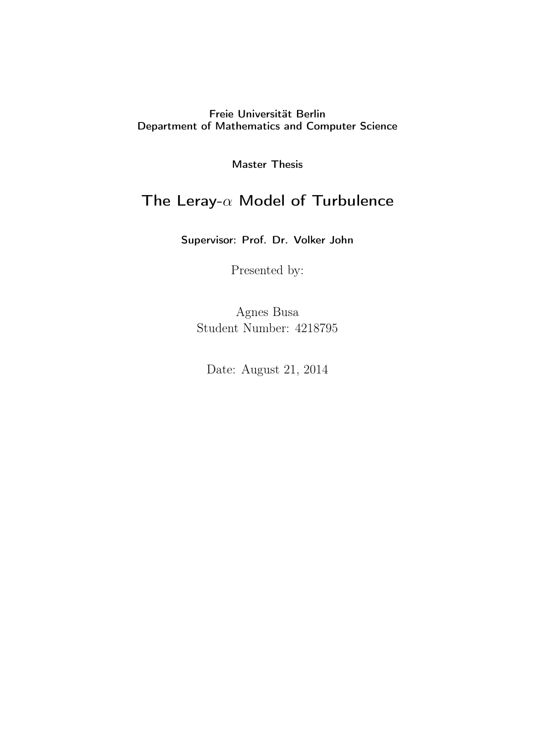# Freie Universität Berlin Department of Mathematics and Computer Science

Master Thesis

# The Leray-*α* Model of Turbulence

Supervisor: Prof. Dr. Volker John

Presented by:

Agnes Busa Student Number: 4218795

Date: August 21, 2014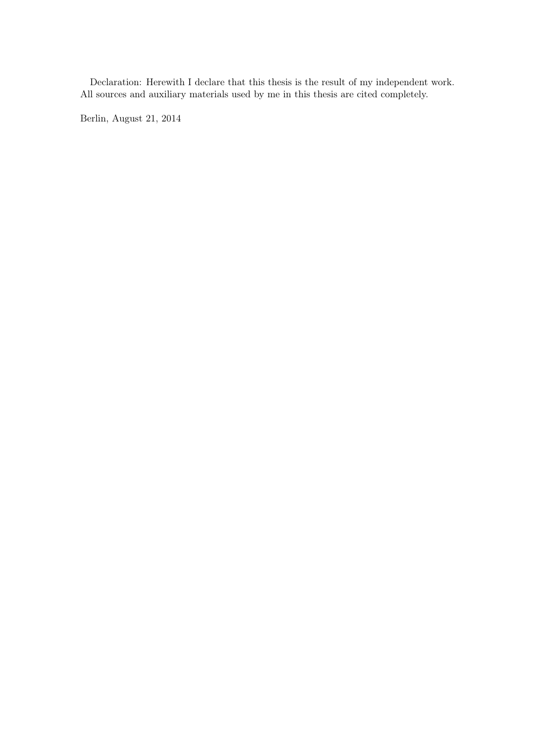Declaration: Herewith I declare that this thesis is the result of my independent work. All sources and auxiliary materials used by me in this thesis are cited completely.

Berlin, August 21, 2014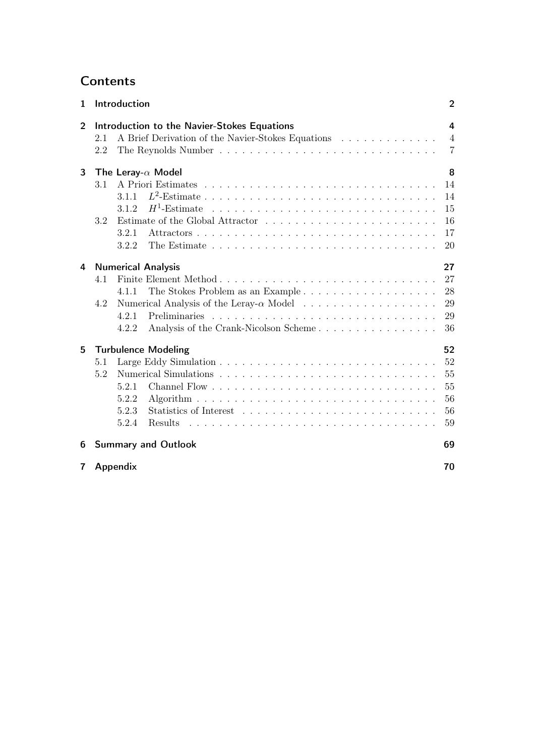# **Contents**

| Introduction<br>$\mathbf{1}$ |                           |                                  |                                                   | $\overline{2}$ |  |
|------------------------------|---------------------------|----------------------------------|---------------------------------------------------|----------------|--|
| $\overline{2}$               |                           |                                  | Introduction to the Navier-Stokes Equations       | 4              |  |
|                              | 2.1                       |                                  | A Brief Derivation of the Navier-Stokes Equations | $\overline{4}$ |  |
|                              | 2.2                       |                                  |                                                   | $\overline{7}$ |  |
| 3                            |                           |                                  | The Leray- $\alpha$ Model                         | 8              |  |
|                              | 3.1                       |                                  |                                                   | 14             |  |
|                              |                           | 311                              |                                                   | 14             |  |
|                              |                           | 3.1.2                            |                                                   | 15             |  |
|                              | 3.2                       |                                  |                                                   | 16             |  |
|                              |                           | 3.2.1                            |                                                   | 17             |  |
|                              |                           | 3.2.2                            |                                                   | 20             |  |
| 4                            | <b>Numerical Analysis</b> |                                  |                                                   |                |  |
|                              | 4.1                       |                                  |                                                   | 27             |  |
|                              |                           | 4.1.1                            |                                                   | 28             |  |
|                              | 4.2                       |                                  |                                                   | 29             |  |
|                              |                           | 4.2.1                            |                                                   | 29             |  |
|                              |                           | 4.2.2                            | Analysis of the Crank-Nicolson Scheme             | 36             |  |
| 5                            |                           | 52<br><b>Turbulence Modeling</b> |                                                   |                |  |
|                              | 5.1                       |                                  |                                                   | 52             |  |
|                              | 5.2                       |                                  |                                                   | 55             |  |
|                              |                           | 5.2.1                            |                                                   | 55             |  |
|                              |                           | 5.2.2                            |                                                   | 56             |  |
|                              |                           | 5.2.3                            |                                                   | 56             |  |
|                              |                           | 5.2.4                            |                                                   | 59             |  |
| 6                            |                           | <b>Summary and Outlook</b><br>69 |                                                   |                |  |
| 7                            | Appendix                  |                                  |                                                   | 70             |  |
|                              |                           |                                  |                                                   |                |  |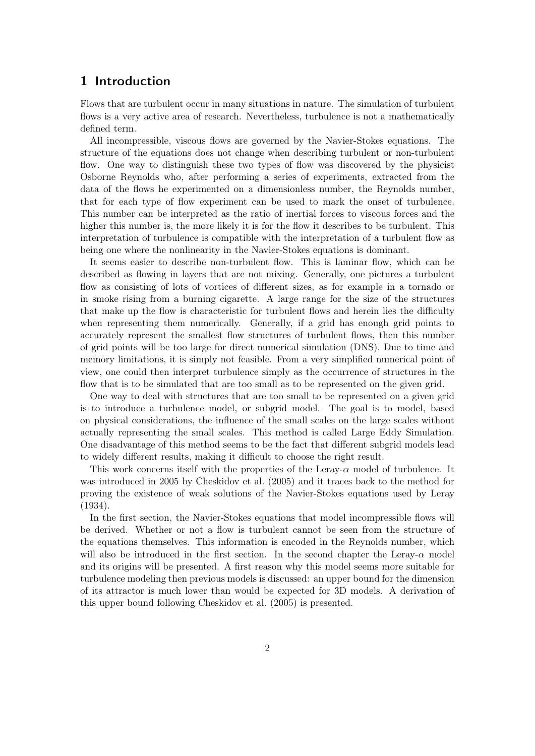# 1 Introduction

Flows that are turbulent occur in many situations in nature. The simulation of turbulent flows is a very active area of research. Nevertheless, turbulence is not a mathematically defined term.

All incompressible, viscous flows are governed by the Navier-Stokes equations. The structure of the equations does not change when describing turbulent or non-turbulent flow. One way to distinguish these two types of flow was discovered by the physicist Osborne Reynolds who, after performing a series of experiments, extracted from the data of the flows he experimented on a dimensionless number, the Reynolds number, that for each type of flow experiment can be used to mark the onset of turbulence. This number can be interpreted as the ratio of inertial forces to viscous forces and the higher this number is, the more likely it is for the flow it describes to be turbulent. This interpretation of turbulence is compatible with the interpretation of a turbulent flow as being one where the nonlinearity in the Navier-Stokes equations is dominant.

It seems easier to describe non-turbulent flow. This is laminar flow, which can be described as flowing in layers that are not mixing. Generally, one pictures a turbulent flow as consisting of lots of vortices of different sizes, as for example in a tornado or in smoke rising from a burning cigarette. A large range for the size of the structures that make up the flow is characteristic for turbulent flows and herein lies the difficulty when representing them numerically. Generally, if a grid has enough grid points to accurately represent the smallest flow structures of turbulent flows, then this number of grid points will be too large for direct numerical simulation (DNS). Due to time and memory limitations, it is simply not feasible. From a very simplified numerical point of view, one could then interpret turbulence simply as the occurrence of structures in the flow that is to be simulated that are too small as to be represented on the given grid.

One way to deal with structures that are too small to be represented on a given grid is to introduce a turbulence model, or subgrid model. The goal is to model, based on physical considerations, the influence of the small scales on the large scales without actually representing the small scales. This method is called Large Eddy Simulation. One disadvantage of this method seems to be the fact that different subgrid models lead to widely different results, making it difficult to choose the right result.

This work concerns itself with the properties of the Leray- $\alpha$  model of turbulence. It was introduced in 2005 by Cheskidov et al. (2005) and it traces back to the method for proving the existence of weak solutions of the Navier-Stokes equations used by Leray (1934).

In the first section, the Navier-Stokes equations that model incompressible flows will be derived. Whether or not a flow is turbulent cannot be seen from the structure of the equations themselves. This information is encoded in the Reynolds number, which will also be introduced in the first section. In the second chapter the Leray- $\alpha$  model and its origins will be presented. A first reason why this model seems more suitable for turbulence modeling then previous models is discussed: an upper bound for the dimension of its attractor is much lower than would be expected for 3D models. A derivation of this upper bound following Cheskidov et al. (2005) is presented.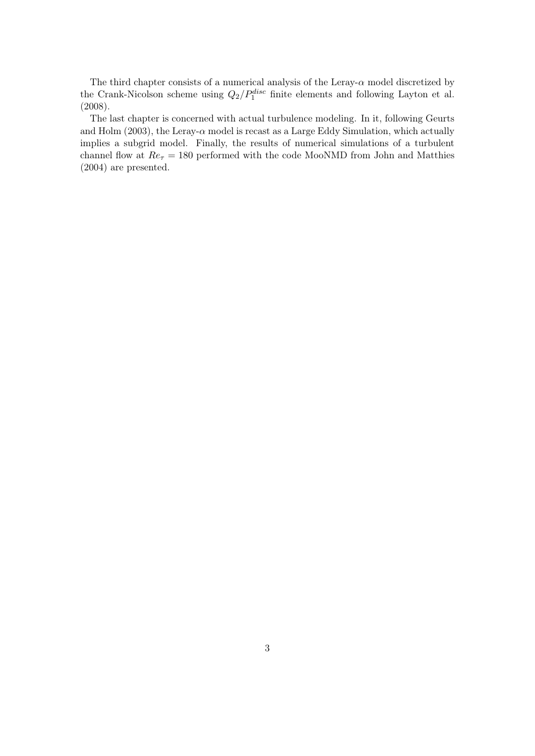The third chapter consists of a numerical analysis of the Leray-*α* model discretized by the Crank-Nicolson scheme using  $Q_2/P_1^{disc}$  finite elements and following Layton et al. (2008).

The last chapter is concerned with actual turbulence modeling. In it, following Geurts and Holm (2003), the Leray- $\alpha$  model is recast as a Large Eddy Simulation, which actually implies a subgrid model. Finally, the results of numerical simulations of a turbulent channel flow at  $Re<sub>\tau</sub> = 180$  performed with the code MooNMD from John and Matthies (2004) are presented.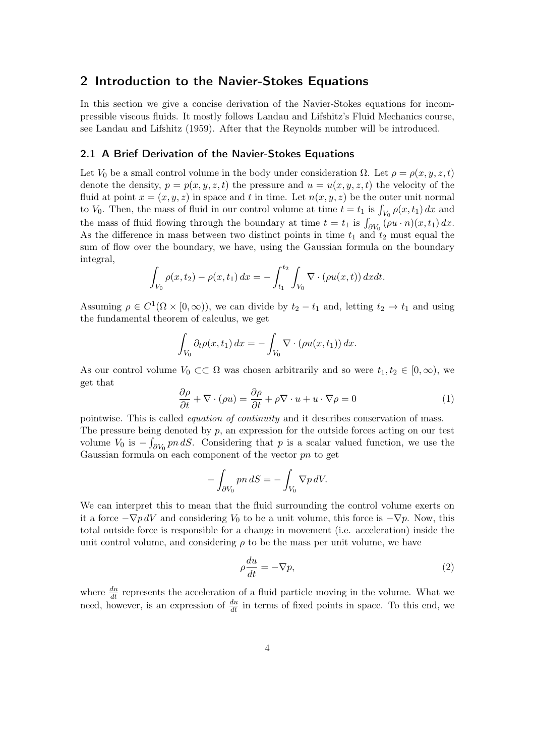## 2 Introduction to the Navier-Stokes Equations

In this section we give a concise derivation of the Navier-Stokes equations for incompressible viscous fluids. It mostly follows Landau and Lifshitz's Fluid Mechanics course, see Landau and Lifshitz (1959). After that the Reynolds number will be introduced.

## 2.1 A Brief Derivation of the Navier-Stokes Equations

Let *V*<sub>0</sub> be a small control volume in the body under consideration  $\Omega$ . Let  $\rho = \rho(x, y, z, t)$ denote the density,  $p = p(x, y, z, t)$  the pressure and  $u = u(x, y, z, t)$  the velocity of the fluid at point  $x = (x, y, z)$  in space and t in time. Let  $n(x, y, z)$  be the outer unit normal to *V*<sub>0</sub>. Then, the mass of fluid in our control volume at time  $t = t_1$  is  $\int_{V_0} \rho(x, t_1) dx$  and the mass of fluid flowing through the boundary at time  $t = t_1$  is  $\int_{\partial V_0} (\rho u \cdot n)(x, t_1) dx$ . As the difference in mass between two distinct points in time  $t_1$  and  $t_2$  must equal the sum of flow over the boundary, we have, using the Gaussian formula on the boundary integral,

$$
\int_{V_0} \rho(x, t_2) - \rho(x, t_1) dx = - \int_{t_1}^{t_2} \int_{V_0} \nabla \cdot (\rho u(x, t)) dx dt.
$$

Assuming  $\rho \in C^1(\Omega \times [0, \infty))$ , we can divide by  $t_2 - t_1$  and, letting  $t_2 \to t_1$  and using the fundamental theorem of calculus, we get

$$
\int_{V_0} \partial_t \rho(x, t_1) dx = - \int_{V_0} \nabla \cdot (\rho u(x, t_1)) dx.
$$

As our control volume  $V_0 \subset\subset \Omega$  was chosen arbitrarily and so were  $t_1, t_2 \in [0, \infty)$ , we get that

$$
\frac{\partial \rho}{\partial t} + \nabla \cdot (\rho u) = \frac{\partial \rho}{\partial t} + \rho \nabla \cdot u + u \cdot \nabla \rho = 0 \tag{1}
$$

pointwise. This is called *equation of continuity* and it describes conservation of mass. The pressure being denoted by *p*, an expression for the outside forces acting on our test volume  $V_0$  is  $-\int_{\partial V_0} p n \, dS$ . Considering that *p* is a scalar valued function, we use the Gaussian formula on each component of the vector *pn* to get

$$
-\int_{\partial V_0} p n \, dS = -\int_{V_0} \nabla p \, dV.
$$

We can interpret this to mean that the fluid surrounding the control volume exerts on it a force  $-\nabla p dV$  and considering  $V_0$  to be a unit volume, this force is  $-\nabla p$ . Now, this total outside force is responsible for a change in movement (i.e. acceleration) inside the unit control volume, and considering  $\rho$  to be the mass per unit volume, we have

$$
\rho \frac{du}{dt} = -\nabla p,\tag{2}
$$

where  $\frac{du}{dt}$  represents the acceleration of a fluid particle moving in the volume. What we need, however, is an expression of  $\frac{du}{dt}$  in terms of fixed points in space. To this end, we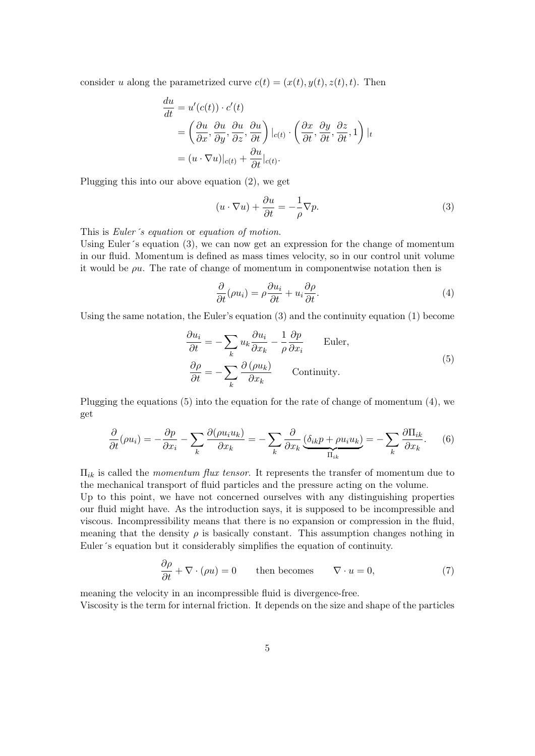consider *u* along the parametrized curve  $c(t) = (x(t), y(t), z(t), t)$ . Then

$$
\frac{du}{dt} = u'(c(t)) \cdot c'(t)
$$
\n
$$
= \left(\frac{\partial u}{\partial x}, \frac{\partial u}{\partial y}, \frac{\partial u}{\partial z}, \frac{\partial u}{\partial t}\right)|_{c(t)} \cdot \left(\frac{\partial x}{\partial t}, \frac{\partial y}{\partial t}, \frac{\partial z}{\partial t}, 1\right)|_{t}
$$
\n
$$
= (u \cdot \nabla u)|_{c(t)} + \frac{\partial u}{\partial t}|_{c(t)}.
$$

Plugging this into our above equation (2), we get

$$
(u \cdot \nabla u) + \frac{\partial u}{\partial t} = -\frac{1}{\rho} \nabla p.
$$
 (3)

This is *Euler´s equation* or *equation of motion*.

Using Euler´s equation (3), we can now get an expression for the change of momentum in our fluid. Momentum is defined as mass times velocity, so in our control unit volume it would be *ρu*. The rate of change of momentum in componentwise notation then is

$$
\frac{\partial}{\partial t}(\rho u_i) = \rho \frac{\partial u_i}{\partial t} + u_i \frac{\partial \rho}{\partial t}.
$$
\n(4)

Using the same notation, the Euler's equation (3) and the continuity equation (1) become

$$
\frac{\partial u_i}{\partial t} = -\sum_k u_k \frac{\partial u_i}{\partial x_k} - \frac{1}{\rho} \frac{\partial p}{\partial x_i} \qquad \text{Euler},
$$
  

$$
\frac{\partial \rho}{\partial t} = -\sum_k \frac{\partial (\rho u_k)}{\partial x_k} \qquad \text{Continuity.}
$$
 (5)

Plugging the equations (5) into the equation for the rate of change of momentum (4), we get

$$
\frac{\partial}{\partial t}(\rho u_i) = -\frac{\partial p}{\partial x_i} - \sum_k \frac{\partial(\rho u_i u_k)}{\partial x_k} = -\sum_k \frac{\partial}{\partial x_k} \underbrace{(\delta_{ik} p + \rho u_i u_k)}_{\Pi_{ik}} = -\sum_k \frac{\partial \Pi_{ik}}{\partial x_k}.
$$
 (6)

Π*ik* is called the *momentum flux tensor*. It represents the transfer of momentum due to the mechanical transport of fluid particles and the pressure acting on the volume.

Up to this point, we have not concerned ourselves with any distinguishing properties our fluid might have. As the introduction says, it is supposed to be incompressible and viscous. Incompressibility means that there is no expansion or compression in the fluid, meaning that the density  $\rho$  is basically constant. This assumption changes nothing in Euler´s equation but it considerably simplifies the equation of continuity.

$$
\frac{\partial \rho}{\partial t} + \nabla \cdot (\rho u) = 0 \quad \text{then becomes} \quad \nabla \cdot u = 0,
$$
 (7)

meaning the velocity in an incompressible fluid is divergence-free.

Viscosity is the term for internal friction. It depends on the size and shape of the particles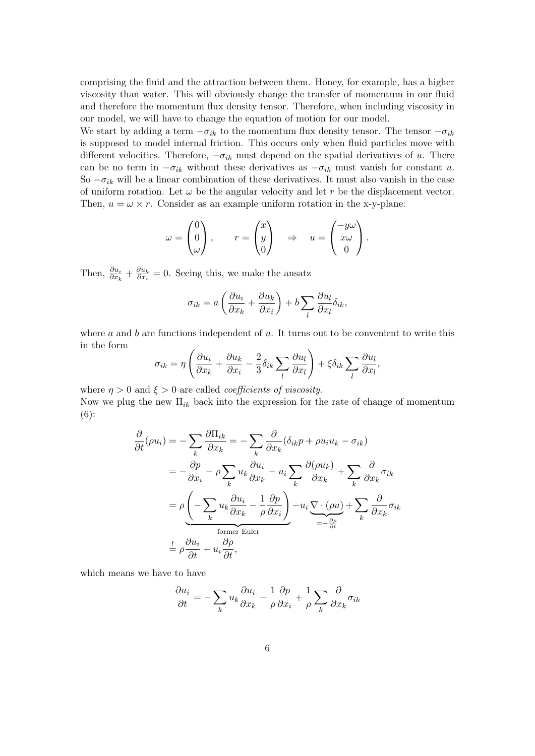comprising the fluid and the attraction between them. Honey, for example, has a higher viscosity than water. This will obviously change the transfer of momentum in our fluid and therefore the momentum flux density tensor. Therefore, when including viscosity in our model, we will have to change the equation of motion for our model.

We start by adding a term  $-\sigma_{ik}$  to the momentum flux density tensor. The tensor  $-\sigma_{ik}$ is supposed to model internal friction. This occurs only when fluid particles move with different velocities. Therefore,  $-\sigma_{ik}$  must depend on the spatial derivatives of *u*. There can be no term in  $-\sigma_{ik}$  without these derivatives as  $-\sigma_{ik}$  must vanish for constant *u*. So *−σik* will be a linear combination of these derivatives. It must also vanish in the case of uniform rotation. Let  $\omega$  be the angular velocity and let r be the displacement vector. Then,  $u = \omega \times r$ . Consider as an example uniform rotation in the x-y-plane:

$$
\omega = \begin{pmatrix} 0 \\ 0 \\ \omega \end{pmatrix}, \qquad r = \begin{pmatrix} x \\ y \\ 0 \end{pmatrix} \Rightarrow u = \begin{pmatrix} -y\omega \\ x\omega \\ 0 \end{pmatrix}.
$$

Then,  $\frac{\partial u_i}{\partial x_k} + \frac{\partial u_k}{\partial x_i}$  $\frac{\partial u_k}{\partial x_i} = 0$ . Seeing this, we make the ansatz

$$
\sigma_{ik} = a \left( \frac{\partial u_i}{\partial x_k} + \frac{\partial u_k}{\partial x_i} \right) + b \sum_l \frac{\partial u_l}{\partial x_l} \delta_{ik},
$$

where *a* and *b* are functions independent of *u*. It turns out to be convenient to write this in the form

$$
\sigma_{ik} = \eta \left( \frac{\partial u_i}{\partial x_k} + \frac{\partial u_k}{\partial x_i} - \frac{2}{3} \delta_{ik} \sum_l \frac{\partial u_l}{\partial x_l} \right) + \xi \delta_{ik} \sum_l \frac{\partial u_l}{\partial x_l},
$$

where  $\eta > 0$  and  $\xi > 0$  are called *coefficients of viscosity*. Now we plug the new Π*ik* back into the expression for the rate of change of momentum (6):

$$
\frac{\partial}{\partial t}(\rho u_i) = -\sum_k \frac{\partial \Pi_{ik}}{\partial x_k} = -\sum_k \frac{\partial}{\partial x_k} (\delta_{ik}p + \rho u_i u_k - \sigma_{ik})
$$

$$
= -\frac{\partial p}{\partial x_i} - \rho \sum_k u_k \frac{\partial u_i}{\partial x_k} - u_i \sum_k \frac{\partial (\rho u_k)}{\partial x_k} + \sum_k \frac{\partial}{\partial x_k} \sigma_{ik}
$$

$$
= \rho \underbrace{\left(-\sum_k u_k \frac{\partial u_i}{\partial x_k} - \frac{1}{\rho} \frac{\partial p}{\partial x_i}\right)}_{\text{former Euler}} - u_i \underbrace{\nabla \cdot (\rho u)}_{= -\frac{\partial \rho}{\partial t}} + \sum_k \frac{\partial}{\partial x_k} \sigma_{ik}
$$

$$
\stackrel{\vdots}{=} \rho \frac{\partial u_i}{\partial t} + u_i \frac{\partial \rho}{\partial t},
$$

which means we have to have

$$
\frac{\partial u_i}{\partial t} = -\sum_k u_k \frac{\partial u_i}{\partial x_k} - \frac{1}{\rho} \frac{\partial p}{\partial x_i} + \frac{1}{\rho} \sum_k \frac{\partial}{\partial x_k} \sigma_{ik}
$$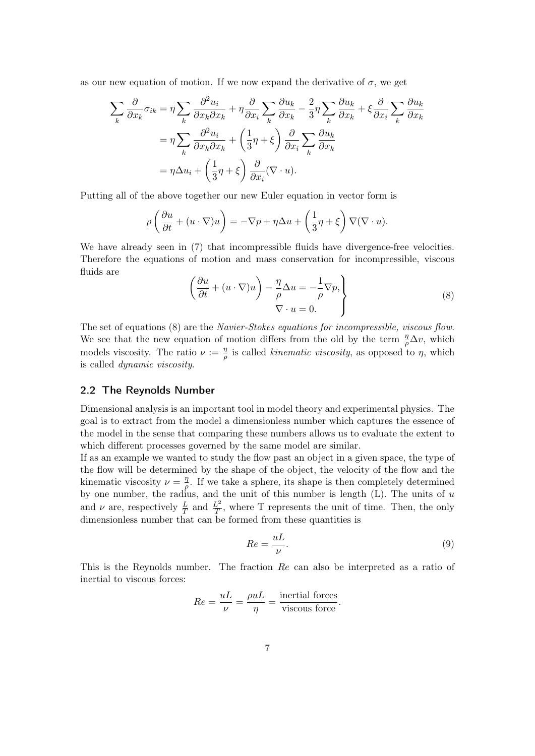as our new equation of motion. If we now expand the derivative of  $\sigma$ , we get

$$
\sum_{k} \frac{\partial}{\partial x_{k}} \sigma_{ik} = \eta \sum_{k} \frac{\partial^{2} u_{i}}{\partial x_{k} \partial x_{k}} + \eta \frac{\partial}{\partial x_{i}} \sum_{k} \frac{\partial u_{k}}{\partial x_{k}} - \frac{2}{3} \eta \sum_{k} \frac{\partial u_{k}}{\partial x_{k}} + \xi \frac{\partial}{\partial x_{i}} \sum_{k} \frac{\partial u_{k}}{\partial x_{k}}
$$

$$
= \eta \sum_{k} \frac{\partial^{2} u_{i}}{\partial x_{k} \partial x_{k}} + \left(\frac{1}{3} \eta + \xi\right) \frac{\partial}{\partial x_{i}} \sum_{k} \frac{\partial u_{k}}{\partial x_{k}}
$$

$$
= \eta \Delta u_{i} + \left(\frac{1}{3} \eta + \xi\right) \frac{\partial}{\partial x_{i}} (\nabla \cdot u).
$$

Putting all of the above together our new Euler equation in vector form is

$$
\rho\left(\frac{\partial u}{\partial t} + (u \cdot \nabla)u\right) = -\nabla p + \eta \Delta u + \left(\frac{1}{3}\eta + \xi\right) \nabla (\nabla \cdot u).
$$

We have already seen in (7) that incompressible fluids have divergence-free velocities. Therefore the equations of motion and mass conservation for incompressible, viscous fluids are

$$
\left(\frac{\partial u}{\partial t} + (u \cdot \nabla)u\right) - \frac{\eta}{\rho} \Delta u = -\frac{1}{\rho} \nabla p, \nabla \cdot u = 0.
$$
\n(8)

The set of equations (8) are the *Navier-Stokes equations for incompressible, viscous flow*. We see that the new equation of motion differs from the old by the term  $\frac{\eta}{\rho} \Delta v$ , which models viscosity. The ratio  $\nu := \frac{\eta}{a}$  $\frac{\eta}{\rho}$  is called *kinematic viscosity*, as opposed to *η*, which is called *dynamic viscosity*.

## 2.2 The Reynolds Number

Dimensional analysis is an important tool in model theory and experimental physics. The goal is to extract from the model a dimensionless number which captures the essence of the model in the sense that comparing these numbers allows us to evaluate the extent to which different processes governed by the same model are similar.

If as an example we wanted to study the flow past an object in a given space, the type of the flow will be determined by the shape of the object, the velocity of the flow and the kinematic viscosity  $\nu = \frac{\eta}{a}$  $\frac{\eta}{\rho}$ . If we take a sphere, its shape is then completely determined by one number, the radius, and the unit of this number is length (L). The units of *u* and  $\nu$  are, respectively  $\frac{L}{T}$  and  $\frac{L^2}{T}$ , where T represents the unit of time. Then, the only dimensionless number that can be formed from these quantities is

$$
Re = \frac{uL}{\nu}.
$$
\n(9)

This is the Reynolds number. The fraction *Re* can also be interpreted as a ratio of inertial to viscous forces:

$$
Re = \frac{uL}{\nu} = \frac{\rho uL}{\eta} = \frac{\text{inertial forces}}{\text{viscous force}}.
$$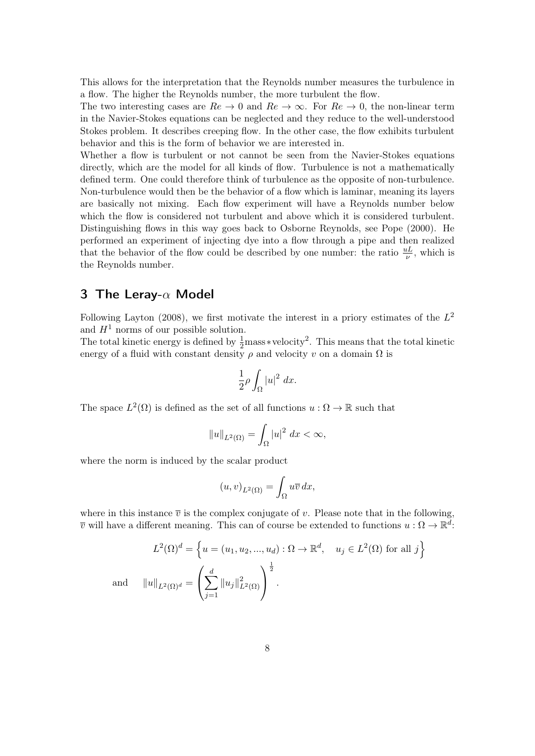This allows for the interpretation that the Reynolds number measures the turbulence in a flow. The higher the Reynolds number, the more turbulent the flow.

The two interesting cases are  $Re \to 0$  and  $Re \to \infty$ . For  $Re \to 0$ , the non-linear term in the Navier-Stokes equations can be neglected and they reduce to the well-understood Stokes problem. It describes creeping flow. In the other case, the flow exhibits turbulent behavior and this is the form of behavior we are interested in.

Whether a flow is turbulent or not cannot be seen from the Navier-Stokes equations directly, which are the model for all kinds of flow. Turbulence is not a mathematically defined term. One could therefore think of turbulence as the opposite of non-turbulence. Non-turbulence would then be the behavior of a flow which is laminar, meaning its layers are basically not mixing. Each flow experiment will have a Reynolds number below which the flow is considered not turbulent and above which it is considered turbulent. Distinguishing flows in this way goes back to Osborne Reynolds, see Pope (2000). He performed an experiment of injecting dye into a flow through a pipe and then realized that the behavior of the flow could be described by one number: the ratio  $\frac{uL}{\nu}$ , which is the Reynolds number.

# 3 The Leray-*α* Model

Following Layton (2008), we first motivate the interest in a priory estimates of the  $L^2$ and  $H^1$  norms of our possible solution.

The total kinetic energy is defined by  $\frac{1}{2}$  mass *∗*velocity<sup>2</sup>. This means that the total kinetic energy of a fluid with constant density  $\rho$  and velocity *v* on a domain  $\Omega$  is

$$
\frac{1}{2}\rho \int_{\Omega} |u|^2 \ dx.
$$

The space  $L^2(\Omega)$  is defined as the set of all functions  $u : \Omega \to \mathbb{R}$  such that

$$
||u||_{L^2(\Omega)} = \int_{\Omega} |u|^2 \ dx < \infty,
$$

where the norm is induced by the scalar product

$$
(u,v)_{L^2(\Omega)} = \int_{\Omega} u\overline{v} \, dx,
$$

where in this instance  $\bar{v}$  is the complex conjugate of *v*. Please note that in the following,  $\overline{v}$  will have a different meaning. This can of course be extended to functions  $u : \Omega \to \mathbb{R}^d$ :

$$
L^2(\Omega)^d = \left\{ u = (u_1, u_2, ..., u_d) : \Omega \to \mathbb{R}^d, \quad u_j \in L^2(\Omega) \text{ for all } j \right\}
$$
  
and 
$$
||u||_{L^2(\Omega)^d} = \left( \sum_{j=1}^d ||u_j||^2_{L^2(\Omega)} \right)^{\frac{1}{2}}.
$$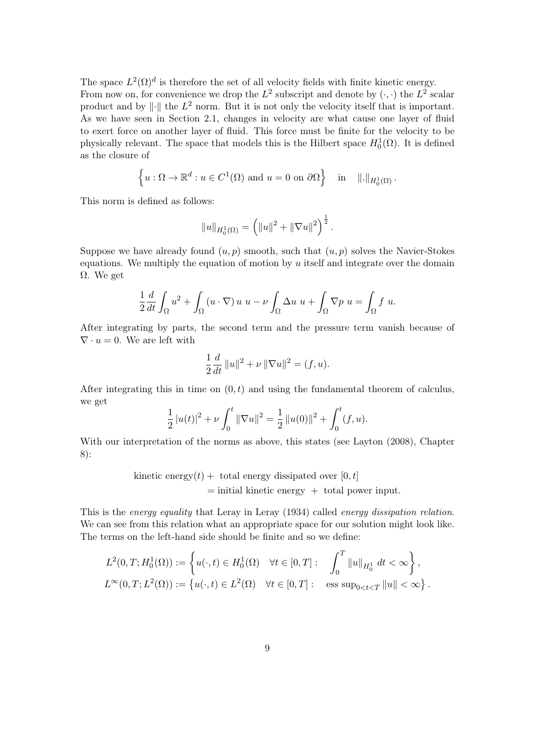The space  $L^2(\Omega)^d$  is therefore the set of all velocity fields with finite kinetic energy. From now on, for convenience we drop the  $L^2$  subscript and denote by  $(\cdot, \cdot)$  the  $L^2$  scalar product and by *∥·∥* the *L* <sup>2</sup> norm. But it is not only the velocity itself that is important. As we have seen in Section 2.1, changes in velocity are what cause one layer of fluid to exert force on another layer of fluid. This force must be finite for the velocity to be physically relevant. The space that models this is the Hilbert space  $H_0^1(\Omega)$ . It is defined as the closure of

$$
\left\{ u:\Omega\to\mathbb{R}^d:u\in C^1(\Omega)\text{ and }u=0\text{ on }\partial\Omega\right\}\quad\text{in}\quad\|.\|_{H^1_0(\Omega)}.
$$

This norm is defined as follows:

$$
||u||_{H_0^1(\Omega)} = \left(||u||^2 + ||\nabla u||^2\right)^{\frac{1}{2}}.
$$

Suppose we have already found  $(u, p)$  smooth, such that  $(u, p)$  solves the Navier-Stokes equations. We multiply the equation of motion by *u* itself and integrate over the domain Ω. We get

$$
\frac{1}{2}\frac{d}{dt}\int_{\Omega}u^2+\int_{\Omega}(u\cdot\nabla)\,u\,u-\nu\int_{\Omega}\Delta u\,u+\int_{\Omega}\nabla p\,u=\int_{\Omega}f\,u.
$$

After integrating by parts, the second term and the pressure term vanish because of  $\nabla \cdot u = 0$ . We are left with

$$
\frac{1}{2}\frac{d}{dt}\|u\|^2 + \nu \|\nabla u\|^2 = (f, u).
$$

After integrating this in time on  $(0, t)$  and using the fundamental theorem of calculus, we get

$$
\frac{1}{2}|u(t)|^2 + \nu \int_0^t \|\nabla u\|^2 = \frac{1}{2} ||u(0)||^2 + \int_0^t (f, u).
$$

With our interpretation of the norms as above, this states (see Layton (2008), Chapter 8):

> kinetic energy $(t)$  + total energy dissipated over  $[0, t]$ = initial kinetic energy + total power input*.*

This is the *energy equality* that Leray in Leray (1934) called *energy dissipation relation*. We can see from this relation what an appropriate space for our solution might look like. The terms on the left-hand side should be finite and so we define:

$$
L^{2}(0,T; H_{0}^{1}(\Omega)) := \left\{ u(\cdot,t) \in H_{0}^{1}(\Omega) \quad \forall t \in [0,T]: \quad \int_{0}^{T} ||u||_{H_{0}^{1}} dt < \infty \right\},\
$$
  

$$
L^{\infty}(0,T; L^{2}(\Omega)) := \left\{ u(\cdot,t) \in L^{2}(\Omega) \quad \forall t \in [0,T]: \quad \text{ess sup}_{0 < t < T} ||u|| < \infty \right\}.
$$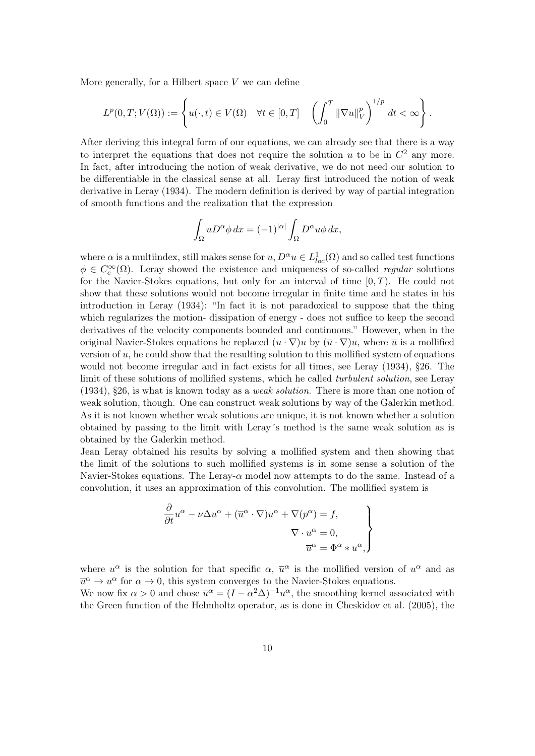More generally, for a Hilbert space *V* we can define

$$
L^p(0,T;V(\Omega)) := \left\{ u(\cdot,t) \in V(\Omega) \quad \forall t \in [0,T] \quad \left( \int_0^T \|\nabla u\|_V^p \right)^{1/p} dt < \infty \right\}.
$$

After deriving this integral form of our equations, we can already see that there is a way to interpret the equations that does not require the solution  $u$  to be in  $C^2$  any more. In fact, after introducing the notion of weak derivative, we do not need our solution to be differentiable in the classical sense at all. Leray first introduced the notion of weak derivative in Leray (1934). The modern definition is derived by way of partial integration of smooth functions and the realization that the expression

$$
\int_{\Omega} u D^{\alpha} \phi \, dx = (-1)^{|\alpha|} \int_{\Omega} D^{\alpha} u \phi \, dx,
$$

where  $\alpha$  is a multiindex, still makes sense for  $u, D^{\alpha}u \in L^1_{loc}(\Omega)$  and so called test functions  $\phi \in C_c^{\infty}(\Omega)$ . Leray showed the existence and uniqueness of so-called *regular* solutions for the Navier-Stokes equations, but only for an interval of time [0*, T*). He could not show that these solutions would not become irregular in finite time and he states in his introduction in Leray (1934): "In fact it is not paradoxical to suppose that the thing which regularizes the motion- dissipation of energy - does not suffice to keep the second derivatives of the velocity components bounded and continuous." However, when in the original Navier-Stokes equations he replaced  $(u \cdot \nabla)u$  by  $(\overline{u} \cdot \nabla)u$ , where  $\overline{u}$  is a mollified version of *u*, he could show that the resulting solution to this mollified system of equations would not become irregular and in fact exists for all times, see Leray (1934), §26. The limit of these solutions of mollified systems, which he called *turbulent solution*, see Leray (1934), §26, is what is known today as a *weak solution*. There is more than one notion of weak solution, though. One can construct weak solutions by way of the Galerkin method. As it is not known whether weak solutions are unique, it is not known whether a solution obtained by passing to the limit with Leray´s method is the same weak solution as is obtained by the Galerkin method.

Jean Leray obtained his results by solving a mollified system and then showing that the limit of the solutions to such mollified systems is in some sense a solution of the Navier-Stokes equations. The Leray- $\alpha$  model now attempts to do the same. Instead of a convolution, it uses an approximation of this convolution. The mollified system is

$$
\frac{\partial}{\partial t}u^{\alpha} - \nu \Delta u^{\alpha} + (\overline{u}^{\alpha} \cdot \nabla)u^{\alpha} + \nabla(p^{\alpha}) = f,
$$
  

$$
\nabla \cdot u^{\alpha} = 0,
$$
  

$$
\overline{u}^{\alpha} = \Phi^{\alpha} * u^{\alpha},
$$

where  $u^{\alpha}$  is the solution for that specific  $\alpha$ ,  $\overline{u}^{\alpha}$  is the mollified version of  $u^{\alpha}$  and as  $\overline{u}^{\alpha} \to u^{\alpha}$  for  $\alpha \to 0$ , this system converges to the Navier-Stokes equations. We now fix  $\alpha > 0$  and chose  $\overline{u}^{\alpha} = (I - \alpha^2 \Delta)^{-1} u^{\alpha}$ , the smoothing kernel associated with the Green function of the Helmholtz operator, as is done in Cheskidov et al. (2005), the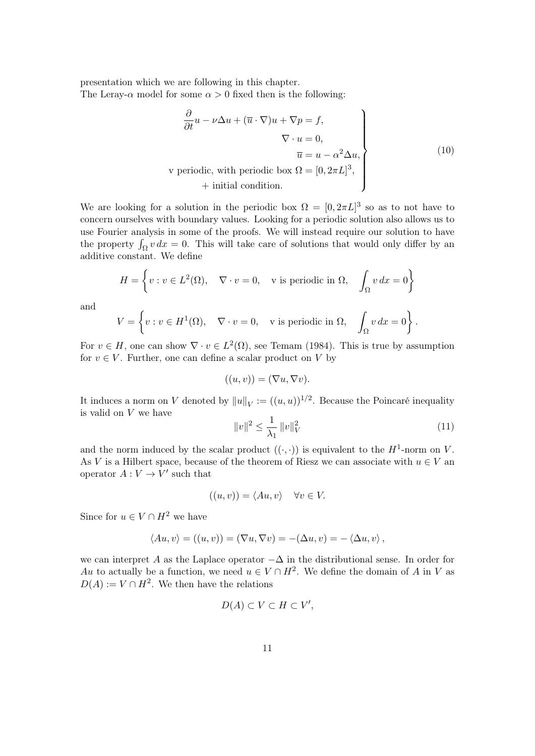presentation which we are following in this chapter. The Leray- $\alpha$  model for some  $\alpha > 0$  fixed then is the following:

$$
\frac{\partial}{\partial t}u - \nu \Delta u + (\overline{u} \cdot \nabla)u + \nabla p = f,
$$
  
\n
$$
\nabla \cdot u = 0,
$$
  
\n
$$
\overline{u} = u - \alpha^2 \Delta u,
$$
  
\n
$$
\nu \text{ periodic, with periodic box } \Omega = [0, 2\pi L]^3,
$$
  
\n+ initial condition. (10)

We are looking for a solution in the periodic box  $\Omega = [0, 2\pi L]^3$  so as to not have to concern ourselves with boundary values. Looking for a periodic solution also allows us to use Fourier analysis in some of the proofs. We will instead require our solution to have the property  $\int_{\Omega} v \, dx = 0$ . This will take care of solutions that would only differ by an additive constant. We define

$$
H = \left\{ v : v \in L^{2}(\Omega), \quad \nabla \cdot v = 0, \quad v \text{ is periodic in } \Omega, \quad \int_{\Omega} v \, dx = 0 \right\}
$$

and

$$
V = \left\{ v : v \in H^{1}(\Omega), \quad \nabla \cdot v = 0, \quad v \text{ is periodic in } \Omega, \quad \int_{\Omega} v \, dx = 0 \right\}.
$$

For  $v \in H$ , one can show  $\nabla \cdot v \in L^2(\Omega)$ , see Temam (1984). This is true by assumption for  $v \in V$ . Further, one can define a scalar product on *V* by

$$
((u, v)) = (\nabla u, \nabla v).
$$

It induces a norm on *V* denoted by  $||u||_V := ((u, u))^{1/2}$ . Because the Poincaré inequality is valid on *V* we have

$$
||v||^2 \le \frac{1}{\lambda_1} ||v||_V^2 \tag{11}
$$

and the norm induced by the scalar product  $((\cdot, \cdot))$  is equivalent to the  $H^1$ -norm on V. As *V* is a Hilbert space, because of the theorem of Riesz we can associate with  $u \in V$  and operator  $A: V \to V'$  such that

$$
((u, v)) = \langle Au, v \rangle \quad \forall v \in V.
$$

Since for  $u \in V \cap H^2$  we have

$$
\langle Au, v \rangle = ((u, v)) = (\nabla u, \nabla v) = -(\Delta u, v) = - \langle \Delta u, v \rangle,
$$

we can interpret *A* as the Laplace operator *−*∆ in the distributional sense. In order for Au to actually be a function, we need  $u \in V \cap H^2$ . We define the domain of *A* in *V* as  $D(A) := V \cap H^2$ . We then have the relations

$$
D(A) \subset V \subset H \subset V',
$$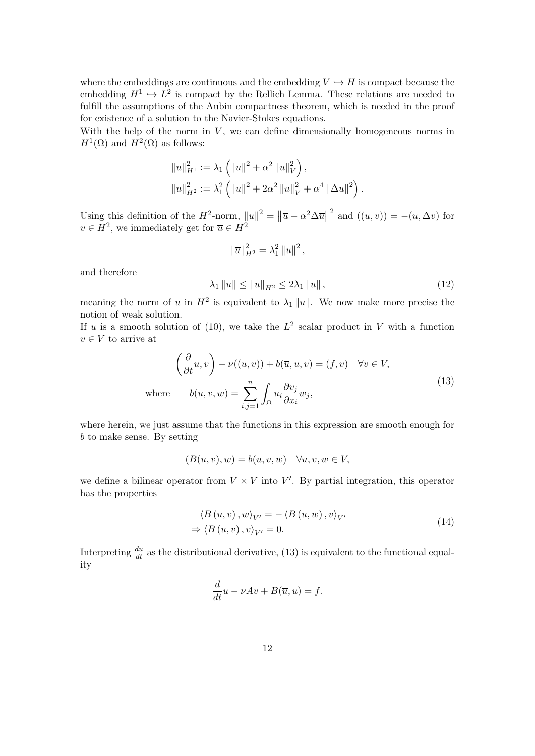where the embeddings are continuous and the embedding  $V \hookrightarrow H$  is compact because the embedding  $H^1 \hookrightarrow L^2$  is compact by the Rellich Lemma. These relations are needed to fulfill the assumptions of the Aubin compactness theorem, which is needed in the proof for existence of a solution to the Navier-Stokes equations.

With the help of the norm in  $V$ , we can define dimensionally homogeneous norms in  $H^1(\Omega)$  and  $H^2(\Omega)$  as follows:

$$
||u||_{H^1}^2 := \lambda_1 \left( ||u||^2 + \alpha^2 ||u||_V^2 \right),
$$
  

$$
||u||_{H^2}^2 := \lambda_1^2 \left( ||u||^2 + 2\alpha^2 ||u||_V^2 + \alpha^4 ||\Delta u||^2 \right).
$$

Using this definition of the  $H^2$ -norm,  $||u||^2 = ||\overline{u} - \alpha^2 \Delta \overline{u}||$  $2 \text{ and } ((u, v)) = -(u, \Delta v) \text{ for }$ *v* ∈ *H*<sup>2</sup>, we immediately get for  $\overline{u}$  ∈ *H*<sup>2</sup>

$$
\|\overline{u}\|_{H^2}^2 = \lambda_1^2 \|u\|^2 \,,
$$

and therefore

$$
\lambda_1 \|u\| \le \|\overline{u}\|_{H^2} \le 2\lambda_1 \|u\| \,, \tag{12}
$$

meaning the norm of  $\bar{u}$  in  $H^2$  is equivalent to  $\lambda_1 ||u||$ . We now make more precise the notion of weak solution.

If *u* is a smooth solution of (10), we take the  $L^2$  scalar product in *V* with a function  $v \in V$  to arrive at

$$
\left(\frac{\partial}{\partial t}u, v\right) + \nu((u, v)) + b(\overline{u}, u, v) = (f, v) \quad \forall v \in V,
$$
  
where 
$$
b(u, v, w) = \sum_{i,j=1}^{n} \int_{\Omega} u_i \frac{\partial v_j}{\partial x_i} w_j,
$$
 (13)

where herein, we just assume that the functions in this expression are smooth enough for *b* to make sense. By setting

$$
(B(u, v), w) = b(u, v, w) \quad \forall u, v, w \in V,
$$

we define a bilinear operator from  $V \times V$  into  $V'$ . By partial integration, this operator has the properties

$$
\langle B(u, v), w \rangle_{V'} = -\langle B(u, w), v \rangle_{V'}
$$
  
\n
$$
\Rightarrow \langle B(u, v), v \rangle_{V'} = 0.
$$
 (14)

Interpreting  $\frac{du}{dt}$  as the distributional derivative, (13) is equivalent to the functional equality

$$
\frac{d}{dt}u - \nu Av + B(\overline{u}, u) = f.
$$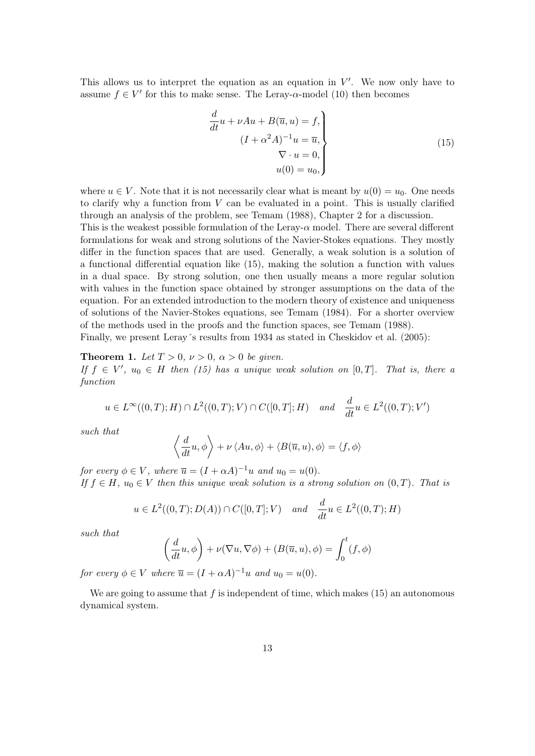This allows us to interpret the equation as an equation in  $V'$ . We now only have to assume  $f \in V'$  for this to make sense. The Leray-*α*-model (10) then becomes

$$
\frac{d}{dt}u + \nu Au + B(\overline{u}, u) = f,
$$
\n
$$
(I + \alpha^2 A)^{-1}u = \overline{u},
$$
\n
$$
\nabla \cdot u = 0,
$$
\n
$$
u(0) = u_0,
$$
\n(15)

where  $u \in V$ . Note that it is not necessarily clear what is meant by  $u(0) = u_0$ . One needs to clarify why a function from *V* can be evaluated in a point. This is usually clarified through an analysis of the problem, see Temam (1988), Chapter 2 for a discussion.

This is the weakest possible formulation of the Leray- $\alpha$  model. There are several different formulations for weak and strong solutions of the Navier-Stokes equations. They mostly differ in the function spaces that are used. Generally, a weak solution is a solution of a functional differential equation like (15), making the solution a function with values in a dual space. By strong solution, one then usually means a more regular solution with values in the function space obtained by stronger assumptions on the data of the equation. For an extended introduction to the modern theory of existence and uniqueness of solutions of the Navier-Stokes equations, see Temam (1984). For a shorter overview of the methods used in the proofs and the function spaces, see Temam (1988).

Finally, we present Leray's results from 1934 as stated in Cheskidov et al. (2005):

**Theorem 1.** Let  $T > 0$ ,  $\nu > 0$ ,  $\alpha > 0$  be given.

*If*  $f \in V'$ ,  $u_0 \in H$  *then* (15) has a unique weak solution on  $[0, T]$ . That is, there a *function*

$$
u \in L^{\infty}((0,T);H) \cap L^{2}((0,T);V) \cap C([0,T];H)
$$
 and  $\frac{d}{dt}u \in L^{2}((0,T);V')$ 

*such that*

$$
\left\langle \frac{d}{dt}u, \phi \right\rangle + \nu \left\langle Au, \phi \right\rangle + \left\langle B(\overline{u}, u), \phi \right\rangle = \left\langle f, \phi \right\rangle
$$

*for every*  $\phi \in V$ *, where*  $\overline{u} = (I + \alpha A)^{-1}u$  *and*  $u_0 = u(0)$ *. If*  $f \in H$ *,*  $u_0 \in V$  *then this unique weak solution is a strong solution on*  $(0, T)$ *. That is* 

$$
u \in L^2((0,T); D(A)) \cap C([0,T]; V)
$$
 and  $\frac{d}{dt}u \in L^2((0,T); H)$ 

*such that*

$$
\left(\frac{d}{dt}u,\phi\right) + \nu(\nabla u,\nabla \phi) + (B(\overline{u},u),\phi) = \int_0^t (f,\phi)
$$

*for every*  $\phi \in V$  *where*  $\overline{u} = (I + \alpha A)^{-1}u$  *and*  $u_0 = u(0)$ *.* 

We are going to assume that  $f$  is independent of time, which makes  $(15)$  an autonomous dynamical system.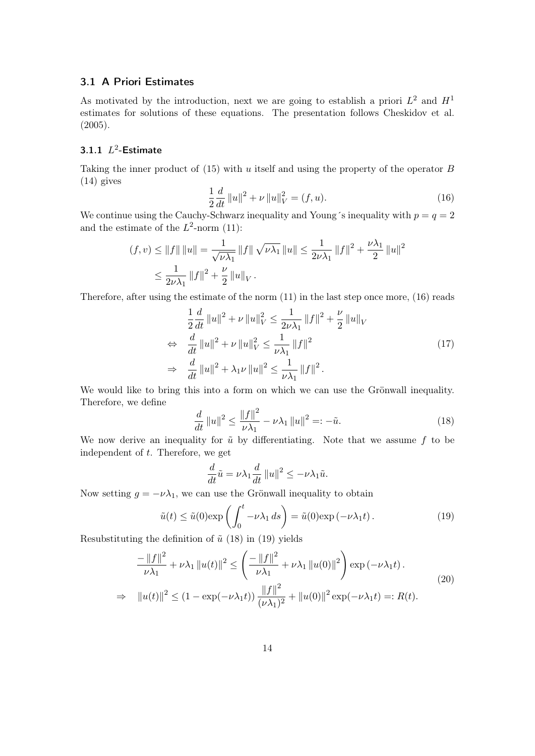## 3.1 A Priori Estimates

As motivated by the introduction, next we are going to establish a priori  $L^2$  and  $H^1$ estimates for solutions of these equations. The presentation follows Cheskidov et al. (2005).

## 3.1.1  $L^2$ -Estimate

Taking the inner product of (15) with *u* itself and using the property of the operator *B* (14) gives

$$
\frac{1}{2}\frac{d}{dt}\|u\|^2 + \nu \|u\|_V^2 = (f, u). \tag{16}
$$

We continue using the Cauchy-Schwarz inequality and Young's inequality with  $p = q = 2$ and the estimate of the  $L^2$ -norm (11):

$$
(f, v) \le ||f|| ||u|| = \frac{1}{\sqrt{\nu \lambda_1}} ||f|| \sqrt{\nu \lambda_1} ||u|| \le \frac{1}{2\nu \lambda_1} ||f||^2 + \frac{\nu \lambda_1}{2} ||u||^2
$$
  

$$
\le \frac{1}{2\nu \lambda_1} ||f||^2 + \frac{\nu}{2} ||u||_V.
$$

Therefore, after using the estimate of the norm (11) in the last step once more, (16) reads

$$
\frac{1}{2}\frac{d}{dt}\|u\|^2 + \nu \|u\|_V^2 \le \frac{1}{2\nu\lambda_1}\|f\|^2 + \frac{\nu}{2}\|u\|_V
$$
  
\n
$$
\Leftrightarrow \frac{d}{dt}\|u\|^2 + \nu \|u\|_V^2 \le \frac{1}{\nu\lambda_1}\|f\|^2
$$
  
\n
$$
\Rightarrow \frac{d}{dt}\|u\|^2 + \lambda_1 \nu \|u\|^2 \le \frac{1}{\nu\lambda_1}\|f\|^2.
$$
\n(17)

We would like to bring this into a form on which we can use the Grönwall inequality. Therefore, we define

$$
\frac{d}{dt} \|u\|^2 \le \frac{\|f\|^2}{\nu \lambda_1} - \nu \lambda_1 \|u\|^2 =: -\tilde{u}.\tag{18}
$$

We now derive an inequality for  $\tilde{u}$  by differentiating. Note that we assume  $f$  to be independent of *t*. Therefore, we get

$$
\frac{d}{dt}\tilde{u} = \nu \lambda_1 \frac{d}{dt} ||u||^2 \leq -\nu \lambda_1 \tilde{u}.
$$

Now setting  $g = -\nu \lambda_1$ , we can use the Grönwall inequality to obtain

$$
\tilde{u}(t) \le \tilde{u}(0) \exp\left(\int_0^t -\nu \lambda_1 ds\right) = \tilde{u}(0) \exp\left(-\nu \lambda_1 t\right). \tag{19}
$$

Resubstituting the definition of  $\tilde{u}$  (18) in (19) yields

$$
\frac{-\|f\|^2}{\nu\lambda_1} + \nu \lambda_1 \|u(t)\|^2 \le \left(\frac{-\|f\|^2}{\nu\lambda_1} + \nu \lambda_1 \|u(0)\|^2\right) \exp\left(-\nu \lambda_1 t\right).
$$
\n
$$
\Rightarrow \|u(t)\|^2 \le (1 - \exp(-\nu \lambda_1 t)) \frac{\|f\|^2}{(\nu \lambda_1)^2} + \|u(0)\|^2 \exp(-\nu \lambda_1 t) =: R(t).
$$
\n(20)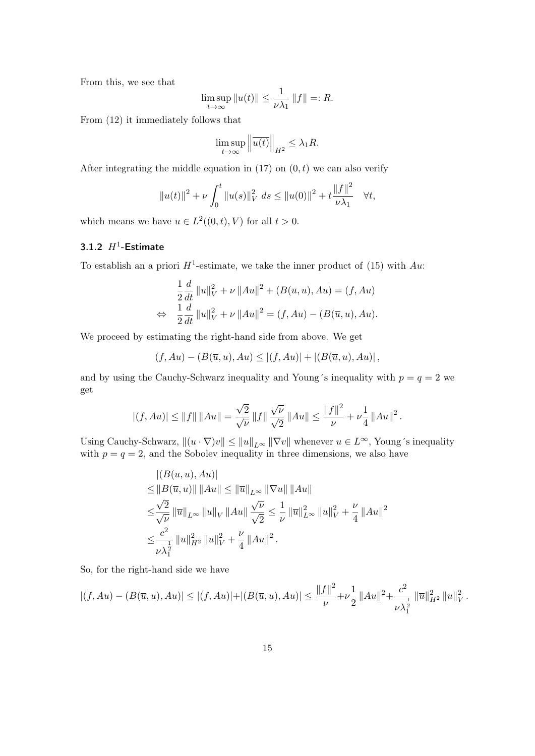From this, we see that

$$
\limsup_{t \to \infty} ||u(t)|| \le \frac{1}{\nu \lambda_1} ||f|| =: R.
$$

From (12) it immediately follows that

$$
\limsup_{t \to \infty} \left\| \overline{u(t)} \right\|_{H^2} \le \lambda_1 R.
$$

After integrating the middle equation in  $(17)$  on  $(0,t)$  we can also verify

$$
||u(t)||^{2} + \nu \int_{0}^{t} ||u(s)||_{V}^{2} ds \leq ||u(0)||^{2} + t \frac{||f||^{2}}{\nu \lambda_{1}} \quad \forall t,
$$

which means we have  $u \in L^2((0,t), V)$  for all  $t > 0$ .

## 3.1.2  $H^1$ -Estimate

To establish an a priori  $H^1$ -estimate, we take the inner product of (15) with  $Au$ .

$$
\frac{1}{2}\frac{d}{dt}\|u\|_{V}^{2} + \nu \|Au\|^{2} + (B(\overline{u}, u), Au) = (f, Au)
$$
  

$$
\Leftrightarrow \frac{1}{2}\frac{d}{dt}\|u\|_{V}^{2} + \nu \|Au\|^{2} = (f, Au) - (B(\overline{u}, u), Au).
$$

We proceed by estimating the right-hand side from above. We get

$$
(f, Au) - (B(\overline{u}, u), Au) \le |(f, Au)| + |(B(\overline{u}, u), Au)|,
$$

and by using the Cauchy-Schwarz inequality and Young´s inequality with  $p = q = 2$  we get

$$
|(f, Au)| \le ||f|| ||Au|| = \frac{\sqrt{2}}{\sqrt{\nu}} ||f|| \frac{\sqrt{\nu}}{\sqrt{2}} ||Au|| \le \frac{||f||^2}{\nu} + \nu \frac{1}{4} ||Au||^2.
$$

Using Cauchy-Schwarz,  $||(u \cdot \nabla)v|| \leq ||u||_{L^{\infty}} ||\nabla v||$  whenever  $u \in L^{\infty}$ , Young's inequality with  $p = q = 2$ , and the Sobolev inequality in three dimensions, we also have

$$
|(B(\overline{u}, u), Au)|
$$
  
\n
$$
\leq ||B(\overline{u}, u)|| ||Au|| \leq ||\overline{u}||_{L^{\infty}} ||\nabla u|| ||Au||
$$
  
\n
$$
\leq \frac{\sqrt{2}}{\sqrt{\nu}} ||\overline{u}||_{L^{\infty}} ||u||_{V} ||Au|| \frac{\sqrt{\nu}}{\sqrt{2}} \leq \frac{1}{\nu} ||\overline{u}||_{L^{\infty}}^{2} ||u||_{V}^{2} + \frac{\nu}{4} ||Au||^{2}
$$
  
\n
$$
\leq \frac{c^{2}}{\nu \lambda_{1}^{\frac{1}{2}}} ||\overline{u}||_{H^{2}}^{2} ||u||_{V}^{2} + \frac{\nu}{4} ||Au||^{2}.
$$

So, for the right-hand side we have

$$
|(f, Au) - (B(\overline{u}, u), Au)| \le |(f, Au)| + |(B(\overline{u}, u), Au)| \le \frac{\|f\|^2}{\nu} + \nu \frac{1}{2} ||Au||^2 + \frac{c^2}{\nu \lambda_1^{\frac{1}{2}}} ||\overline{u}||_{H^2}^2 ||u||_V^2.
$$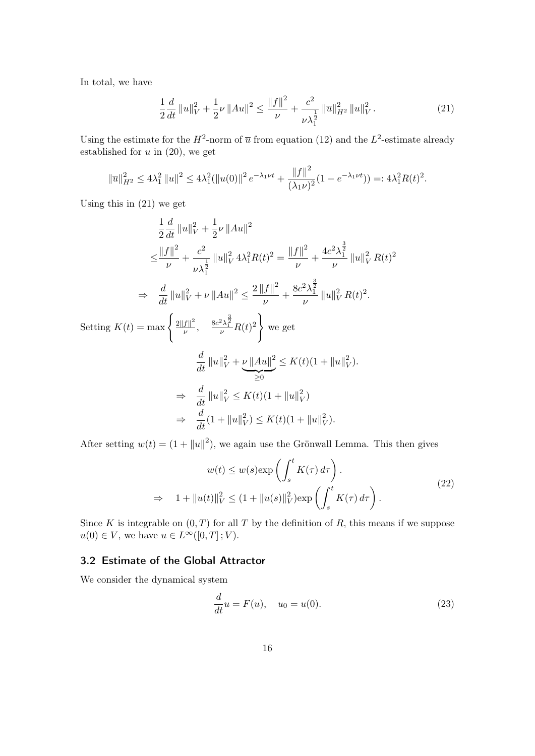In total, we have

$$
\frac{1}{2}\frac{d}{dt}\|u\|_{V}^{2} + \frac{1}{2}\nu\|Au\|^{2} \le \frac{\|f\|^{2}}{\nu} + \frac{c^{2}}{\nu\lambda_{1}^{\frac{1}{2}}}\|\overline{u}\|_{H^{2}}^{2}\|u\|_{V}^{2}.
$$
\n(21)

Using the estimate for the  $H^2$ -norm of  $\overline{u}$  from equation (12) and the  $L^2$ -estimate already established for *u* in (20), we get

$$
\|\overline{u}\|_{H^2}^2 \le 4\lambda_1^2 \|u\|^2 \le 4\lambda_1^2 (\|u(0)\|^2 e^{-\lambda_1 \nu t} + \frac{\|f\|^2}{(\lambda_1 \nu)^2} (1 - e^{-\lambda_1 \nu t})) =: 4\lambda_1^2 R(t)^2.
$$

Using this in (21) we get

$$
\frac{1}{2}\frac{d}{dt}\|u\|_{V}^{2} + \frac{1}{2}\nu\|Au\|^{2}
$$
\n
$$
\leq \frac{\|f\|^{2}}{\nu} + \frac{c^{2}}{\nu\lambda_{1}^{\frac{1}{2}}}\|u\|_{V}^{2} 4\lambda_{1}^{2}R(t)^{2} = \frac{\|f\|^{2}}{\nu} + \frac{4c^{2}\lambda_{1}^{\frac{3}{2}}}{\nu}\|u\|_{V}^{2}R(t)^{2}
$$
\n
$$
\Rightarrow \frac{d}{dt}\|u\|_{V}^{2} + \nu\|Au\|^{2} \leq \frac{2\|f\|^{2}}{\nu} + \frac{8c^{2}\lambda_{1}^{\frac{3}{2}}}{\nu}\|u\|_{V}^{2}R(t)^{2}.
$$
\nSetting  $K(t) = \max\left\{\frac{2\|f\|^{2}}{\nu}, \frac{8c^{2}\lambda_{1}^{\frac{3}{2}}}{\nu}R(t)^{2}\right\}$  we get\n
$$
\frac{d}{dt}\|u\|_{V}^{2} + \underbrace{\nu\|Au\|^{2}}_{\geq 0} \leq K(t)(1 + \|u\|_{V}^{2}).
$$
\n
$$
\Rightarrow \frac{d}{dt}\|u\|_{V}^{2} \leq K(t)(1 + \|u\|_{V}^{2})
$$
\n
$$
\Rightarrow \frac{d}{dt}(1 + \|u\|_{V}^{2}) \leq K(t)(1 + \|u\|_{V}^{2}).
$$

After setting  $w(t) = (1 + ||u||^2)$ , we again use the Grönwall Lemma. This then gives

$$
w(t) \le w(s) \exp\left(\int_s^t K(\tau) d\tau\right).
$$
  
\n
$$
\Rightarrow 1 + ||u(t)||_V^2 \le (1 + ||u(s)||_V^2) \exp\left(\int_s^t K(\tau) d\tau\right).
$$
\n(22)

Since *K* is integrable on  $(0, T)$  for all *T* by the definition of *R*, this means if we suppose  $u(0) \in V$ , we have  $u \in L^{\infty}([0,T];V)$ .

# 3.2 Estimate of the Global Attractor

We consider the dynamical system

$$
\frac{d}{dt}u = F(u), \quad u_0 = u(0).
$$
 (23)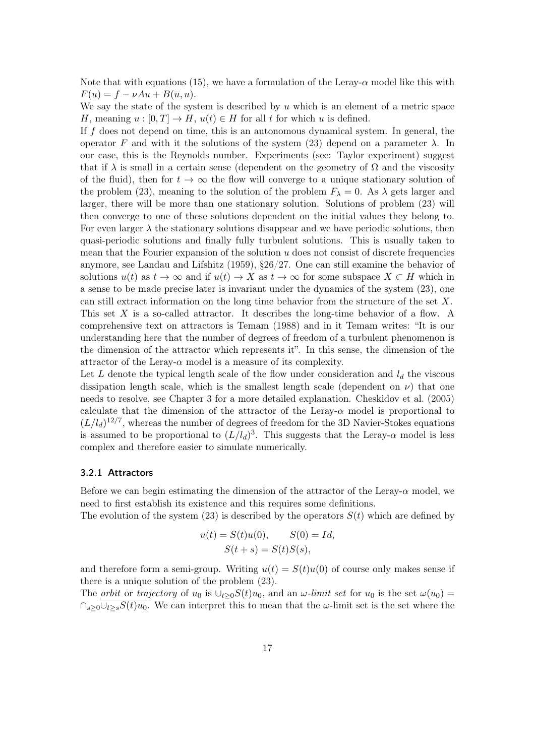Note that with equations (15), we have a formulation of the Leray- $\alpha$  model like this with  $F(u) = f - vAu + B(\overline{u}, u).$ 

We say the state of the system is described by *u* which is an element of a metric space *H*, meaning  $u : [0, T] \to H$ ,  $u(t) \in H$  for all *t* for which *u* is defined.

If *f* does not depend on time, this is an autonomous dynamical system. In general, the operator *F* and with it the solutions of the system (23) depend on a parameter  $\lambda$ . In our case, this is the Reynolds number. Experiments (see: Taylor experiment) suggest that if  $\lambda$  is small in a certain sense (dependent on the geometry of  $\Omega$  and the viscosity of the fluid), then for  $t \to \infty$  the flow will converge to a unique stationary solution of the problem (23), meaning to the solution of the problem  $F_{\lambda} = 0$ . As  $\lambda$  gets larger and larger, there will be more than one stationary solution. Solutions of problem (23) will then converge to one of these solutions dependent on the initial values they belong to. For even larger  $\lambda$  the stationary solutions disappear and we have periodic solutions, then quasi-periodic solutions and finally fully turbulent solutions. This is usually taken to mean that the Fourier expansion of the solution *u* does not consist of discrete frequencies anymore, see Landau and Lifshitz (1959), §26/27. One can still examine the behavior of solutions  $u(t)$  as  $t \to \infty$  and if  $u(t) \to X$  as  $t \to \infty$  for some subspace  $X \subset H$  which in a sense to be made precise later is invariant under the dynamics of the system (23), one can still extract information on the long time behavior from the structure of the set *X*. This set X is a so-called attractor. It describes the long-time behavior of a flow. A comprehensive text on attractors is Temam (1988) and in it Temam writes: "It is our understanding here that the number of degrees of freedom of a turbulent phenomenon is the dimension of the attractor which represents it". In this sense, the dimension of the attractor of the Leray- $\alpha$  model is a measure of its complexity.

Let L denote the typical length scale of the flow under consideration and  $l_d$  the viscous dissipation length scale, which is the smallest length scale (dependent on  $\nu$ ) that one needs to resolve, see Chapter 3 for a more detailed explanation. Cheskidov et al. (2005) calculate that the dimension of the attractor of the Leray-*α* model is proportional to  $(L/l_d)^{12/7}$ , whereas the number of degrees of freedom for the 3D Navier-Stokes equations is assumed to be proportional to  $(L/l_d)^3$ . This suggests that the Leray- $\alpha$  model is less complex and therefore easier to simulate numerically.

### 3.2.1 Attractors

Before we can begin estimating the dimension of the attractor of the Leray-*α* model, we need to first establish its existence and this requires some definitions.

The evolution of the system  $(23)$  is described by the operators  $S(t)$  which are defined by

$$
u(t) = S(t)u(0), \qquad S(0) = Id,
$$
  

$$
S(t + s) = S(t)S(s),
$$

and therefore form a semi-group. Writing  $u(t) = S(t)u(0)$  of course only makes sense if there is a unique solution of the problem (23).

The *orbit* or *trajectory* of  $u_0$  is  $\bigcup_{t>0} S(t)u_0$ , and an *ω-limit set* for  $u_0$  is the set  $\omega(u_0)$  =  $\cap_{s>0}$ *∪*<sub>t≥</sub>*sS*(*t*)*u*<sub>0</sub>. We can interpret this to mean that the *ω*-limit set is the set where the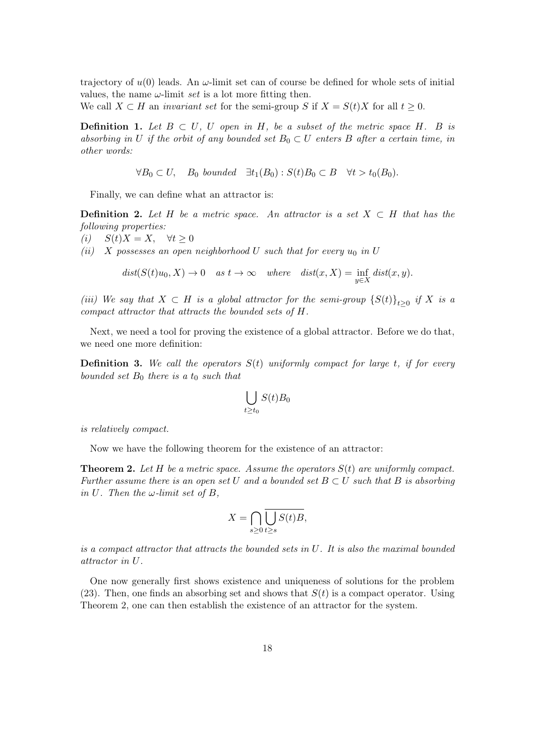trajectory of  $u(0)$  leads. An  $\omega$ -limit set can of course be defined for whole sets of initial values, the name  $\omega$ -limit *set* is a lot more fitting then.

We call  $X \subset H$  an *invariant set* for the semi-group *S* if  $X = S(t)X$  for all  $t \geq 0$ .

**Definition 1.** *Let*  $B ⊂ U$ *, U open in*  $H$ *, be a subset of the metric space*  $H$ *.*  $B$  *is absorbing in U if the orbit of any bounded set*  $B_0 \subset U$  *enters B after a certain time, in other words:*

*∀B*<sub>0</sub>  $\subset U$ *, B*<sub>0</sub> *bounded*  $\exists t_1(B_0) : S(t)B_0 \subset B$   $\forall t > t_0(B_0)$ *.* 

Finally, we can define what an attractor is:

**Definition 2.** Let  $H$  be a metric space. An attractor is a set  $X \subset H$  that has the *following properties:*

*(i)*  $S(t)X = X$ ,  $∀t ≥ 0$ 

*(ii) X* possesses an open neighborhood U such that for every  $u_0$  in U

$$
dist(S(t)u_0, X) \to 0
$$
 as  $t \to \infty$  where  $dist(x, X) = \inf_{y \in X} dist(x, y)$ .

*(iii)* We say that  $X \subset H$  *is a global attractor for the semi-group*  ${S(t)}_{t≥0}$  *if*  $X$  *is a compact attractor that attracts the bounded sets of H.*

Next, we need a tool for proving the existence of a global attractor. Before we do that, we need one more definition:

Definition 3. *We call the operators S*(*t*) *uniformly compact for large t, if for every bounded set B*<sup>0</sup> *there is a t*<sup>0</sup> *such that*

$$
\bigcup_{t \ge t_0} S(t)B_0
$$

*is relatively compact.*

Now we have the following theorem for the existence of an attractor:

Theorem 2. *Let H be a metric space. Assume the operators S*(*t*) *are uniformly compact. Further assume there is an open set*  $U$  *and a bounded set*  $B \subset U$  *such that*  $B$  *is absorbing in*  $U$ *. Then the*  $\omega$ *-limit set of*  $B$ *,* 

$$
X = \bigcap_{s \ge 0} \bigcup_{t \ge s} S(t)B,
$$

*is a compact attractor that attracts the bounded sets in U. It is also the maximal bounded attractor in U.*

One now generally first shows existence and uniqueness of solutions for the problem (23). Then, one finds an absorbing set and shows that  $S(t)$  is a compact operator. Using Theorem 2, one can then establish the existence of an attractor for the system.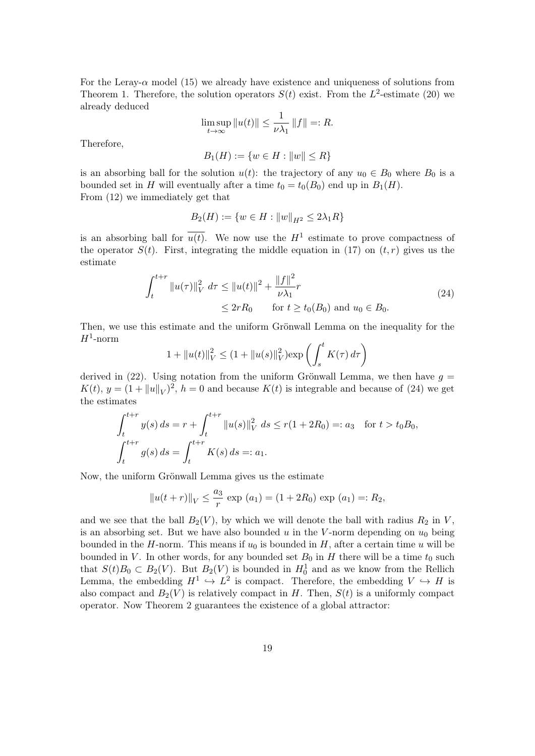For the Leray- $\alpha$  model (15) we already have existence and uniqueness of solutions from Theorem 1. Therefore, the solution operators  $S(t)$  exist. From the  $L^2$ -estimate (20) we already deduced

$$
\limsup_{t \to \infty} ||u(t)|| \le \frac{1}{\nu \lambda_1} ||f|| =: R.
$$

Therefore,

$$
B_1(H) := \{ w \in H : ||w|| \le R \}
$$

is an absorbing ball for the solution  $u(t)$ : the trajectory of any  $u_0 \in B_0$  where  $B_0$  is a bounded set in *H* will eventually after a time  $t_0 = t_0(B_0)$  end up in  $B_1(H)$ . From (12) we immediately get that

$$
B_2(H) := \{ w \in H : ||w||_{H^2} \le 2\lambda_1 R \}
$$

is an absorbing ball for  $\overline{u(t)}$ . We now use the  $H^1$  estimate to prove compactness of the operator  $S(t)$ . First, integrating the middle equation in (17) on  $(t, r)$  gives us the estimate

$$
\int_{t}^{t+r} \|u(\tau)\|_{V}^{2} d\tau \le \|u(t)\|^{2} + \frac{\|f\|^{2}}{\nu \lambda_{1}} r
$$
\n
$$
\le 2rR_{0} \qquad \text{for } t \ge t_{0}(B_{0}) \text{ and } u_{0} \in B_{0}.
$$
\n(24)

Then, we use this estimate and the uniform Grönwall Lemma on the inequality for the  $H^1$ -norm

$$
1 + ||u(t)||_V^2 \le (1 + ||u(s)||_V^2) \exp\left(\int_s^t K(\tau) d\tau\right)
$$

derived in  $(22)$ . Using notation from the uniform Grönwall Lemma, we then have  $g =$  $K(t)$ ,  $y = (1 + ||u||_V)^2$ ,  $h = 0$  and because  $K(t)$  is integrable and because of (24) we get the estimates

$$
\int_{t}^{t+r} y(s) ds = r + \int_{t}^{t+r} ||u(s)||_{V}^{2} ds \le r(1 + 2R_{0}) =: a_{3} \text{ for } t > t_{0}B_{0},
$$
  

$$
\int_{t}^{t+r} g(s) ds = \int_{t}^{t+r} K(s) ds =: a_{1}.
$$

Now, the uniform Grönwall Lemma gives us the estimate

$$
||u(t+r)||_V \le \frac{a_3}{r} \exp(a_1) = (1+2R_0) \exp(a_1) =: R_2,
$$

and we see that the ball  $B_2(V)$ , by which we will denote the ball with radius  $R_2$  in  $V$ , is an absorbing set. But we have also bounded  $u$  in the  $V$ -norm depending on  $u_0$  being bounded in the *H*-norm. This means if  $u_0$  is bounded in *H*, after a certain time *u* will be bounded in *V*. In other words, for any bounded set  $B_0$  in *H* there will be a time  $t_0$  such that  $S(t)B_0 \subset B_2(V)$ . But  $B_2(V)$  is bounded in  $H_0^1$  and as we know from the Rellich Lemma, the embedding  $H^1 \hookrightarrow L^2$  is compact. Therefore, the embedding  $V \hookrightarrow H$  is also compact and  $B_2(V)$  is relatively compact in *H*. Then,  $S(t)$  is a uniformly compact operator. Now Theorem 2 guarantees the existence of a global attractor: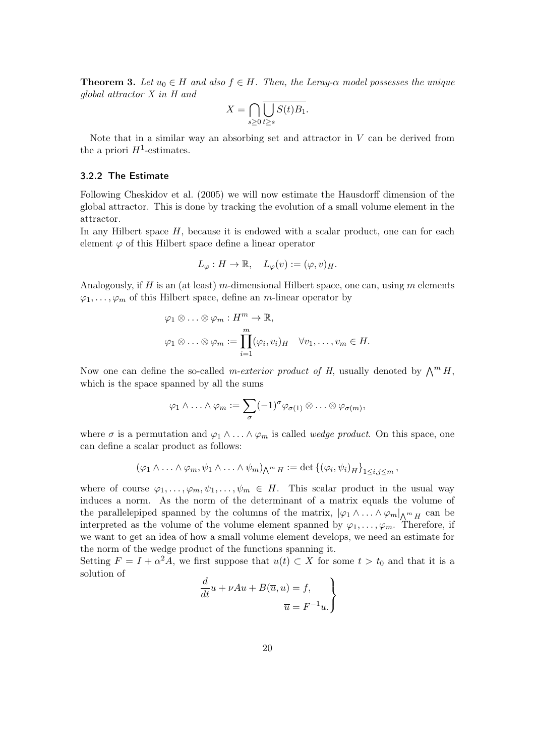**Theorem 3.** Let  $u_0 \in H$  and also  $f \in H$ . Then, the Leray- $\alpha$  model possesses the unique *global attractor X in H and*

$$
X = \bigcap_{s \ge 0} \overline{\bigcup_{t \ge s} S(t)B_1}.
$$

Note that in a similar way an absorbing set and attractor in *V* can be derived from the a priori  $H^1$ -estimates.

## 3.2.2 The Estimate

Following Cheskidov et al. (2005) we will now estimate the Hausdorff dimension of the global attractor. This is done by tracking the evolution of a small volume element in the attractor.

In any Hilbert space *H*, because it is endowed with a scalar product, one can for each element  $\varphi$  of this Hilbert space define a linear operator

$$
L_{\varphi}: H \to \mathbb{R}, \quad L_{\varphi}(v) := (\varphi, v)_{H}.
$$

Analogously, if *H* is an (at least) *m*-dimensional Hilbert space, one can, using *m* elements  $\varphi_1, \ldots, \varphi_m$  of this Hilbert space, define an *m*-linear operator by

$$
\varphi_1 \otimes \ldots \otimes \varphi_m : H^m \to \mathbb{R},
$$
  

$$
\varphi_1 \otimes \ldots \otimes \varphi_m := \prod_{i=1}^m (\varphi_i, v_i)_H \quad \forall v_1, \ldots, v_m \in H.
$$

Now one can define the so-called *m-exterior product of H*, usually denoted by  $\bigwedge^m H$ , which is the space spanned by all the sums

$$
\varphi_1 \wedge \ldots \wedge \varphi_m := \sum_{\sigma} (-1)^{\sigma} \varphi_{\sigma(1)} \otimes \ldots \otimes \varphi_{\sigma(m)},
$$

where  $\sigma$  is a permutation and  $\varphi_1 \wedge \ldots \wedge \varphi_m$  is called *wedge product*. On this space, one can define a scalar product as follows:

$$
(\varphi_1 \wedge \ldots \wedge \varphi_m, \psi_1 \wedge \ldots \wedge \psi_m)_{\bigwedge^m H} := \det \left\{ (\varphi_i, \psi_i)_H \right\}_{1 \leq i,j \leq m},
$$

where of course  $\varphi_1, \ldots, \varphi_m, \psi_1, \ldots, \psi_m \in H$ . This scalar product in the usual way induces a norm. As the norm of the determinant of a matrix equals the volume of the parallelepiped spanned by the columns of the matrix,  $|\varphi_1 \wedge ... \wedge \varphi_m|_{\Lambda^m H}$  can be interpreted as the volume of the volume element spanned by  $\varphi_1, \ldots, \varphi_m$ . Therefore, if we want to get an idea of how a small volume element develops, we need an estimate for the norm of the wedge product of the functions spanning it.

Setting  $F = I + \alpha^2 A$ , we first suppose that  $u(t) \subset X$  for some  $t > t_0$  and that it is a solution of

$$
\frac{d}{dt}u + \nu Au + B(\overline{u}, u) = f,
$$

$$
\overline{u} = F^{-1}u.
$$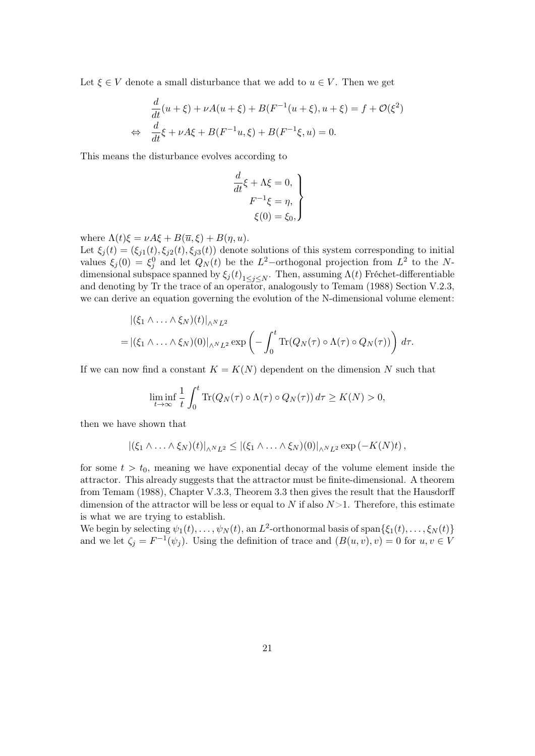Let  $\xi \in V$  denote a small disturbance that we add to  $u \in V$ . Then we get

$$
\frac{d}{dt}(u+\xi) + \nu A(u+\xi) + B(F^{-1}(u+\xi), u+\xi) = f + \mathcal{O}(\xi^2)
$$
  
\n
$$
\Leftrightarrow \frac{d}{dt}\xi + \nu A\xi + B(F^{-1}u, \xi) + B(F^{-1}\xi, u) = 0.
$$

This means the disturbance evolves according to

$$
\frac{d}{dt}\xi + \Lambda \xi = 0,
$$
  

$$
F^{-1}\xi = \eta,
$$
  

$$
\xi(0) = \xi_0,
$$

where  $\Lambda(t)\xi = \nu A\xi + B(\overline{u},\xi) + B(\eta, u)$ .

Let  $\xi_i(t) = (\xi_{i1}(t), \xi_{i2}(t), \xi_{i3}(t))$  denote solutions of this system corresponding to initial values  $\xi_j(0) = \xi_j^0$  and let  $Q_N(t)$  be the *L*<sup>2</sup>–orthogonal projection from *L*<sup>2</sup> to the *N*dimensional subspace spanned by  $\xi_j(t)_{1 \leq j \leq N}$ . Then, assuming  $\Lambda(t)$  Fréchet-differentiable and denoting by Tr the trace of an operator, analogously to Temam (1988) Section V.2.3, we can derive an equation governing the evolution of the N-dimensional volume element:

$$
\begin{aligned} &\left| (\xi_1 \wedge \ldots \wedge \xi_N)(t) \right|_{\wedge^N L^2} \\ =& \left| (\xi_1 \wedge \ldots \wedge \xi_N)(0) \right|_{\wedge^N L^2} \exp \left( - \int_0^t \text{Tr}(Q_N(\tau) \circ \Lambda(\tau) \circ Q_N(\tau)) \right) d\tau. \end{aligned}
$$

If we can now find a constant  $K = K(N)$  dependent on the dimension N such that

$$
\liminf_{t \to \infty} \frac{1}{t} \int_0^t \text{Tr}(Q_N(\tau) \circ \Lambda(\tau) \circ Q_N(\tau)) d\tau \ge K(N) > 0,
$$

then we have shown that

$$
|(\xi_1 \wedge \ldots \wedge \xi_N)(t)|_{\wedge^N L^2} \leq |(\xi_1 \wedge \ldots \wedge \xi_N)(0)|_{\wedge^N L^2} \exp(-K(N)t),
$$

for some  $t > t_0$ , meaning we have exponential decay of the volume element inside the attractor. This already suggests that the attractor must be finite-dimensional. A theorem from Temam (1988), Chapter V.3.3, Theorem 3.3 then gives the result that the Hausdorff dimension of the attractor will be less or equal to *N* if also *N*>1. Therefore, this estimate is what we are trying to establish.

We begin by selecting  $\psi_1(t), \ldots, \psi_N(t)$ , an  $L^2$ -orthonormal basis of span $\{\xi_1(t), \ldots, \xi_N(t)\}$ and we let  $\zeta_j = F^{-1}(\psi_j)$ . Using the definition of trace and  $(B(u, v), v) = 0$  for  $u, v \in V$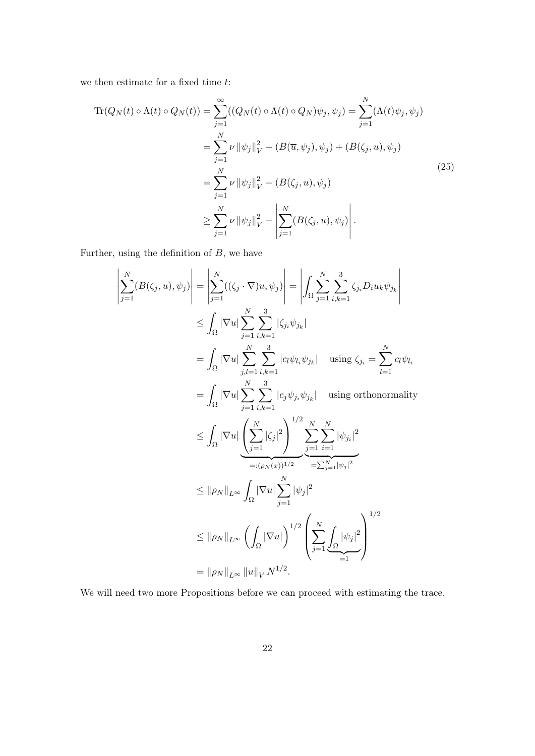we then estimate for a fixed time *t*:

$$
\begin{split} \text{Tr}(Q_N(t) \circ \Lambda(t) \circ Q_N(t)) &= \sum_{j=1}^{\infty} ((Q_N(t) \circ \Lambda(t) \circ Q_N)\psi_j, \psi_j) = \sum_{j=1}^N (\Lambda(t)\psi_j, \psi_j) \\ &= \sum_{j=1}^N \nu \|\psi_j\|_V^2 + (B(\overline{u}, \psi_j), \psi_j) + (B(\zeta_j, u), \psi_j) \\ &= \sum_{j=1}^N \nu \|\psi_j\|_V^2 + (B(\zeta_j, u), \psi_j) \\ &\ge \sum_{j=1}^N \nu \|\psi_j\|_V^2 - \left|\sum_{j=1}^N (B(\zeta_j, u), \psi_j)\right|. \end{split} \tag{25}
$$

Further, using the definition of *B*, we have

$$
\left| \sum_{j=1}^{N} (B(\zeta_j, u), \psi_j) \right| = \left| \sum_{j=1}^{N} ((\zeta_j \cdot \nabla)u, \psi_j) \right| = \left| \int_{\Omega} \sum_{j=1}^{N} \sum_{i,k=1}^{3} \zeta_{ji} D_i u_k \psi_{j_k} \right|
$$
  
\n
$$
\leq \int_{\Omega} |\nabla u| \sum_{j=1}^{N} \sum_{i,k=1}^{3} |\zeta_{ji} \psi_{jk}| \text{ using } \zeta_{ji} = \sum_{l=1}^{N} c_l \psi_{l_l}
$$
  
\n
$$
= \int_{\Omega} |\nabla u| \sum_{j=1}^{N} \sum_{i,k=1}^{3} |c_l \psi_{li} \psi_{jk}| \text{ using orthonormality}
$$
  
\n
$$
\leq \int_{\Omega} |\nabla u| \left( \sum_{j=1}^{N} |\zeta_j|^2 \right)^{1/2} \sum_{j=1}^{N} \sum_{i=1}^{N} |\psi_{ji}|^2
$$
  
\n
$$
\leq ||\rho_N||_{L^{\infty}} \int_{\Omega} |\nabla u| \sum_{j=1}^{N} |\psi_j|^2
$$
  
\n
$$
\leq ||\rho_N||_{L^{\infty}} \int_{\Omega} |\nabla u| \sum_{j=1}^{N} |\psi_j|^2
$$
  
\n
$$
= ||\rho_N||_{L^{\infty}} \left( \int_{\Omega} |\nabla u| \right)^{1/2} \left( \sum_{j=1}^{N} \int_{\Omega} |\psi_j|^2 \right)^{1/2}
$$
  
\n
$$
= ||\rho_N||_{L^{\infty}} ||u||_V N^{1/2}.
$$

We will need two more Propositions before we can proceed with estimating the trace.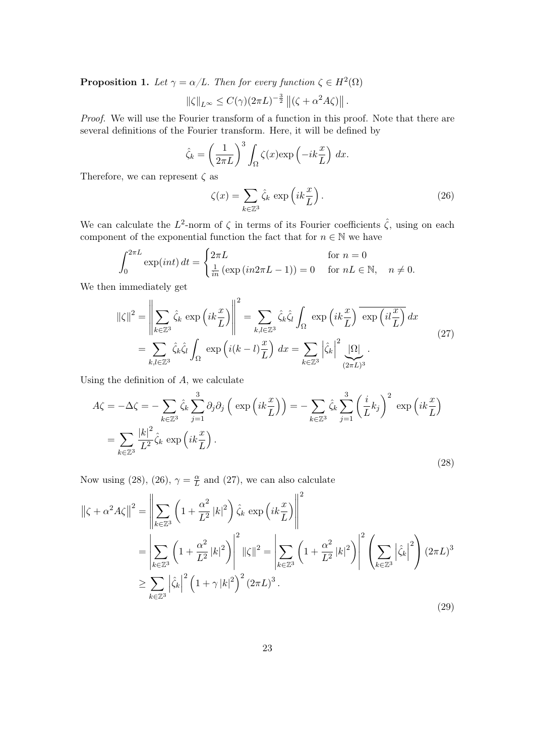**Proposition 1.** Let  $\gamma = \alpha/L$ . Then for every function  $\zeta \in H^2(\Omega)$ 

$$
\|\zeta\|_{L^{\infty}} \leq C(\gamma)(2\pi L)^{-\frac{3}{2}} \left\|(\zeta + \alpha^2 A \zeta)\right\|.
$$

*Proof.* We will use the Fourier transform of a function in this proof. Note that there are several definitions of the Fourier transform. Here, it will be defined by

$$
\hat{\zeta}_k = \left(\frac{1}{2\pi L}\right)^3 \int_{\Omega} \zeta(x) \exp\left(-ik\frac{x}{L}\right) dx.
$$

Therefore, we can represent *ζ* as

$$
\zeta(x) = \sum_{k \in \mathbb{Z}^3} \hat{\zeta}_k \, \exp\left(ik\frac{x}{L}\right). \tag{26}
$$

We can calculate the  $L^2$ -norm of  $\zeta$  in terms of its Fourier coefficients  $\hat{\zeta}$ , using on each component of the exponential function the fact that for  $n \in \mathbb{N}$  we have

$$
\int_0^{2\pi L} \exp(int) dt = \begin{cases} 2\pi L & \text{for } n = 0\\ \frac{1}{in} \left( \exp(in2\pi L - 1) \right) = 0 & \text{for } nL \in \mathbb{N}, \quad n \neq 0. \end{cases}
$$

We then immediately get

$$
\|\zeta\|^2 = \left\|\sum_{k \in \mathbb{Z}^3} \hat{\zeta}_k \exp\left(ik\frac{x}{L}\right)\right\|^2 = \sum_{k,l \in \mathbb{Z}^3} \hat{\zeta}_k \hat{\zeta}_l \int_{\Omega} \exp\left(ik\frac{x}{L}\right) \overline{\exp\left(il\frac{x}{L}\right)} dx
$$
  

$$
= \sum_{k,l \in \mathbb{Z}^3} \hat{\zeta}_k \hat{\zeta}_l \int_{\Omega} \exp\left(i(k-l)\frac{x}{L}\right) dx = \sum_{k \in \mathbb{Z}^3} \left|\hat{\zeta}_k\right|^2 \underbrace{\Omega}_{(2\pi L)^3}.
$$
 (27)

Using the definition of *A*, we calculate

$$
A\zeta = -\Delta\zeta = -\sum_{k \in \mathbb{Z}^3} \hat{\zeta}_k \sum_{j=1}^3 \partial_j \partial_j \left( \exp\left(ik\frac{x}{L}\right) \right) = -\sum_{k \in \mathbb{Z}^3} \hat{\zeta}_k \sum_{j=1}^3 \left(\frac{i}{L}k_j\right)^2 \exp\left(ik\frac{x}{L}\right)
$$

$$
= \sum_{k \in \mathbb{Z}^3} \frac{|k|^2}{L^2} \hat{\zeta}_k \exp\left(ik\frac{x}{L}\right).
$$
(28)

Now using (28), (26),  $\gamma = \frac{\alpha}{L}$  $\frac{\alpha}{L}$  and (27), we can also calculate

$$
\|\zeta + \alpha^2 A \zeta\|^2 = \left\|\sum_{k \in \mathbb{Z}^3} \left(1 + \frac{\alpha^2}{L^2} |k|^2\right) \hat{\zeta}_k \exp\left(ik\frac{x}{L}\right)\right\|^2
$$
  
\n
$$
= \left|\sum_{k \in \mathbb{Z}^3} \left(1 + \frac{\alpha^2}{L^2} |k|^2\right)\right|^2 \|\zeta\|^2 = \left|\sum_{k \in \mathbb{Z}^3} \left(1 + \frac{\alpha^2}{L^2} |k|^2\right)\right|^2 \left(\sum_{k \in \mathbb{Z}^3} \left|\hat{\zeta}_k\right|^2\right) (2\pi L)^3
$$
  
\n
$$
\geq \sum_{k \in \mathbb{Z}^3} \left|\hat{\zeta}_k\right|^2 \left(1 + \gamma |k|^2\right)^2 (2\pi L)^3.
$$
\n(29)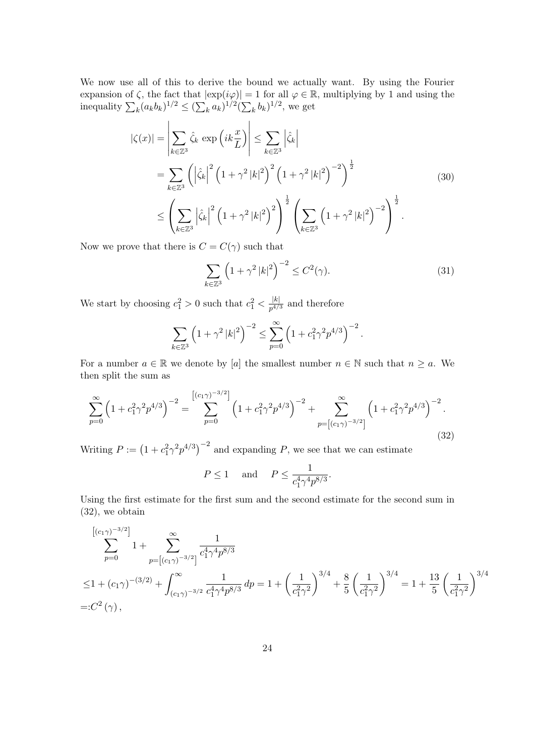We now use all of this to derive the bound we actually want. By using the Fourier expansion of  $\zeta$ , the fact that  $|\exp(i\varphi)| = 1$  for all  $\varphi \in \mathbb{R}$ , multiplying by 1 and using the inequality  $\sum_{k} (a_{k}b_{k})^{1/2}$  ≤  $(\sum_{k} a_{k})^{1/2} (\sum_{k} b_{k})^{1/2}$ , we get

$$
\begin{split}\n|\zeta(x)| &= \left| \sum_{k \in \mathbb{Z}^3} \hat{\zeta}_k \exp\left(ik\frac{x}{L}\right) \right| \leq \sum_{k \in \mathbb{Z}^3} \left| \hat{\zeta}_k \right| \\
&= \sum_{k \in \mathbb{Z}^3} \left( \left| \hat{\zeta}_k \right|^2 \left( 1 + \gamma^2 \left| k \right|^2 \right)^2 \left( 1 + \gamma^2 \left| k \right|^2 \right)^{-2} \right)^{\frac{1}{2}} \\
&\leq \left( \sum_{k \in \mathbb{Z}^3} \left| \hat{\zeta}_k \right|^2 \left( 1 + \gamma^2 \left| k \right|^2 \right)^2 \right)^{\frac{1}{2}} \left( \sum_{k \in \mathbb{Z}^3} \left( 1 + \gamma^2 \left| k \right|^2 \right)^{-2} \right)^{\frac{1}{2}}.\n\end{split} \tag{30}
$$

Now we prove that there is  $C = C(\gamma)$  such that

$$
\sum_{k \in \mathbb{Z}^3} \left( 1 + \gamma^2 |k|^2 \right)^{-2} \le C^2(\gamma). \tag{31}
$$

We start by choosing  $c_1^2 > 0$  such that  $c_1^2 < \frac{|k|}{p^{4/3}}$  and therefore

$$
\sum_{k \in \mathbb{Z}^3} \left( 1 + \gamma^2 |k|^2 \right)^{-2} \le \sum_{p=0}^{\infty} \left( 1 + c_1^2 \gamma^2 p^{4/3} \right)^{-2}.
$$

For a number  $a \in \mathbb{R}$  we denote by [*a*] the smallest number  $n \in \mathbb{N}$  such that  $n \ge a$ . We then split the sum as

$$
\sum_{p=0}^{\infty} \left(1 + c_1^2 \gamma^2 p^{4/3}\right)^{-2} = \sum_{p=0}^{\left[ (c_1 \gamma)^{-3/2} \right]} \left(1 + c_1^2 \gamma^2 p^{4/3}\right)^{-2} + \sum_{p=\left[ (c_1 \gamma)^{-3/2} \right]}^{\infty} \left(1 + c_1^2 \gamma^2 p^{4/3}\right)^{-2}.
$$
\n(32)

Writing  $P := (1 + c_1^2 \gamma^2 p^{4/3})^{-2}$  and expanding *P*, we see that we can estimate

$$
P \le 1 \quad \text{and} \quad P \le \frac{1}{c_1^4 \gamma^4 p^{8/3}}.
$$

Using the first estimate for the first sum and the second estimate for the second sum in (32), we obtain

$$
\sum_{p=0}^{\left[ (c_1 \gamma)^{-3/2} \right]} 1 + \sum_{p=\left[ (c_1 \gamma)^{-3/2} \right]}^{\infty} \frac{1}{c_1^4 \gamma^4 p^{8/3}}
$$
  
\n
$$
\leq 1 + (c_1 \gamma)^{-(3/2)} + \int_{(c_1 \gamma)^{-3/2}}^{\infty} \frac{1}{c_1^4 \gamma^4 p^{8/3}} dp = 1 + \left( \frac{1}{c_1^2 \gamma^2} \right)^{3/4} + \frac{8}{5} \left( \frac{1}{c_1^2 \gamma^2} \right)^{3/4} = 1 + \frac{13}{5} \left( \frac{1}{c_1^2 \gamma^2} \right)^{3/4}
$$
  
\n=: $C^2(\gamma)$ ,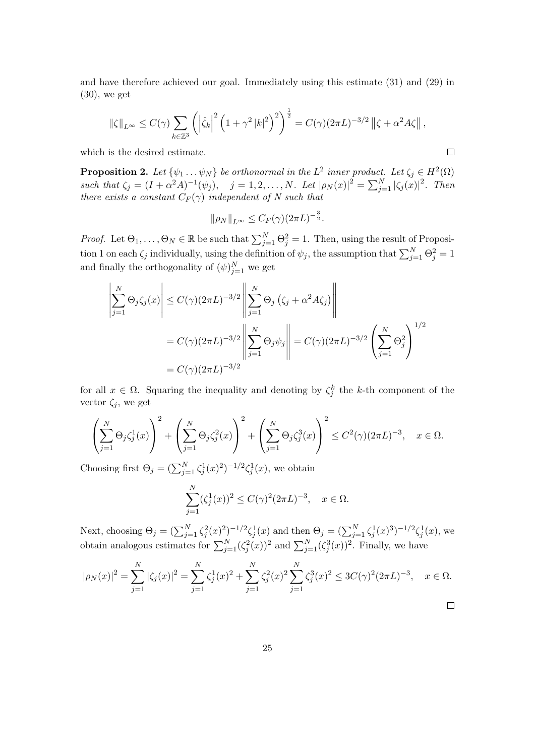and have therefore achieved our goal. Immediately using this estimate (31) and (29) in (30), we get

$$
\|\zeta\|_{L^{\infty}} \leq C(\gamma) \sum_{k \in \mathbb{Z}^3} \left( \left| \hat{\zeta}_k \right|^2 \left( 1 + \gamma^2 |k|^2 \right)^2 \right)^{\frac{1}{2}} = C(\gamma) (2\pi L)^{-3/2} \left\| \zeta + \alpha^2 A \zeta \right\|,
$$

which is the desired estimate.

**Proposition 2.** Let  $\{\psi_1 \dots \psi_N\}$  be orthonormal in the  $L^2$  inner product. Let  $\zeta_j \in H^2(\Omega)$ such that  $\zeta_j = (I + \alpha^2 A)^{-1}(\psi_j)$ ,  $j = 1, 2, ..., N$ . Let  $|\rho_N(x)|^2 = \sum_{j=1}^N |\zeta_j(x)|^2$ . Then *there exists a constant*  $C_F(\gamma)$  *independent of* N such that

$$
\|\rho_N\|_{L^\infty} \leq C_F(\gamma)(2\pi L)^{-\frac{3}{2}}.
$$

*Proof.* Let  $\Theta_1, \ldots, \Theta_N \in \mathbb{R}$  be such that  $\sum_{j=1}^N \Theta_j^2 = 1$ . Then, using the result of Proposition 1 on each  $\zeta_j$  individually, using the definition of  $\psi_j$ , the assumption that  $\sum_{j=1}^{N} \Theta_j^2 = 1$ and finally the orthogonality of  $(\psi)_{j=1}^N$  we get

$$
\left| \sum_{j=1}^{N} \Theta_j \zeta_j(x) \right| \le C(\gamma) (2\pi L)^{-3/2} \left\| \sum_{j=1}^{N} \Theta_j \left( \zeta_j + \alpha^2 A \zeta_j \right) \right\|
$$
  
=  $C(\gamma) (2\pi L)^{-3/2} \left\| \sum_{j=1}^{N} \Theta_j \psi_j \right\| = C(\gamma) (2\pi L)^{-3/2} \left( \sum_{j=1}^{N} \Theta_j^2 \right)^{1/2}$   
=  $C(\gamma) (2\pi L)^{-3/2}$ 

for all  $x \in \Omega$ . Squaring the inequality and denoting by  $\zeta_j^k$  the *k*-th component of the vector  $\zeta_j$ , we get

$$
\left(\sum_{j=1}^N\Theta_j\zeta_j^1(x)\right)^2+\left(\sum_{j=1}^N\Theta_j\zeta_j^2(x)\right)^2+\left(\sum_{j=1}^N\Theta_j\zeta_j^3(x)\right)^2\leq C^2(\gamma)(2\pi L)^{-3},\quad x\in\Omega.
$$

Choosing first  $\Theta_j = (\sum_{j=1}^N \zeta_j^1(x)^2)^{-1/2} \zeta_j^1(x)$ , we obtain

$$
\sum_{j=1}^{N} (\zeta_j^1(x))^2 \le C(\gamma)^2 (2\pi L)^{-3}, \quad x \in \Omega.
$$

Next, choosing  $\Theta_j = (\sum_{j=1}^N \zeta_j^2(x)^2)^{-1/2} \zeta_j^1(x)$  and then  $\Theta_j = (\sum_{j=1}^N \zeta_j^1(x)^3)^{-1/2} \zeta_j^1(x)$ , we obtain analogous estimates for  $\sum_{j=1}^{N} (\zeta_j^2(x))^2$  and  $\sum_{j=1}^{N} (\zeta_j^3(x))^2$ . Finally, we have

$$
|\rho_N(x)|^2 = \sum_{j=1}^N |\zeta_j(x)|^2 = \sum_{j=1}^N \zeta_j^1(x)^2 + \sum_{j=1}^N \zeta_j^2(x)^2 \sum_{j=1}^N \zeta_j^3(x)^2 \le 3C(\gamma)^2 (2\pi L)^{-3}, \quad x \in \Omega.
$$

$$
\qquad \qquad \Box
$$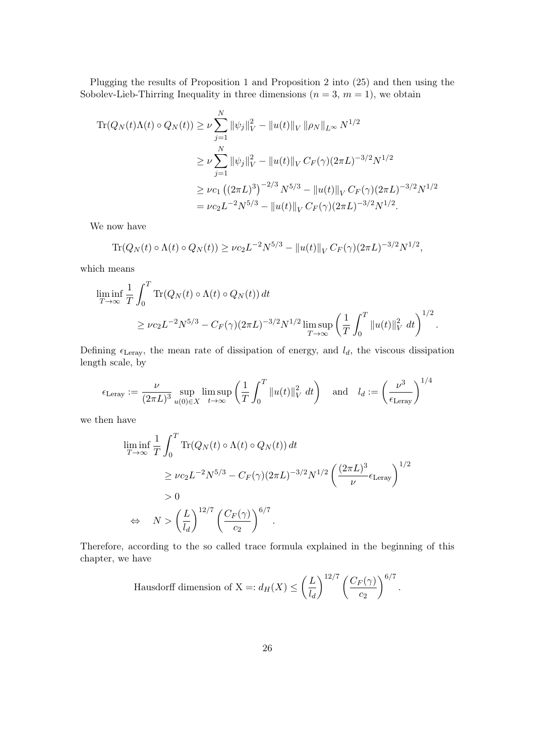Plugging the results of Proposition 1 and Proposition 2 into (25) and then using the Sobolev-Lieb-Thirring Inequality in three dimensions  $(n = 3, m = 1)$ , we obtain

$$
\begin{split} \text{Tr}(Q_N(t)\Lambda(t) \circ Q_N(t)) &\geq \nu \sum_{j=1}^N \|\psi_j\|_V^2 - \|u(t)\|_V \|\rho_N\|_{L^\infty} N^{1/2} \\ &\geq \nu \sum_{j=1}^N \|\psi_j\|_V^2 - \|u(t)\|_V \, C_F(\gamma) (2\pi L)^{-3/2} N^{1/2} \\ &\geq \nu c_1 \left( (2\pi L)^3 \right)^{-2/3} N^{5/3} - \|u(t)\|_V \, C_F(\gamma) (2\pi L)^{-3/2} N^{1/2} \\ &= \nu c_2 L^{-2} N^{5/3} - \|u(t)\|_V \, C_F(\gamma) (2\pi L)^{-3/2} N^{1/2}. \end{split}
$$

We now have

$$
\text{Tr}(Q_N(t) \circ \Lambda(t) \circ Q_N(t)) \ge \nu c_2 L^{-2} N^{5/3} - ||u(t)||_V C_F(\gamma) (2\pi L)^{-3/2} N^{1/2},
$$

which means

$$
\liminf_{T \to \infty} \frac{1}{T} \int_0^T \text{Tr}(Q_N(t) \circ \Lambda(t) \circ Q_N(t)) dt
$$
  
 
$$
\ge \nu c_2 L^{-2} N^{5/3} - C_F(\gamma) (2\pi L)^{-3/2} N^{1/2} \limsup_{T \to \infty} \left( \frac{1}{T} \int_0^T \|u(t)\|_V^2 dt \right)^{1/2}.
$$

Defining  $\epsilon_{\text{Leray}}$ , the mean rate of dissipation of energy, and  $l_d$ , the viscous dissipation length scale, by

$$
\epsilon_{\text{Leray}} := \frac{\nu}{(2\pi L)^3} \sup_{u(0)\in X} \limsup_{t\to\infty} \left(\frac{1}{T} \int_0^T \|u(t)\|_V^2 dt\right) \quad \text{and} \quad l_d := \left(\frac{\nu^3}{\epsilon_{\text{Leray}}}\right)^{1/4}
$$

we then have

$$
\liminf_{T \to \infty} \frac{1}{T} \int_0^T \text{Tr}(Q_N(t) \circ \Lambda(t) \circ Q_N(t)) dt
$$
\n
$$
\ge \nu c_2 L^{-2} N^{5/3} - C_F(\gamma) (2\pi L)^{-3/2} N^{1/2} \left(\frac{(2\pi L)^3}{\nu} \epsilon_{\text{Leray}}\right)^{1/2}
$$
\n
$$
\Rightarrow 0
$$
\n
$$
\Rightarrow N > \left(\frac{L}{l_d}\right)^{12/7} \left(\frac{C_F(\gamma)}{c_2}\right)^{6/7}.
$$

Therefore, according to the so called trace formula explained in the beginning of this chapter, we have

Hausdorff dimension of X =: 
$$
d_H(X) \leq \left(\frac{L}{l_d}\right)^{12/7} \left(\frac{C_F(\gamma)}{c_2}\right)^{6/7}
$$
.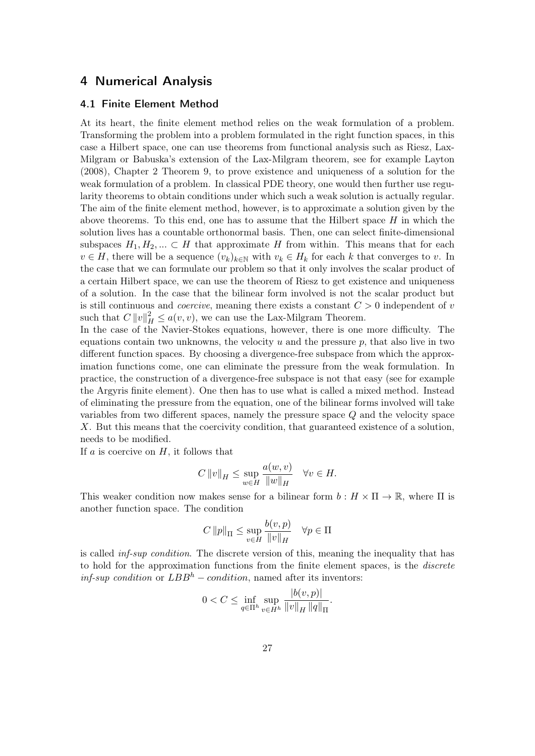# 4 Numerical Analysis

## 4.1 Finite Element Method

At its heart, the finite element method relies on the weak formulation of a problem. Transforming the problem into a problem formulated in the right function spaces, in this case a Hilbert space, one can use theorems from functional analysis such as Riesz, Lax-Milgram or Babuska's extension of the Lax-Milgram theorem, see for example Layton (2008), Chapter 2 Theorem 9, to prove existence and uniqueness of a solution for the weak formulation of a problem. In classical PDE theory, one would then further use regularity theorems to obtain conditions under which such a weak solution is actually regular. The aim of the finite element method, however, is to approximate a solution given by the above theorems. To this end, one has to assume that the Hilbert space *H* in which the solution lives has a countable orthonormal basis. Then, one can select finite-dimensional subspaces  $H_1, H_2, \ldots \subset H$  that approximate *H* from within. This means that for each  $v \in H$ , there will be a sequence  $(v_k)_{k \in \mathbb{N}}$  with  $v_k \in H_k$  for each *k* that converges to *v*. In the case that we can formulate our problem so that it only involves the scalar product of a certain Hilbert space, we can use the theorem of Riesz to get existence and uniqueness of a solution. In the case that the bilinear form involved is not the scalar product but is still continuous and *coercive*, meaning there exists a constant *C >* 0 independent of *v* such that  $C ||v||_H^2 \le a(v, v)$ , we can use the Lax-Milgram Theorem.

In the case of the Navier-Stokes equations, however, there is one more difficulty. The equations contain two unknowns, the velocity *u* and the pressure *p*, that also live in two different function spaces. By choosing a divergence-free subspace from which the approximation functions come, one can eliminate the pressure from the weak formulation. In practice, the construction of a divergence-free subspace is not that easy (see for example the Argyris finite element). One then has to use what is called a mixed method. Instead of eliminating the pressure from the equation, one of the bilinear forms involved will take variables from two different spaces, namely the pressure space *Q* and the velocity space *X*. But this means that the coercivity condition, that guaranteed existence of a solution, needs to be modified.

If *a* is coercive on *H*, it follows that

$$
C\left\|v\right\|_{H} \le \sup_{w \in H} \frac{a(w, v)}{\|w\|_{H}} \quad \forall v \in H.
$$

This weaker condition now makes sense for a bilinear form  $b: H \times \Pi \to \mathbb{R}$ , where  $\Pi$  is another function space. The condition

$$
C \|p\|_{\Pi} \le \sup_{v \in H} \frac{b(v, p)}{\|v\|_{H}} \quad \forall p \in \Pi
$$

is called *inf-sup condition*. The discrete version of this, meaning the inequality that has to hold for the approximation functions from the finite element spaces, is the *discrete inf-sup condition* or  $LBB^h$  – *condition*, named after its inventors:

$$
0 < C \le \inf_{q \in \Pi^h} \sup_{v \in H^h} \frac{|b(v, p)|}{\|v\|_H \, \|q\|_{\Pi}}.
$$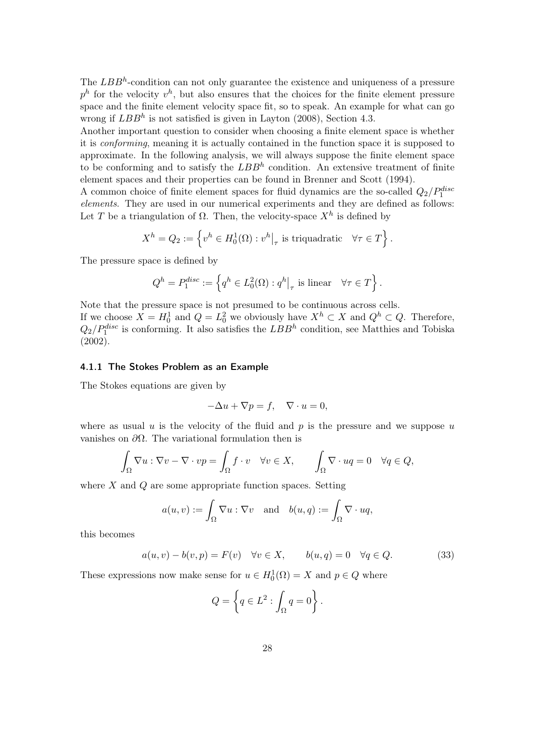The *LBB*<sup>*h*</sup>-condition can not only guarantee the existence and uniqueness of a pressure  $p^h$  for the velocity  $v^h$ , but also ensures that the choices for the finite element pressure space and the finite element velocity space fit, so to speak. An example for what can go wrong if *LBB<sup>h</sup>* is not satisfied is given in Layton (2008), Section 4.3.

Another important question to consider when choosing a finite element space is whether it is *conforming*, meaning it is actually contained in the function space it is supposed to approximate. In the following analysis, we will always suppose the finite element space to be conforming and to satisfy the *LBB<sup>h</sup>* condition. An extensive treatment of finite element spaces and their properties can be found in Brenner and Scott (1994).

A common choice of finite element spaces for fluid dynamics are the so-called *Q*2*/Pdisc* 1 *elements*. They are used in our numerical experiments and they are defined as follows: Let *T* be a triangulation of  $\Omega$ . Then, the velocity-space  $X^h$  is defined by

$$
X^{h} = Q_{2} := \left\{ v^{h} \in H_{0}^{1}(\Omega) : v^{h} \big|_{\tau} \text{ is triquadratic} \quad \forall \tau \in T \right\}.
$$

The pressure space is defined by

$$
Q^{h} = P_{1}^{disc} := \left\{ q^{h} \in L_{0}^{2}(\Omega) : q^{h} \big|_{\tau} \text{ is linear } \forall \tau \in T \right\}.
$$

Note that the pressure space is not presumed to be continuous across cells. If we choose  $X = H_0^1$  and  $Q = L_0^2$  we obviously have  $X^h \subset X$  and  $Q^h \subset Q$ . Therefore,  $Q_2/P_1^{disc}$  is conforming. It also satisfies the  $LBB^h$  condition, see Matthies and Tobiska (2002).

### 4.1.1 The Stokes Problem as an Example

The Stokes equations are given by

$$
-\Delta u + \nabla p = f, \quad \nabla \cdot u = 0,
$$

where as usual  $u$  is the velocity of the fluid and  $p$  is the pressure and we suppose  $u$ vanishes on *∂*Ω. The variational formulation then is

$$
\int_{\Omega} \nabla u : \nabla v - \nabla \cdot vp = \int_{\Omega} f \cdot v \quad \forall v \in X, \qquad \int_{\Omega} \nabla \cdot uq = 0 \quad \forall q \in Q,
$$

where *X* and *Q* are some appropriate function spaces. Setting

$$
a(u, v) := \int_{\Omega} \nabla u : \nabla v \quad \text{and} \quad b(u, q) := \int_{\Omega} \nabla \cdot u q,
$$

this becomes

$$
a(u, v) - b(v, p) = F(v) \quad \forall v \in X, \qquad b(u, q) = 0 \quad \forall q \in Q. \tag{33}
$$

These expressions now make sense for  $u \in H_0^1(\Omega) = X$  and  $p \in Q$  where

$$
Q = \left\{ q \in L^2 : \int_{\Omega} q = 0 \right\}.
$$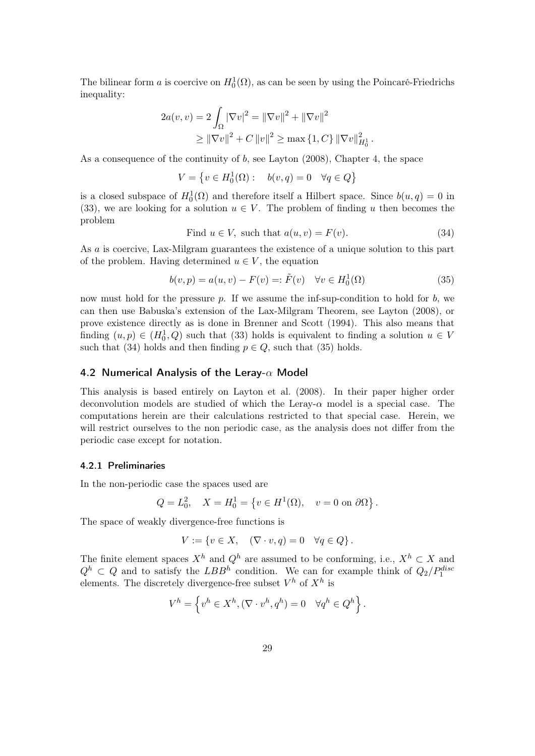The bilinear form *a* is coercive on  $H_0^1(\Omega)$ , as can be seen by using the Poincaré-Friedrichs inequality:

$$
2a(v, v) = 2\int_{\Omega} |\nabla v|^2 = ||\nabla v||^2 + ||\nabla v||^2
$$
  
\n
$$
\ge ||\nabla v||^2 + C ||v||^2 \ge \max\{1, C\} ||\nabla v||_{H_0^1}^2
$$

As a consequence of the continuity of *b*, see Layton (2008), Chapter 4, the space

$$
V = \left\{ v \in H_0^1(\Omega) : \quad b(v, q) = 0 \quad \forall q \in Q \right\}
$$

is a closed subspace of  $H_0^1(\Omega)$  and therefore itself a Hilbert space. Since  $b(u, q) = 0$  in (33), we are looking for a solution  $u \in V$ . The problem of finding *u* then becomes the problem

Find 
$$
u \in V
$$
, such that  $a(u, v) = F(v)$ . (34)

*.*

As *a* is coercive, Lax-Milgram guarantees the existence of a unique solution to this part of the problem. Having determined  $u \in V$ , the equation

$$
b(v, p) = a(u, v) - F(v) =: \tilde{F}(v) \quad \forall v \in H_0^1(\Omega)
$$
\n
$$
(35)
$$

now must hold for the pressure *p*. If we assume the inf-sup-condition to hold for *b*, we can then use Babuska's extension of the Lax-Milgram Theorem, see Layton (2008), or prove existence directly as is done in Brenner and Scott (1994). This also means that finding  $(u, p) \in (H_0^1, Q)$  such that (33) holds is equivalent to finding a solution  $u \in V$ such that (34) holds and then finding  $p \in Q$ , such that (35) holds.

#### 4.2 Numerical Analysis of the Leray-*α* Model

This analysis is based entirely on Layton et al. (2008). In their paper higher order deconvolution models are studied of which the Leray-*α* model is a special case. The computations herein are their calculations restricted to that special case. Herein, we will restrict ourselves to the non periodic case, as the analysis does not differ from the periodic case except for notation.

### 4.2.1 Preliminaries

In the non-periodic case the spaces used are

$$
Q = L_0^2
$$
,  $X = H_0^1 = \{ v \in H^1(\Omega), v = 0 \text{ on } \partial\Omega \}.$ 

The space of weakly divergence-free functions is

$$
V := \{ v \in X, \quad (\nabla \cdot v, q) = 0 \quad \forall q \in Q \}.
$$

The finite element spaces  $X^h$  and  $Q^h$  are assumed to be conforming, i.e.,  $X^h \subset X$  and  $Q^h \subset Q$  and to satisfy the *LBB<sup>h</sup>* condition. We can for example think of  $Q_2/P_1^{disc}$ elements. The discretely divergence-free subset  $V^h$  of  $X^h$  is

$$
V^h = \left\{ v^h \in X^h, (\nabla \cdot v^h, q^h) = 0 \quad \forall q^h \in Q^h \right\}.
$$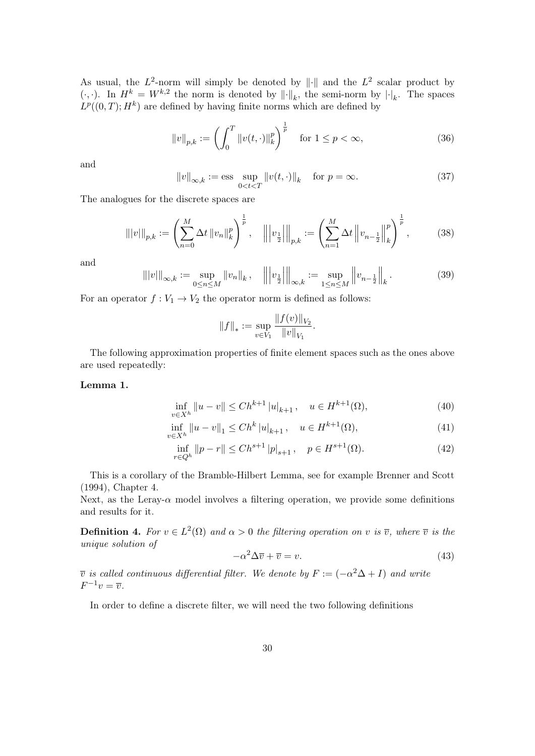As usual, the  $L^2$ -norm will simply be denoted by  $\|\cdot\|$  and the  $L^2$  scalar product by  $(\cdot, \cdot)$ . In  $H^k = W^{k,2}$  the norm is denoted by  $\|\cdot\|_k$ , the semi-norm by  $|\cdot|_k$ . The spaces  $L^p((0,T); H^k)$  are defined by having finite norms which are defined by

$$
||v||_{p,k} := \left(\int_0^T ||v(t, \cdot)||_k^p\right)^{\frac{1}{p}} \quad \text{for } 1 \le p < \infty,
$$
 (36)

and

$$
||v||_{\infty,k} := \text{ess} \sup_{0 < t < T} ||v(t, \cdot)||_k \quad \text{for } p = \infty. \tag{37}
$$

The analogues for the discrete spaces are

$$
\| |v| \|_{p,k} := \left( \sum_{n=0}^{M} \Delta t \, \|v_n\|_{k}^p \right)^{\frac{1}{p}}, \quad \left\| |v_{\frac{1}{2}}| \right\|_{p,k} := \left( \sum_{n=1}^{M} \Delta t \, \left\| v_{n-\frac{1}{2}} \right\|_{k}^p \right)^{\frac{1}{p}}, \tag{38}
$$

and

$$
\| |v| \|_{\infty,k} := \sup_{0 \le n \le M} \|v_n\|_k, \quad \left\| \left| v_{\frac{1}{2}} \right| \right\|_{\infty,k} := \sup_{1 \le n \le M} \left\| v_{n-\frac{1}{2}} \right\|_k. \tag{39}
$$

For an operator  $f: V_1 \to V_2$  the operator norm is defined as follows:

$$
||f||_* := \sup_{v \in V_1} \frac{||f(v)||_{V_2}}{||v||_{V_1}}.
$$

The following approximation properties of finite element spaces such as the ones above are used repeatedly:

### Lemma 1.

$$
\inf_{v \in X^h} \|u - v\| \le Ch^{k+1} |u|_{k+1}, \quad u \in H^{k+1}(\Omega),\tag{40}
$$

$$
\inf_{v \in X^h} \|u - v\|_1 \le Ch^k |u|_{k+1}, \quad u \in H^{k+1}(\Omega),\tag{41}
$$

$$
\inf_{r \in Q^h} \|p - r\| \le C h^{s+1} |p|_{s+1}, \quad p \in H^{s+1}(\Omega). \tag{42}
$$

This is a corollary of the Bramble-Hilbert Lemma, see for example Brenner and Scott (1994), Chapter 4.

Next, as the Leray-*α* model involves a filtering operation, we provide some definitions and results for it.

**Definition 4.** For  $v \in L^2(\Omega)$  and  $\alpha > 0$  the filtering operation on v is  $\overline{v}$ , where  $\overline{v}$  is the *unique solution of*

$$
-\alpha^2 \Delta \overline{v} + \overline{v} = v.
$$
\n<sup>(43)</sup>

 $\overline{v}$  *is called continuous differential filter. We denote by*  $F := (-\alpha^2 \Delta + I)$  *and write*  $F^{-1}v = \overline{v}$ .

In order to define a discrete filter, we will need the two following definitions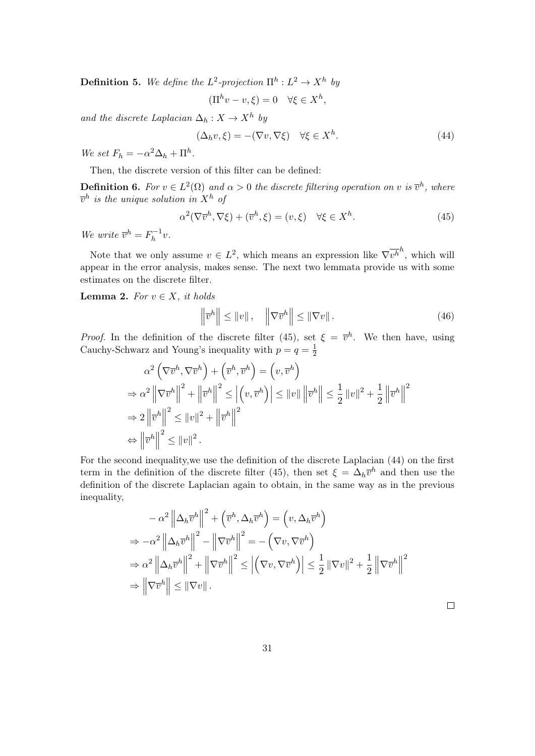**Definition 5.** We define the  $L^2$ -projection  $\Pi^h: L^2 \to X^h$  by

$$
(\Pi^h v - v, \xi) = 0 \quad \forall \xi \in X^h,
$$

*and the discrete Laplacian*  $\Delta_h: X \to X^h$  *by* 

$$
(\Delta_h v, \xi) = -(\nabla v, \nabla \xi) \quad \forall \xi \in X^h. \tag{44}
$$

*We set*  $F_h = -\alpha^2 \Delta_h + \Pi^h$ .

Then, the discrete version of this filter can be defined:

**Definition 6.** For  $v \in L^2(\Omega)$  and  $\alpha > 0$  the discrete filtering operation on v is  $\overline{v}^h$ , where  $\overline{v}^h$  *is the unique solution in*  $X^h$  *of* 

$$
\alpha^2(\nabla \overline{v}^h, \nabla \xi) + (\overline{v}^h, \xi) = (v, \xi) \quad \forall \xi \in X^h.
$$
 (45)

*We write*  $\overline{v}^h = F_h^{-1}v$ .

Note that we only assume  $v \in L^2$ , which means an expression like  $\nabla \overline{v^h}^h$ , which will appear in the error analysis, makes sense. The next two lemmata provide us with some estimates on the discrete filter.

Lemma 2. For  $v \in X$ , it holds

$$
\left\|\overline{v}^{h}\right\| \leq \|v\| \,, \quad \left\|\nabla \overline{v}^{h}\right\| \leq \left\|\nabla v\right\| \,.
$$
\n(46)

*Proof.* In the definition of the discrete filter (45), set  $\xi = \overline{v}^h$ . We then have, using Cauchy-Schwarz and Young's inequality with  $p = q = \frac{1}{2}$  $\overline{2}$ 

$$
\alpha^{2} \left( \nabla \overline{v}^{h}, \nabla \overline{v}^{h} \right) + \left( \overline{v}^{h}, \overline{v}^{h} \right) = \left( v, \overline{v}^{h} \right)
$$
\n
$$
\Rightarrow \alpha^{2} \left\| \nabla \overline{v}^{h} \right\|^{2} + \left\| \overline{v}^{h} \right\|^{2} \leq \left| \left( v, \overline{v}^{h} \right) \right| \leq \| v \| \left\| \overline{v}^{h} \right\| \leq \frac{1}{2} \left\| v \right\|^{2} + \frac{1}{2} \left\| \overline{v}^{h} \right\|^{2}
$$
\n
$$
\Rightarrow 2 \left\| \overline{v}^{h} \right\|^{2} \leq \| v \|^{2} + \left\| \overline{v}^{h} \right\|^{2}
$$
\n
$$
\Leftrightarrow \left\| \overline{v}^{h} \right\|^{2} \leq \| v \|^{2} .
$$

For the second inequality,we use the definition of the discrete Laplacian (44) on the first term in the definition of the discrete filter (45), then set  $\xi = \Delta_h \overline{v}^h$  and then use the definition of the discrete Laplacian again to obtain, in the same way as in the previous inequality,

$$
- \alpha^2 \left\| \Delta_h \overline{v}^h \right\|^2 + \left( \overline{v}^h, \Delta_h \overline{v}^h \right) = \left( v, \Delta_h \overline{v}^h \right)
$$
  
\n
$$
\Rightarrow -\alpha^2 \left\| \Delta_h \overline{v}^h \right\|^2 - \left\| \nabla \overline{v}^h \right\|^2 = -\left( \nabla v, \nabla \overline{v}^h \right)
$$
  
\n
$$
\Rightarrow \alpha^2 \left\| \Delta_h \overline{v}^h \right\|^2 + \left\| \nabla \overline{v}^h \right\|^2 \le \left| \left( \nabla v, \nabla \overline{v}^h \right) \right| \le \frac{1}{2} \left\| \nabla v \right\|^2 + \frac{1}{2} \left\| \nabla \overline{v}^h \right\|^2
$$
  
\n
$$
\Rightarrow \left\| \nabla \overline{v}^h \right\| \le \left\| \nabla v \right\|.
$$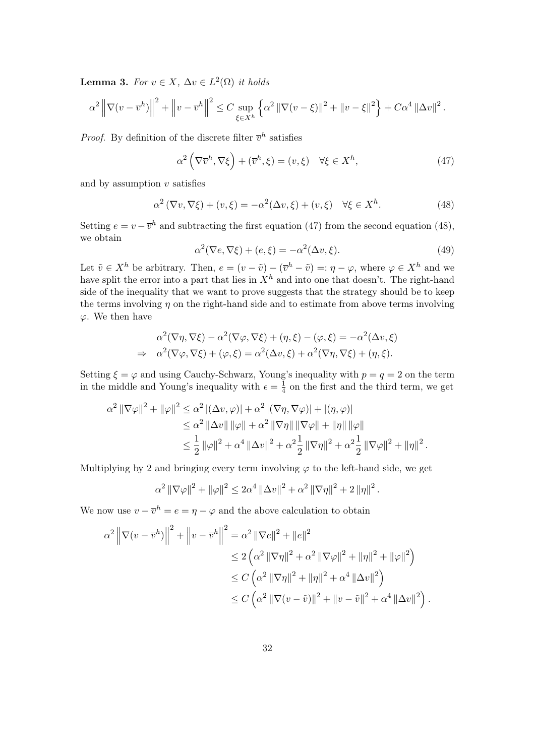Lemma 3. *For*  $v \in X$ ,  $\Delta v \in L^2(\Omega)$  *it holds* 

$$
\alpha^2 \left\| \nabla (v - \overline{v}^h) \right\|^2 + \left\| v - \overline{v}^h \right\|^2 \le C \sup_{\xi \in X^h} \left\{ \alpha^2 \left\| \nabla (v - \xi) \right\|^2 + \left\| v - \xi \right\|^2 \right\} + C \alpha^4 \left\| \Delta v \right\|^2.
$$

*Proof.* By definition of the discrete filter  $\bar{v}^h$  satisfies

$$
\alpha^2 \left( \nabla \overline{v}^h, \nabla \xi \right) + (\overline{v}^h, \xi) = (v, \xi) \quad \forall \xi \in X^h,
$$
\n(47)

and by assumption *v* satisfies

$$
\alpha^2 (\nabla v, \nabla \xi) + (v, \xi) = -\alpha^2 (\Delta v, \xi) + (v, \xi) \quad \forall \xi \in X^h.
$$
 (48)

Setting  $e = v - \overline{v}^h$  and subtracting the first equation (47) from the second equation (48), we obtain

$$
\alpha^{2}(\nabla e, \nabla \xi) + (e, \xi) = -\alpha^{2}(\Delta v, \xi). \tag{49}
$$

Let  $\tilde{v} \in X^h$  be arbitrary. Then,  $e = (v - \tilde{v}) - (\overline{v}^h - \tilde{v}) =: \eta - \varphi$ , where  $\varphi \in X^h$  and we have split the error into a part that lies in  $X^h$  and into one that doesn't. The right-hand side of the inequality that we want to prove suggests that the strategy should be to keep the terms involving  $\eta$  on the right-hand side and to estimate from above terms involving *φ*. We then have

$$
\alpha^2(\nabla \eta, \nabla \xi) - \alpha^2(\nabla \varphi, \nabla \xi) + (\eta, \xi) - (\varphi, \xi) = -\alpha^2(\Delta v, \xi)
$$
  
\n
$$
\Rightarrow \alpha^2(\nabla \varphi, \nabla \xi) + (\varphi, \xi) = \alpha^2(\Delta v, \xi) + \alpha^2(\nabla \eta, \nabla \xi) + (\eta, \xi).
$$

Setting  $\xi = \varphi$  and using Cauchy-Schwarz, Young's inequality with  $p = q = 2$  on the term in the middle and Young's inequality with  $\epsilon = \frac{1}{4}$  $\frac{1}{4}$  on the first and the third term, we get

$$
\alpha^{2} \|\nabla \varphi\|^{2} + \|\varphi\|^{2} \leq \alpha^{2} |(\Delta v, \varphi)| + \alpha^{2} |(\nabla \eta, \nabla \varphi)| + |(\eta, \varphi)|
$$
  
\n
$$
\leq \alpha^{2} \|\Delta v\| \|\varphi\| + \alpha^{2} \|\nabla \eta\| \|\nabla \varphi\| + \|\eta\| \|\varphi\|
$$
  
\n
$$
\leq \frac{1}{2} \|\varphi\|^{2} + \alpha^{4} \|\Delta v\|^{2} + \alpha^{2} \frac{1}{2} \|\nabla \eta\|^{2} + \alpha^{2} \frac{1}{2} \|\nabla \varphi\|^{2} + \|\eta\|^{2}.
$$

Multiplying by 2 and bringing every term involving  $\varphi$  to the left-hand side, we get

$$
\alpha^2 \|\nabla \varphi\|^2 + \|\varphi\|^2 \le 2\alpha^4 \|\Delta v\|^2 + \alpha^2 \|\nabla \eta\|^2 + 2 \|\eta\|^2.
$$

We now use  $v - \overline{v}^h = e = \eta - \varphi$  and the above calculation to obtain

$$
\alpha^{2} \left\| \nabla(v - \overline{v}^{h}) \right\|^{2} + \left\| v - \overline{v}^{h} \right\|^{2} = \alpha^{2} \left\| \nabla e \right\|^{2} + \left\| e \right\|^{2}
$$
  
\n
$$
\leq 2 \left( \alpha^{2} \left\| \nabla \eta \right\|^{2} + \alpha^{2} \left\| \nabla \varphi \right\|^{2} + \left\| \eta \right\|^{2} + \left\| \varphi \right\|^{2} \right)
$$
  
\n
$$
\leq C \left( \alpha^{2} \left\| \nabla \eta \right\|^{2} + \left\| \eta \right\|^{2} + \alpha^{4} \left\| \Delta v \right\|^{2} \right)
$$
  
\n
$$
\leq C \left( \alpha^{2} \left\| \nabla (v - \tilde{v}) \right\|^{2} + \left\| v - \tilde{v} \right\|^{2} + \alpha^{4} \left\| \Delta v \right\|^{2} \right).
$$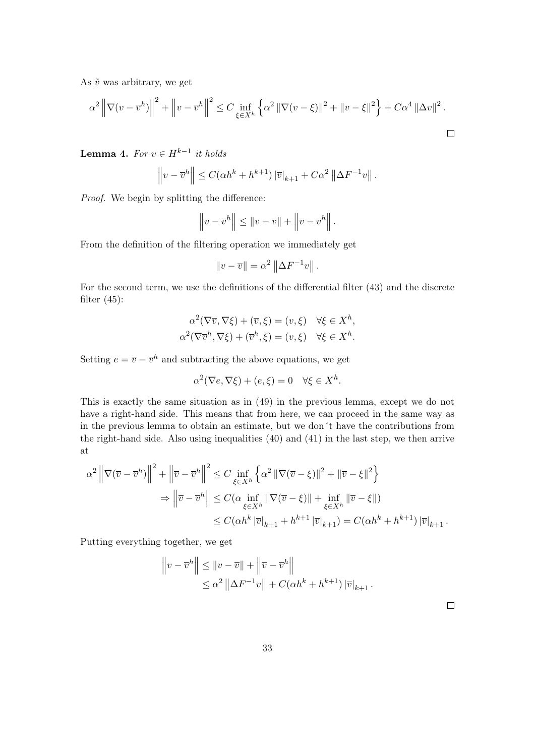As  $\tilde{v}$  was arbitrary, we get

$$
\alpha^{2} \left\| \nabla (v - \overline{v}^{h}) \right\|^{2} + \left\| v - \overline{v}^{h} \right\|^{2} \leq C \inf_{\xi \in X^{h}} \left\{ \alpha^{2} \left\| \nabla (v - \xi) \right\|^{2} + \left\| v - \xi \right\|^{2} \right\} + C \alpha^{4} \left\| \Delta v \right\|^{2}.
$$

**Lemma 4.** *For*  $v \in H^{k-1}$  *it holds* 

$$
\left\|v - \overline{v}^h\right\| \le C(\alpha h^k + h^{k+1})\left|\overline{v}\right|_{k+1} + C\alpha^2 \left\|\Delta F^{-1}v\right\|.
$$

*Proof.* We begin by splitting the difference:

$$
\left\|v - \overline{v}^h\right\| \leq \|v - \overline{v}\| + \left\|\overline{v} - \overline{v}^h\right\|.
$$

From the definition of the filtering operation we immediately get

$$
||v - \overline{v}|| = \alpha^2 ||\Delta F^{-1}v||.
$$

For the second term, we use the definitions of the differential filter (43) and the discrete filter  $(45)$ :

$$
\alpha^2(\nabla \overline{v}, \nabla \xi) + (\overline{v}, \xi) = (v, \xi) \quad \forall \xi \in X^h,
$$
  

$$
\alpha^2(\nabla \overline{v}^h, \nabla \xi) + (\overline{v}^h, \xi) = (v, \xi) \quad \forall \xi \in X^h.
$$

Setting  $e = \overline{v} - \overline{v}^h$  and subtracting the above equations, we get

$$
\alpha^2(\nabla e, \nabla \xi) + (e, \xi) = 0 \quad \forall \xi \in X^h.
$$

This is exactly the same situation as in (49) in the previous lemma, except we do not have a right-hand side. This means that from here, we can proceed in the same way as in the previous lemma to obtain an estimate, but we don´t have the contributions from the right-hand side. Also using inequalities (40) and (41) in the last step, we then arrive at

$$
\alpha^2 \left\| \nabla (\overline{v} - \overline{v}^h) \right\|^2 + \left\| \overline{v} - \overline{v}^h \right\|^2 \le C \inf_{\xi \in X^h} \left\{ \alpha^2 \left\| \nabla (\overline{v} - \xi) \right\|^2 + \left\| \overline{v} - \xi \right\|^2 \right\}
$$
  
\n
$$
\Rightarrow \left\| \overline{v} - \overline{v}^h \right\| \le C(\alpha \inf_{\xi \in X^h} \left\| \nabla (\overline{v} - \xi) \right\| + \inf_{\xi \in X^h} \left\| \overline{v} - \xi \right\|)
$$
  
\n
$$
\le C(\alpha h^k \left| \overline{v} \right|_{k+1} + h^{k+1} \left| \overline{v} \right|_{k+1}) = C(\alpha h^k + h^{k+1}) \left| \overline{v} \right|_{k+1} .
$$

Putting everything together, we get

$$
\|v - \overline{v}^h\| \le \|v - \overline{v}\| + \|\overline{v} - \overline{v}^h\|
$$
  

$$
\le \alpha^2 \|\Delta F^{-1}v\| + C(\alpha h^k + h^{k+1})\|\overline{v}\|_{k+1}.
$$

 $\Box$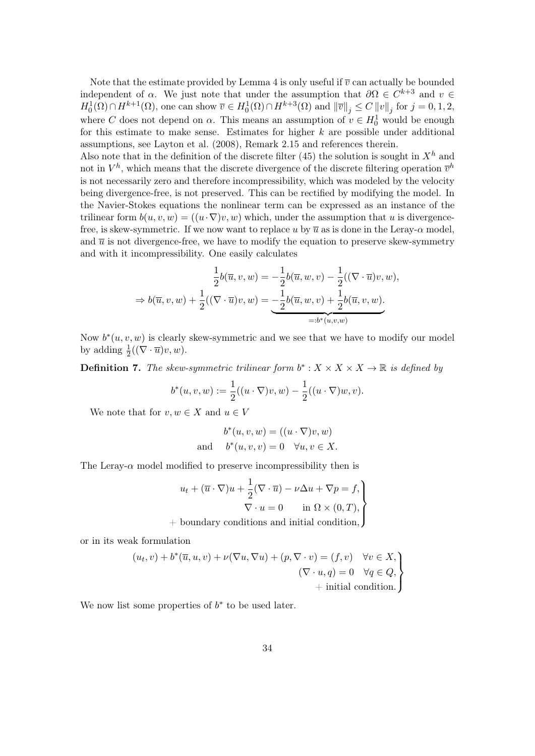Note that the estimate provided by Lemma 4 is only useful if  $\overline{v}$  can actually be bounded independent of  $\alpha$ . We just note that under the assumption that  $\partial \Omega \in C^{k+3}$  and  $v \in$  $H_0^1(\Omega) \cap H^{k+1}(\Omega)$ , one can show  $\overline{v} \in H_0^1(\Omega) \cap H^{k+3}(\Omega)$  and  $\|\overline{v}\|_j \leq C \|v\|_j$  for  $j = 0, 1, 2$ , where *C* does not depend on  $\alpha$ . This means an assumption of  $v \in H_0^1$  would be enough for this estimate to make sense. Estimates for higher *k* are possible under additional assumptions, see Layton et al. (2008), Remark 2.15 and references therein.

Also note that in the definition of the discrete filter  $(45)$  the solution is sought in  $X<sup>h</sup>$  and not in  $V^h$ , which means that the discrete divergence of the discrete filtering operation  $\bar{v}^h$ is not necessarily zero and therefore incompressibility, which was modeled by the velocity being divergence-free, is not preserved. This can be rectified by modifying the model. In the Navier-Stokes equations the nonlinear term can be expressed as an instance of the trilinear form  $b(u, v, w) = ((u \cdot \nabla)v, w)$  which, under the assumption that *u* is divergencefree, is skew-symmetric. If we now want to replace *u* by  $\overline{u}$  as is done in the Leray- $\alpha$  model, and  $\bar{u}$  is not divergence-free, we have to modify the equation to preserve skew-symmetry and with it incompressibility. One easily calculates

$$
\frac{1}{2}b(\overline{u}, v, w) = -\frac{1}{2}b(\overline{u}, w, v) - \frac{1}{2}((\nabla \cdot \overline{u})v, w),
$$
  
\n
$$
\Rightarrow b(\overline{u}, v, w) + \frac{1}{2}((\nabla \cdot \overline{u})v, w) = -\frac{1}{2}b(\overline{u}, w, v) + \frac{1}{2}b(\overline{u}, v, w).
$$
  
\n
$$
= :b^*(u, v, w)
$$

Now  $b^*(u, v, w)$  is clearly skew-symmetric and we see that we have to modify our model by adding  $\frac{1}{2}((\nabla \cdot \overline{u})v, w)$ .

**Definition 7.** The skew-symmetric trilinear form  $b^*$  :  $X \times X \times X \to \mathbb{R}$  is defined by

$$
b^{*}(u, v, w) := \frac{1}{2}((u \cdot \nabla)v, w) - \frac{1}{2}((u \cdot \nabla)w, v).
$$

We note that for  $v, w \in X$  and  $u \in V$ 

$$
b^*(u, v, w) = ((u \cdot \nabla)v, w)
$$
  
and 
$$
b^*(u, v, v) = 0 \quad \forall u, v \in X.
$$

The Leray- $\alpha$  model modified to preserve incompressibility then is

$$
u_t + (\overline{u} \cdot \nabla)u + \frac{1}{2}(\nabla \cdot \overline{u}) - \nu \Delta u + \nabla p = f,
$$
  

$$
\nabla \cdot u = 0 \quad \text{in } \Omega \times (0, T),
$$

+ boundary conditions and initial condition*,*

or in its weak formulation

$$
(u_t, v) + b^*(\overline{u}, u, v) + \nu(\nabla u, \nabla u) + (p, \nabla \cdot v) = (f, v) \quad \forall v \in X, (\nabla \cdot u, q) = 0 \quad \forall q \in Q, + initial condition.
$$

We now list some properties of  $b^*$  to be used later.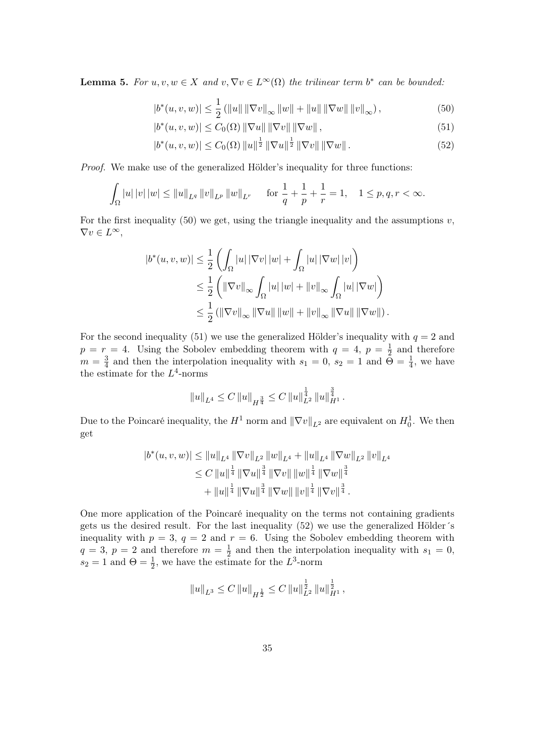**Lemma 5.** *For*  $u, v, w \in X$  *and*  $v, \nabla v \in L^{\infty}(\Omega)$  *the trilinear term*  $b^*$  *can be bounded:* 

$$
|b^*(u, v, w)| \le \frac{1}{2} (||u|| ||\nabla v||_{\infty} ||w|| + ||u|| ||\nabla w|| ||v||_{\infty}),
$$
\n(50)

$$
|b^*(u, v, w)| \le C_0(\Omega) \|\nabla u\| \|\nabla v\| \|\nabla w\|,
$$
\n(51)

$$
|b^*(u, v, w)| \le C_0(\Omega) \|u\|^{\frac{1}{2}} \|\nabla u\|^{\frac{1}{2}} \|\nabla v\| \|\nabla w\|.
$$
 (52)

*Proof.* We make use of the generalized Hölder's inequality for three functions:

$$
\int_{\Omega} |u| |v| |w| \le ||u||_{L^{q}} ||v||_{L^{p}} ||w||_{L^{r}} \quad \text{ for } \frac{1}{q} + \frac{1}{p} + \frac{1}{r} = 1, \quad 1 \le p, q, r < \infty.
$$

For the first inequality  $(50)$  we get, using the triangle inequality and the assumptions  $v$ ,  $\nabla v \in L^{\infty}$ ,

$$
|b^*(u, v, w)| \leq \frac{1}{2} \left( \int_{\Omega} |u| |\nabla v| |w| + \int_{\Omega} |u| |\nabla w| |v| \right)
$$
  

$$
\leq \frac{1}{2} \left( \|\nabla v\|_{\infty} \int_{\Omega} |u| |w| + \|v\|_{\infty} \int_{\Omega} |u| |\nabla w| \right)
$$
  

$$
\leq \frac{1}{2} \left( \|\nabla v\|_{\infty} \|\nabla u\| \|w\| + \|v\|_{\infty} \|\nabla u\| \|\nabla w\| \right).
$$

For the second inequality (51) we use the generalized Hölder's inequality with  $q = 2$  and  $p = r = 4$ . Using the Sobolev embedding theorem with  $q = 4$ ,  $p = \frac{1}{2}$  $\frac{1}{2}$  and therefore  $m=\frac{3}{4}$  $\frac{3}{4}$  and then the interpolation inequality with  $s_1 = 0$ ,  $s_2 = 1$  and  $\tilde{\Theta} = \frac{1}{4}$ , we have the estimate for the *L* 4 -norms

$$
||u||_{L^4} \leq C ||u||_{H^{\frac{3}{4}}} \leq C ||u||_{L^2}^{\frac{1}{4}} ||u||_{H^1}^{\frac{3}{4}}.
$$

Due to the Poincaré inequality, the  $H^1$  norm and  $\|\nabla v\|_{L^2}$  are equivalent on  $H_0^1$ . We then get

$$
|b^*(u, v, w)| \le ||u||_{L^4} ||\nabla v||_{L^2} ||w||_{L^4} + ||u||_{L^4} ||\nabla w||_{L^2} ||v||_{L^4}
$$
  
\n
$$
\le C ||u||^{\frac{1}{4}} ||\nabla u||^{\frac{3}{4}} ||\nabla v|| ||w||^{\frac{1}{4}} ||\nabla w||^{\frac{3}{4}}
$$
  
\n
$$
+ ||u||^{\frac{1}{4}} ||\nabla u||^{\frac{3}{4}} ||\nabla w|| ||v||^{\frac{1}{4}} ||\nabla v||^{\frac{3}{4}}.
$$

One more application of the Poincaré inequality on the terms not containing gradients gets us the desired result. For the last inequality (52) we use the generalized Hölder´s inequality with  $p = 3$ ,  $q = 2$  and  $r = 6$ . Using the Sobolev embedding theorem with  $q = 3, p = 2$  and therefore  $m = \frac{1}{2}$  $\frac{1}{2}$  and then the interpolation inequality with  $s_1 = 0$ ,  $s_2 = 1$  and  $\Theta = \frac{1}{2}$ , we have the estimate for the  $L^3$ -norm

$$
||u||_{L^3} \leq C ||u||_{H^{\frac{1}{2}}} \leq C ||u||_{L^2}^{\frac{1}{2}} ||u||_{H^1}^{\frac{1}{2}},
$$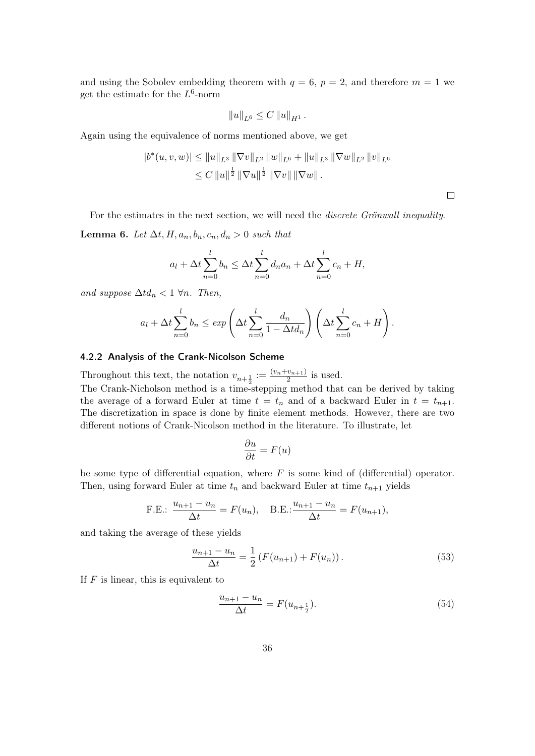and using the Sobolev embedding theorem with  $q = 6$ ,  $p = 2$ , and therefore  $m = 1$  we get the estimate for the *L* 6 -norm

$$
||u||_{L^6} \leq C ||u||_{H^1}.
$$

Again using the equivalence of norms mentioned above, we get

$$
|b^*(u, v, w)| \le ||u||_{L^3} ||\nabla v||_{L^2} ||w||_{L^6} + ||u||_{L^3} ||\nabla w||_{L^2} ||v||_{L^6}
$$
  

$$
\le C ||u||^{\frac{1}{2}} ||\nabla u||^{\frac{1}{2}} ||\nabla v|| ||\nabla w||.
$$

 $\Box$ 

For the estimates in the next section, we will need the *discrete Grönwall inequality*.

**Lemma 6.** *Let*  $\Delta t$ *, H,*  $a_n$ *,*  $b_n$ *, c<sub>n</sub></sub>,*  $d_n$  > 0 *such that* 

$$
a_l + \Delta t \sum_{n=0}^{l} b_n \leq \Delta t \sum_{n=0}^{l} d_n a_n + \Delta t \sum_{n=0}^{l} c_n + H,
$$

*and suppose*  $\Delta t d_n < 1 \ \forall n$ *. Then,* 

$$
a_l + \Delta t \sum_{n=0}^l b_n \le \exp\left(\Delta t \sum_{n=0}^l \frac{d_n}{1 - \Delta t d_n}\right) \left(\Delta t \sum_{n=0}^l c_n + H\right).
$$

#### 4.2.2 Analysis of the Crank-Nicolson Scheme

Throughout this text, the notation  $v_{n+\frac{1}{2}} := \frac{(v_n + v_{n+1})}{2}$  $\frac{v_{n+1}}{2}$  is used. The Crank-Nicholson method is a time-stepping method that can be derived by taking the average of a forward Euler at time  $t = t_n$  and of a backward Euler in  $t = t_{n+1}$ . The discretization in space is done by finite element methods. However, there are two different notions of Crank-Nicolson method in the literature. To illustrate, let

$$
\frac{\partial u}{\partial t} = F(u)
$$

be some type of differential equation, where *F* is some kind of (differential) operator. Then, using forward Euler at time  $t_n$  and backward Euler at time  $t_{n+1}$  yields

F.E.: 
$$
\frac{u_{n+1} - u_n}{\Delta t} = F(u_n)
$$
, B.E.:  $\frac{u_{n+1} - u_n}{\Delta t} = F(u_{n+1})$ ,

and taking the average of these yields

$$
\frac{u_{n+1} - u_n}{\Delta t} = \frac{1}{2} \left( F(u_{n+1}) + F(u_n) \right). \tag{53}
$$

If *F* is linear, this is equivalent to

$$
\frac{u_{n+1} - u_n}{\Delta t} = F(u_{n + \frac{1}{2}}). \tag{54}
$$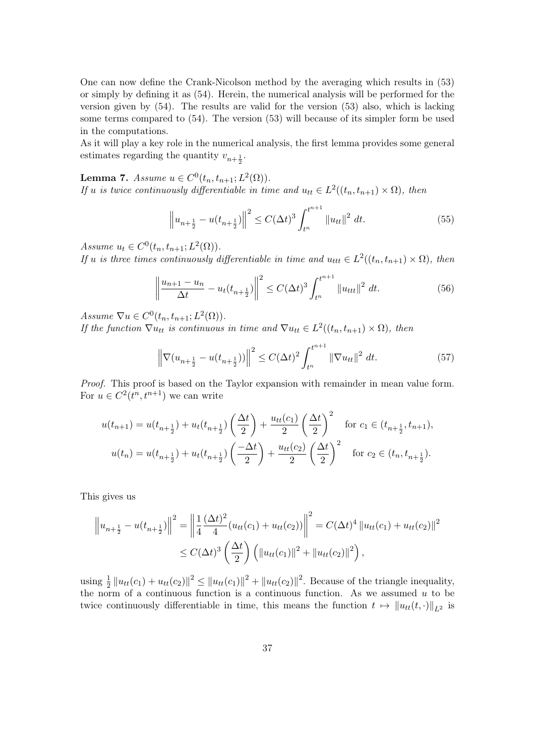One can now define the Crank-Nicolson method by the averaging which results in (53) or simply by defining it as (54). Herein, the numerical analysis will be performed for the version given by (54). The results are valid for the version (53) also, which is lacking some terms compared to (54). The version (53) will because of its simpler form be used in the computations.

As it will play a key role in the numerical analysis, the first lemma provides some general estimates regarding the quantity  $v_{n+\frac{1}{2}}$ .

Lemma 7. *Assume*  $u \in C^0(t_n, t_{n+1}; L^2(\Omega)).$ *If u is twice continuously differentiable in time and*  $u_{tt} \in L^2((t_n, t_{n+1}) \times \Omega)$ *, then* 

$$
\left\|u_{n+\frac{1}{2}} - u(t_{n+\frac{1}{2}})\right\|^2 \le C(\Delta t)^3 \int_{t^n}^{t^{n+1}} \|u_{tt}\|^2 dt.
$$
 (55)

*Assume*  $u_t \in C^0(t_n, t_{n+1}; L^2(\Omega))$ *.* 

*If u is three times continuously differentiable in time and*  $u_{ttt} \in L^2((t_n, t_{n+1}) \times \Omega)$ , then

$$
\left\|\frac{u_{n+1}-u_n}{\Delta t}-u_t(t_{n+\frac{1}{2}})\right\|^2 \le C(\Delta t)^3 \int_{t^n}^{t^{n+1}} \|u_{ttt}\|^2 dt.
$$
 (56)

*Assume*  $\nabla u \in C^{0}(t_{n}, t_{n+1}; L^{2}(\Omega)).$ 

*If the function*  $\nabla u_{tt}$  *is continuous in time and*  $\nabla u_{tt} \in L^2((t_n, t_{n+1}) \times \Omega)$ *, then* 

$$
\left\|\nabla(u_{n+\frac{1}{2}} - u(t_{n+\frac{1}{2}}))\right\|^2 \le C(\Delta t)^2 \int_{t^n}^{t^{n+1}} \|\nabla u_{tt}\|^2 dt.
$$
 (57)

*Proof.* This proof is based on the Taylor expansion with remainder in mean value form. For  $u \in C^2(t^n, t^{n+1})$  we can write

$$
u(t_{n+1}) = u(t_{n+\frac{1}{2}}) + u_t(t_{n+\frac{1}{2}}) \left(\frac{\Delta t}{2}\right) + \frac{u_{tt}(c_1)}{2} \left(\frac{\Delta t}{2}\right)^2 \quad \text{for } c_1 \in (t_{n+\frac{1}{2}}, t_{n+1}),
$$
  

$$
u(t_n) = u(t_{n+\frac{1}{2}}) + u_t(t_{n+\frac{1}{2}}) \left(\frac{-\Delta t}{2}\right) + \frac{u_{tt}(c_2)}{2} \left(\frac{\Delta t}{2}\right)^2 \quad \text{for } c_2 \in (t_n, t_{n+\frac{1}{2}}).
$$

This gives us

$$
\left\|u_{n+\frac{1}{2}} - u(t_{n+\frac{1}{2}})\right\|^2 = \left\|\frac{1}{4}\frac{(\Delta t)^2}{4}(u_{tt}(c_1) + u_{tt}(c_2))\right\|^2 = C(\Delta t)^4 \|u_{tt}(c_1) + u_{tt}(c_2)\|^2
$$
  

$$
\leq C(\Delta t)^3 \left(\frac{\Delta t}{2}\right) \left(\|u_{tt}(c_1)\|^2 + \|u_{tt}(c_2)\|^2\right),
$$

using  $\frac{1}{2} ||u_{tt}(c_1) + u_{tt}(c_2)||^2 \le ||u_{tt}(c_1)||^2 + ||u_{tt}(c_2)||^2$ . Because of the triangle inequality, the norm of a continuous function is a continuous function. As we assumed *u* to be twice continuously differentiable in time, this means the function  $t \mapsto ||u_{tt}(t, \cdot)||_{L^2}$  is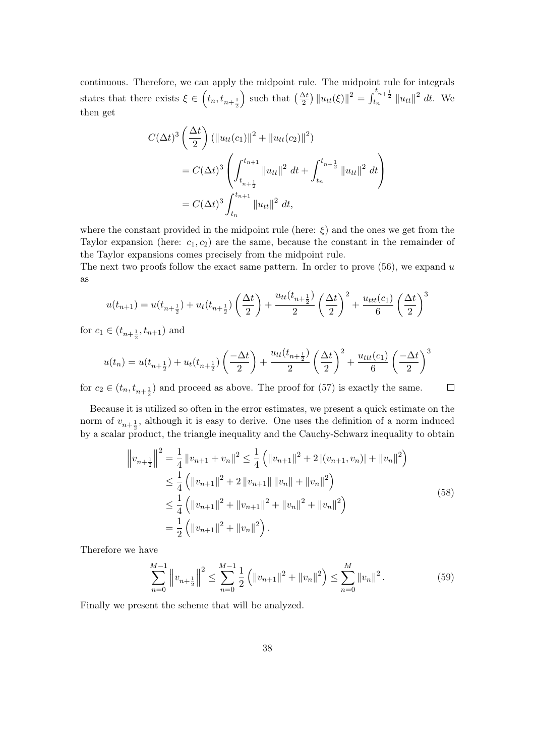continuous. Therefore, we can apply the midpoint rule. The midpoint rule for integrals states that there exists  $\xi \in (t_n, t_{n+\frac{1}{2}})$ ) such that  $\left(\frac{\Delta t}{2}\right) ||u_{tt}(\xi)||^2 = \int_{t_n}^{t_{n+\frac{1}{2}}} ||u_{tt}||^2 dt$ . We then get

$$
C(\Delta t)^{3} \left(\frac{\Delta t}{2}\right) (\|u_{tt}(c_1)\|^{2} + \|u_{tt}(c_2)\|^{2})
$$
  
=  $C(\Delta t)^{3} \left(\int_{t_{n+\frac{1}{2}}}^{t_{n+1}} \|u_{tt}\|^{2} dt + \int_{t_{n}}^{t_{n+\frac{1}{2}}} \|u_{tt}\|^{2} dt\right)$   
=  $C(\Delta t)^{3} \int_{t_{n}}^{t_{n+1}} \|u_{tt}\|^{2} dt$ ,

where the constant provided in the midpoint rule (here:  $\xi$ ) and the ones we get from the Taylor expansion (here:  $c_1, c_2$ ) are the same, because the constant in the remainder of the Taylor expansions comes precisely from the midpoint rule.

The next two proofs follow the exact same pattern. In order to prove (56), we expand *u* as

$$
u(t_{n+1}) = u(t_{n+\frac{1}{2}}) + u_t(t_{n+\frac{1}{2}}) \left(\frac{\Delta t}{2}\right) + \frac{u_{tt}(t_{n+\frac{1}{2}})}{2} \left(\frac{\Delta t}{2}\right)^2 + \frac{u_{ttt}(c_1)}{6} \left(\frac{\Delta t}{2}\right)^3
$$

for  $c_1 \in (t_{n+\frac{1}{2}}, t_{n+1})$  and

$$
u(t_n) = u(t_{n+\frac{1}{2}}) + u_t(t_{n+\frac{1}{2}}) \left(\frac{-\Delta t}{2}\right) + \frac{u_{tt}(t_{n+\frac{1}{2}})}{2} \left(\frac{\Delta t}{2}\right)^2 + \frac{u_{ttt}(c_1)}{6} \left(\frac{-\Delta t}{2}\right)^3
$$

for  $c_2 \in (t_n, t_{n+\frac{1}{2}})$  and proceed as above. The proof for (57) is exactly the same.  $\Box$ 

Because it is utilized so often in the error estimates, we present a quick estimate on the norm of  $v_{n+\frac{1}{2}}$ , although it is easy to derive. One uses the definition of a norm induced by a scalar product, the triangle inequality and the Cauchy-Schwarz inequality to obtain

$$
\left\|v_{n+\frac{1}{2}}\right\|^2 = \frac{1}{4} \left\|v_{n+1} + v_n\right\|^2 \le \frac{1}{4} \left(\left\|v_{n+1}\right\|^2 + 2\left\|(v_{n+1}, v_n)\right\| + \left\|v_n\right\|^2\right)
$$
  
\n
$$
\le \frac{1}{4} \left(\left\|v_{n+1}\right\|^2 + 2\left\|v_{n+1}\right\|\left\|v_n\right\| + \left\|v_n\right\|^2\right)
$$
  
\n
$$
\le \frac{1}{4} \left(\left\|v_{n+1}\right\|^2 + \left\|v_{n+1}\right\|^2 + \left\|v_n\right\|^2 + \left\|v_n\right\|^2\right)
$$
  
\n
$$
= \frac{1}{2} \left(\left\|v_{n+1}\right\|^2 + \left\|v_n\right\|^2\right).
$$
 (58)

Therefore we have

$$
\sum_{n=0}^{M-1} \left\| v_{n+\frac{1}{2}} \right\|^2 \le \sum_{n=0}^{M-1} \frac{1}{2} \left( \| v_{n+1} \|^2 + \| v_n \|^2 \right) \le \sum_{n=0}^{M} \| v_n \|^2. \tag{59}
$$

Finally we present the scheme that will be analyzed.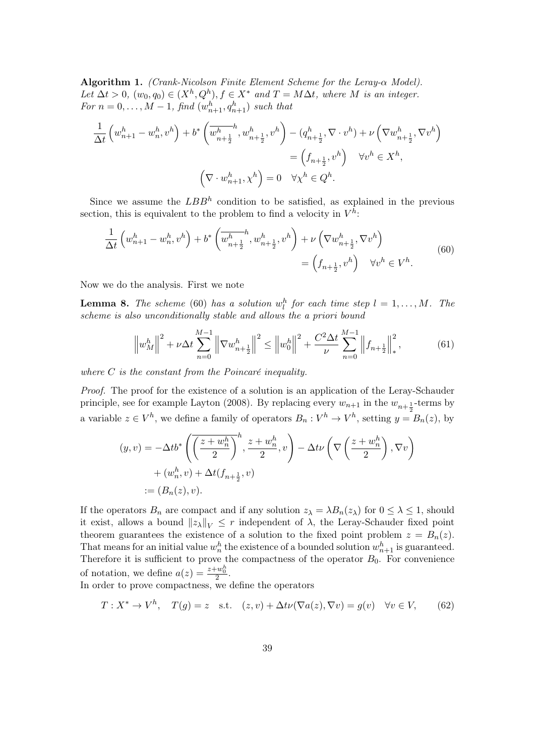Algorithm 1. *(Crank-Nicolson Finite Element Scheme for the Leray-α Model). Let*  $\Delta t > 0$ ,  $(w_0, q_0) \in (X^h, Q^h)$ ,  $f \in X^*$  and  $T = M\Delta t$ , where M is an integer. *For*  $n = 0, ..., M - 1$ , find  $(w_{n+1}^h, q_{n+1}^h)$  *such that* 

$$
\frac{1}{\Delta t} \left( w_{n+1}^h - w_n^h, v^h \right) + b^* \left( \overline{w_{n+\frac{1}{2}}^h}, w_{n+\frac{1}{2}}^h, v^h \right) - (q_{n+\frac{1}{2}}^h, \nabla \cdot v^h) + \nu \left( \nabla w_{n+\frac{1}{2}}^h, \nabla v^h \right)
$$
\n
$$
= \left( f_{n+\frac{1}{2}}, v^h \right) \quad \forall v^h \in X^h,
$$
\n
$$
\left( \nabla \cdot w_{n+1}^h, \chi^h \right) = 0 \quad \forall \chi^h \in Q^h.
$$

Since we assume the  $LBB^h$  condition to be satisfied, as explained in the previous section, this is equivalent to the problem to find a velocity in  $V^h$ :

$$
\frac{1}{\Delta t} \left( w_{n+1}^h - w_n^h, v^h \right) + b^* \left( \overline{w_{n+\frac{1}{2}}^h}, w_{n+\frac{1}{2}}^h, v^h \right) + \nu \left( \nabla w_{n+\frac{1}{2}}^h, \nabla v^h \right) \n= \left( f_{n+\frac{1}{2}}, v^h \right) \quad \forall v^h \in V^h.
$$
\n(60)

Now we do the analysis. First we note

**Lemma 8.** *The scheme* (60) *has a solution*  $w_l^h$  *for each time step*  $l = 1, ..., M$ *. The scheme is also unconditionally stable and allows the a priori bound*

$$
\left\| w_M^h \right\|^2 + \nu \Delta t \sum_{n=0}^{M-1} \left\| \nabla w_{n+\frac{1}{2}}^h \right\|^2 \le \left\| w_0^h \right\|^2 + \frac{C^2 \Delta t}{\nu} \sum_{n=0}^{M-1} \left\| f_{n+\frac{1}{2}} \right\|_*^2, \tag{61}
$$

*where C is the constant from the Poincaré inequality.*

*Proof.* The proof for the existence of a solution is an application of the Leray-Schauder principle, see for example Layton (2008). By replacing every  $w_{n+1}$  in the  $w_{n+\frac{1}{2}}$ -terms by a variable  $z \in V^h$ , we define a family of operators  $B_n : V^h \to V^h$ , setting  $y = B_n(z)$ , by

$$
(y, v) = -\Delta t b^* \left( \overline{\left(\frac{z + w_n^h}{2}\right)}^h, \frac{z + w_n^h}{2}, v \right) - \Delta t \nu \left( \nabla \left(\frac{z + w_n^h}{2}\right), \nabla v \right) + (w_n^h, v) + \Delta t (f_{n + \frac{1}{2}}, v) := (B_n(z), v).
$$

If the operators  $B_n$  are compact and if any solution  $z_\lambda = \lambda B_n(z_\lambda)$  for  $0 \leq \lambda \leq 1$ , should it exist, allows a bound  $||z_{\lambda}||_V \leq r$  independent of  $\lambda$ , the Leray-Schauder fixed point theorem guarantees the existence of a solution to the fixed point problem  $z = B_n(z)$ . That means for an initial value  $w_n^h$  the existence of a bounded solution  $w_{n+1}^h$  is guaranteed. Therefore it is sufficient to prove the compactness of the operator  $B_0$ . For convenience of notation, we define  $a(z) = \frac{z + w_0^h}{2}$ .

In order to prove compactness, we define the operators

$$
T: X^* \to V^h, \quad T(g) = z \quad \text{s.t.} \quad (z, v) + \Delta t \nu (\nabla a(z), \nabla v) = g(v) \quad \forall v \in V, \tag{62}
$$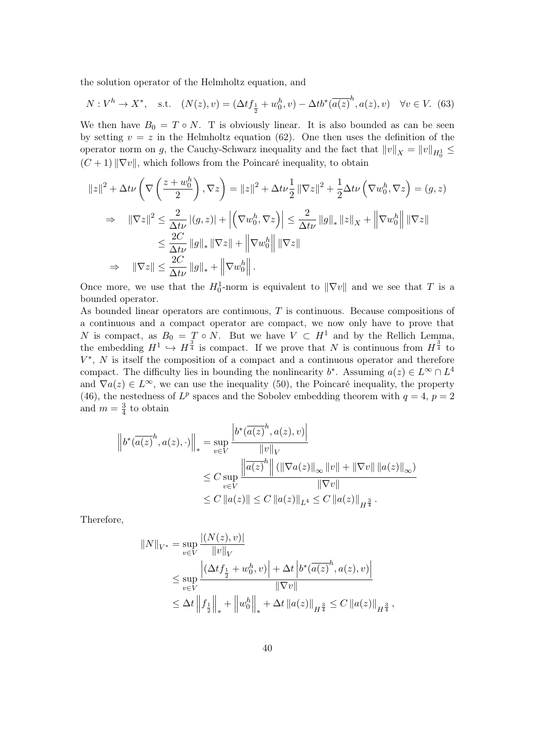the solution operator of the Helmholtz equation, and

$$
N: V^{h} \to X^{*}, \quad \text{s.t.} \quad (N(z), v) = (\Delta t f_{\frac{1}{2}} + w_{0}^{h}, v) - \Delta t b^{*} (\overline{a(z)}^{h}, a(z), v) \quad \forall v \in V. \tag{63}
$$

We then have  $B_0 = T \circ N$ . T is obviously linear. It is also bounded as can be seen by setting  $v = z$  in the Helmholtz equation (62). One then uses the definition of the operator norm on *g*, the Cauchy-Schwarz inequality and the fact that  $||v||_X = ||v||_{H_0^1} \le$  $(C+1)$   $\|\nabla v\|$ , which follows from the Poincaré inequality, to obtain

$$
||z||^{2} + \Delta t\nu \left(\nabla \left(\frac{z+w_{0}^{h}}{2}\right), \nabla z\right) = ||z||^{2} + \Delta t\nu \frac{1}{2} ||\nabla z||^{2} + \frac{1}{2}\Delta t\nu \left(\nabla w_{0}^{h}, \nabla z\right) = (g, z)
$$
  
\n
$$
\Rightarrow ||\nabla z||^{2} \leq \frac{2}{\Delta t\nu} |(g, z)| + \left|\left(\nabla w_{0}^{h}, \nabla z\right)\right| \leq \frac{2}{\Delta t\nu} ||g||_{*} ||z||_{X} + \left|\left|\nabla w_{0}^{h}\right|\right| ||\nabla z||
$$
  
\n
$$
\leq \frac{2C}{\Delta t\nu} ||g||_{*} ||\nabla z|| + \left|\left|\nabla w_{0}^{h}\right|\right| ||\nabla z||
$$
  
\n
$$
\Rightarrow ||\nabla z|| \leq \frac{2C}{\Delta t\nu} ||g||_{*} + \left|\left|\nabla w_{0}^{h}\right|\right|.
$$

Once more, we use that the  $H_0^1$ -norm is equivalent to  $\|\nabla v\|$  and we see that *T* is a bounded operator.

As bounded linear operators are continuous, *T* is continuous. Because compositions of a continuous and a compact operator are compact, we now only have to prove that *N* is compact, as  $B_0 = T \circ N$ . But we have  $V \subset H^1$  and by the Rellich Lemma, the embedding  $H^1 \hookrightarrow H^{\frac{3}{4}}$  is compact. If we prove that *N* is continuous from  $H^{\frac{3}{4}}$  to *V*<sup>\*</sup>, *N* is itself the composition of a compact and a continuous operator and therefore compact. The difficulty lies in bounding the nonlinearity  $b^*$ . Assuming  $a(z) \in L^\infty \cap L^4$ and  $\nabla a(z) \in L^{\infty}$ , we can use the inequality (50), the Poincaré inequality, the property (46), the nestedness of  $L^p$  spaces and the Sobolev embedding theorem with  $q = 4$ ,  $p = 2$ and  $m = \frac{3}{4}$  $\frac{3}{4}$  to obtain

$$
\|b^*(\overline{a(z)}^h, a(z), \cdot)\|_* = \sup_{v \in V} \frac{\left|b^*(\overline{a(z)}^h, a(z), v)\right|}{\|v\|_V}
$$
  

$$
\leq C \sup_{v \in V} \frac{\left\|\overline{a(z)}^h\right\| (\|\nabla a(z)\|_{\infty} \|v\| + \|\nabla v\| \|a(z)\|_{\infty})}{\|\nabla v\|}
$$
  

$$
\leq C \|a(z)\| \leq C \|a(z)\|_{L^4} \leq C \|a(z)\|_{H^{\frac{3}{4}}}.
$$

Therefore,

$$
||N||_{V^*} = \sup_{v \in V} \frac{|(N(z), v)|}{||v||_V}
$$
  
\n
$$
\leq \sup_{v \in V} \frac{|\Delta t f_{\frac{1}{2}} + w_0^h, v| + \Delta t |b^*(\overline{a(z)}^h, a(z), v)|}{||\nabla v||}
$$
  
\n
$$
\leq \Delta t ||f_{\frac{1}{2}}||_* + ||w_0^h||_* + \Delta t ||a(z)||_{H^{\frac{3}{4}}} \leq C ||a(z)||_{H^{\frac{3}{4}}},
$$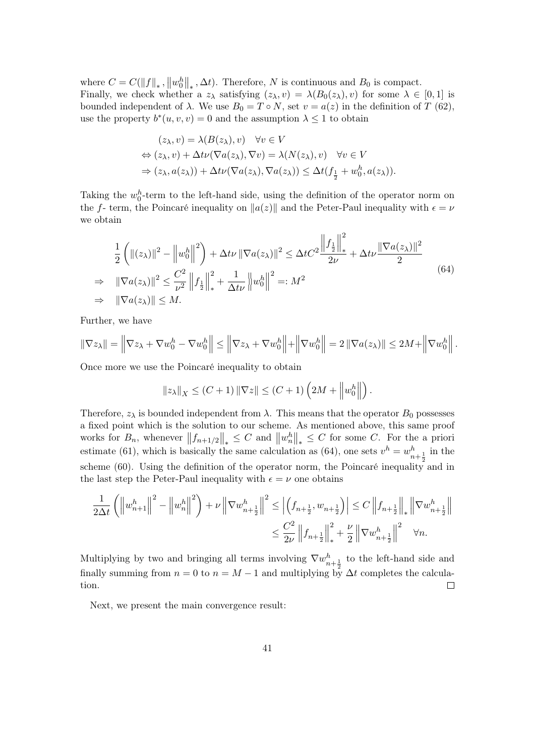where  $C = C(||f||_*, ||w_0^h||_*, \Delta t)$ . Therefore, *N* is continuous and  $B_0$  is compact. Finally, we check whether a  $z_{\lambda}$  satisfying  $(z_{\lambda}, v) = \lambda(B_0(z_{\lambda}), v)$  for some  $\lambda \in [0, 1]$  is bounded independent of *λ*. We use  $B_0 = T \circ N$ , set  $v = a(z)$  in the definition of *T* (62), use the property  $b^*(u, v, v) = 0$  and the assumption  $\lambda \leq 1$  to obtain

$$
(z_{\lambda}, v) = \lambda(B(z_{\lambda}), v) \quad \forall v \in V
$$
  
\n
$$
\Leftrightarrow (z_{\lambda}, v) + \Delta t \nu (\nabla a(z_{\lambda}), \nabla v) = \lambda(N(z_{\lambda}), v) \quad \forall v \in V
$$
  
\n
$$
\Rightarrow (z_{\lambda}, a(z_{\lambda})) + \Delta t \nu (\nabla a(z_{\lambda}), \nabla a(z_{\lambda})) \leq \Delta t (f_{\frac{1}{2}} + w_0^h, a(z_{\lambda})).
$$

Taking the  $w_0^h$ -term to the left-hand side, using the definition of the operator norm on the *f*- term, the Poincaré inequality on  $||a(z)||$  and the Peter-Paul inequality with  $\epsilon = \nu$ we obtain

$$
\frac{1}{2}\left(\|(z_{\lambda})\|^{2} - \left\|w_{0}^{h}\right\|^{2}\right) + \Delta t \nu \|\nabla a(z_{\lambda})\|^{2} \leq \Delta t C^{2} \frac{\left\|f_{\frac{1}{2}}\right\|_{*}^{2}}{2\nu} + \Delta t \nu \frac{\|\nabla a(z_{\lambda})\|^{2}}{2}
$$
\n
$$
\Rightarrow \|\nabla a(z_{\lambda})\|^{2} \leq \frac{C^{2}}{\nu^{2}} \left\|f_{\frac{1}{2}}\right\|_{*}^{2} + \frac{1}{\Delta t \nu} \left\|w_{0}^{h}\right\|^{2} =: M^{2}
$$
\n
$$
\Rightarrow \|\nabla a(z_{\lambda})\| \leq M. \tag{64}
$$

Further, we have

$$
\|\nabla z_\lambda\| = \left\|\nabla z_\lambda + \nabla w_0^h - \nabla w_0^h\right\| \le \left\|\nabla z_\lambda + \nabla w_0^h\right\| + \left\|\nabla w_0^h\right\| = 2\left\|\nabla a(z_\lambda)\right\| \le 2M + \left\|\nabla w_0^h\right\|.
$$

Once more we use the Poincaré inequality to obtain

$$
||z_{\lambda}||_X \le (C+1) ||\nabla z|| \le (C+1) \left(2M + ||w_0^h||\right).
$$

Therefore,  $z_{\lambda}$  is bounded independent from  $\lambda$ . This means that the operator  $B_0$  possesses a fixed point which is the solution to our scheme. As mentioned above, this same proof works for  $B_n$ , whenever  $||f_{n+1/2}||_* \leq C$  and  $||w_n^h||_* \leq C$  for some *C*. For the a priori estimate (61), which is basically the same calculation as (64), one sets  $v^h = w_{n+\frac{1}{2}}^h$  in the scheme (60). Using the definition of the operator norm, the Poincaré inequality and in the last step the Peter-Paul inequality with  $\epsilon = \nu$  one obtains

$$
\frac{1}{2\Delta t} \left( \left\| w_{n+1}^h \right\|^2 - \left\| w_n^h \right\|^2 \right) + \nu \left\| \nabla w_{n+\frac{1}{2}}^h \right\|^2 \le \left| \left( f_{n+\frac{1}{2}}, w_{n+\frac{1}{2}} \right) \right| \le C \left\| f_{n+\frac{1}{2}} \right\|_* \left\| \nabla w_{n+\frac{1}{2}}^h \right\| \right|
$$
  

$$
\le \frac{C^2}{2\nu} \left\| f_{n+\frac{1}{2}} \right\|^2_* + \frac{\nu}{2} \left\| \nabla w_{n+\frac{1}{2}}^h \right\|^2 \quad \forall n.
$$

Multiplying by two and bringing all terms involving  $\nabla w_{n+\frac{1}{2}}^h$  to the left-hand side and finally summing from  $n = 0$  to  $n = M - 1$  and multiplying by  $\Delta t$  completes the calculation.  $\Box$ 

Next, we present the main convergence result: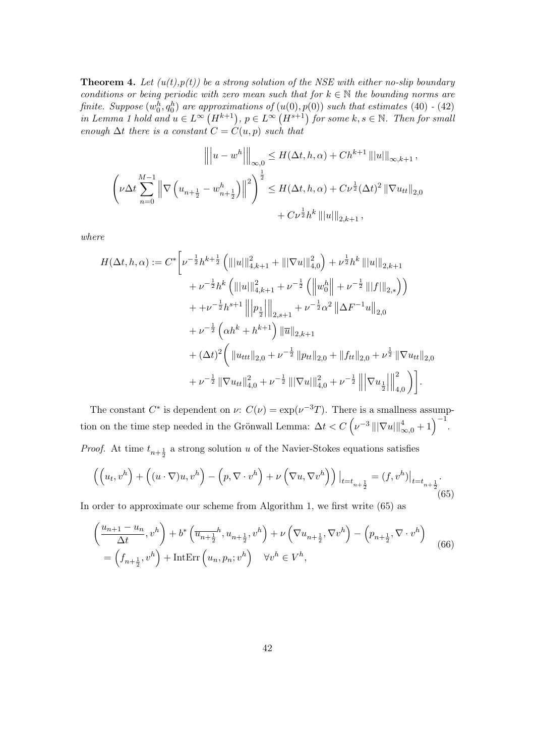**Theorem 4.** Let  $(u(t),p(t))$  be a strong solution of the NSE with either no-slip boundary *conditions or being periodic with zero mean such that for*  $k \in \mathbb{N}$  *the bounding norms are finite. Suppose*  $(w_0^h, q_0^h)$  *are approximations of*  $(u(0), p(0))$  *such that estimates* (40) *-* (42) *in Lemma 1 hold and*  $u \in L^{\infty} (H^{k+1})$ ,  $p \in L^{\infty} (H^{s+1})$  *for some*  $k, s \in \mathbb{N}$ *. Then for small enough*  $\Delta t$  *there is a constant*  $C = C(u, p)$  *such that* 

$$
\| |u - w^h||_{\infty,0} \le H(\Delta t, h, \alpha) + Ch^{k+1} |||u||_{\infty, k+1},
$$
  

$$
\left(\nu \Delta t \sum_{n=0}^{M-1} \left\| \nabla \left(u_{n+\frac{1}{2}} - w_{n+\frac{1}{2}}^h\right) \right\|^2\right)^{\frac{1}{2}} \le H(\Delta t, h, \alpha) + C\nu^{\frac{1}{2}}(\Delta t)^2 ||\nabla u_{tt}||_{2,0}
$$
  

$$
+ C\nu^{\frac{1}{2}} h^k |||u||_{2,k+1},
$$

*where*

$$
H(\Delta t, h, \alpha) := C^* \left[ \nu^{-\frac{1}{2}} h^{k+\frac{1}{2}} \left( |||u|||_{4,k+1}^2 + |||\nabla u|||_{4,0}^2 \right) + \nu^{\frac{1}{2}} h^k \, |||u|||_{2,k+1} \right. \\
\left. + \nu^{-\frac{1}{2}} h^k \left( |||u|||_{4,k+1}^2 + \nu^{-\frac{1}{2}} \left( |||w_0^h|| + \nu^{-\frac{1}{2}} |||f|||_{2,*} \right) \right) \\
\left. + \nu^{-\frac{1}{2}} h^{s+1} \, |||p_{\frac{1}{2}}|||_{2,s+1} \right. \\
\left. + \nu^{-\frac{1}{2}} \left( \alpha h^k + h^{k+1} \right) ||\overline{u}||_{2,k+1} \\
\left. + (\Delta t)^2 \left( ||u_{ttt}||_{2,0} + \nu^{-\frac{1}{2}} ||p_{tt}||_{2,0} + ||f_{tt}||_{2,0} + \nu^{\frac{1}{2}} ||\nabla u_{tt}||_{2,0} \right) \right. \\
\left. + \nu^{-\frac{1}{2}} ||\nabla u_{tt}||_{4,0}^2 + \nu^{-\frac{1}{2}} |||\nabla u|||_{4,0}^2 + \nu^{-\frac{1}{2}} |||\nabla u_{\frac{1}{2}}|||_{4,0}^2 \right) \right].
$$

The constant  $C^*$  is dependent on  $\nu: C(\nu) = \exp(\nu^{-3}T)$ . There is a smallness assumption on the time step needed in the Grönwall Lemma:  $\Delta t < C \left(\nu^{-3} \left\|\left|\nabla u\right|\right\|_{\infty,0}^4 + 1\right)^{-1}$ .

*Proof.* At time  $t_{n+\frac{1}{2}}$  a strong solution *u* of the Navier-Stokes equations satisfies

$$
\left( \left( u_t, v^h \right) + \left( (u \cdot \nabla) u, v^h \right) - \left( p, \nabla \cdot v^h \right) + \nu \left( \nabla u, \nabla v^h \right) \right) \big|_{t=t_{n+\frac{1}{2}}} = (f, v^h) \big|_{t=t_{n+\frac{1}{2}}}.
$$
\n
$$
(65)
$$

In order to approximate our scheme from Algorithm 1, we first write (65) as

$$
\left(\frac{u_{n+1}-u_n}{\Delta t}, v^h\right) + b^* \left(\overline{u_{n+\frac{1}{2}}}^h, u_{n+\frac{1}{2}}, v^h\right) + \nu \left(\nabla u_{n+\frac{1}{2}}, \nabla v^h\right) - \left(p_{n+\frac{1}{2}}, \nabla \cdot v^h\right)
$$
\n
$$
= \left(f_{n+\frac{1}{2}}, v^h\right) + \text{IntErr}\left(u_n, p_n; v^h\right) \quad \forall v^h \in V^h,
$$
\n(66)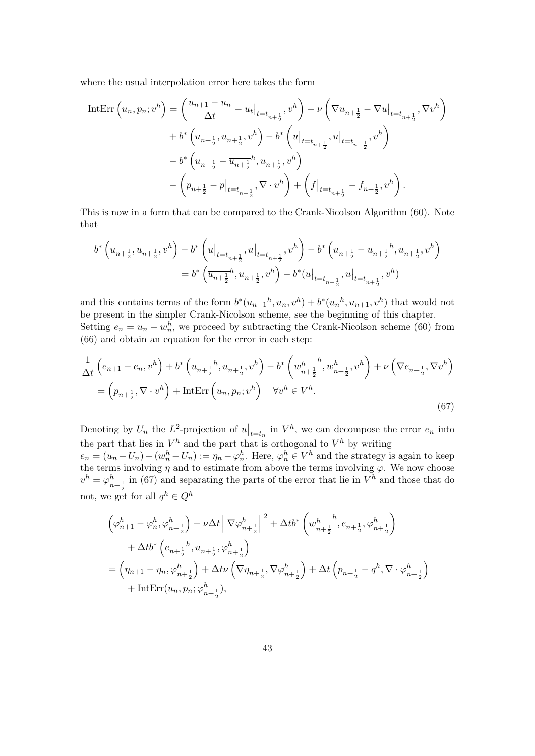where the usual interpolation error here takes the form

$$
\begin{split} \text{IntErr}\left(u_n, p_n; v^h\right) &= \left(\frac{u_{n+1} - u_n}{\Delta t} - u_t\big|_{t=t_{n+\frac{1}{2}}}, v^h\right) + \nu \left(\nabla u_{n+\frac{1}{2}} - \nabla u\big|_{t=t_{n+\frac{1}{2}}}, \nabla v^h\right) \\ &+ b^* \left(u_{n+\frac{1}{2}}, u_{n+\frac{1}{2}}, v^h\right) - b^* \left(u\big|_{t=t_{n+\frac{1}{2}}}, u\big|_{t=t_{n+\frac{1}{2}}}, v^h\right) \\ &- b^* \left(u_{n+\frac{1}{2}} - \overline{u}_{n+\frac{1}{2}}^h, u_{n+\frac{1}{2}}, v^h\right) \\ &- \left(p_{n+\frac{1}{2}} - p\big|_{t=t_{n+\frac{1}{2}}}, \nabla \cdot v^h\right) + \left(f\big|_{t=t_{n+\frac{1}{2}}} - f_{n+\frac{1}{2}}, v^h\right). \end{split}
$$

This is now in a form that can be compared to the Crank-Nicolson Algorithm (60). Note that

$$
\begin{split} b^*\left(u_{n+\frac{1}{2}},u_{n+\frac{1}{2}},v^h\right)-b^*\left(u\big|_{t=t_{n+\frac{1}{2}}},u\big|_{t=t_{n+\frac{1}{2}}},v^h\right)-b^*\left(u_{n+\frac{1}{2}}-\overline{u_{n+\frac{1}{2}}}^h,u_{n+\frac{1}{2}},v^h\right)\\ =b^*\left(\overline{u_{n+\frac{1}{2}}}^h,u_{n+\frac{1}{2}},v^h\right)-b^*\big(u\big|_{t=t_{n+\frac{1}{2}}},u\big|_{t=t_{n+\frac{1}{2}}},v^h\big) \end{split}
$$

and this contains terms of the form  $b^*(\overline{u_{n+1}}^h, u_n, v^h) + b^*(\overline{u_n}^h, u_{n+1}, v^h)$  that would not be present in the simpler Crank-Nicolson scheme, see the beginning of this chapter. Setting  $e_n = u_n - w_n^h$ , we proceed by subtracting the Crank-Nicolson scheme (60) from (66) and obtain an equation for the error in each step:

$$
\frac{1}{\Delta t} \left( e_{n+1} - e_n, v^h \right) + b^* \left( \overline{u_{n+\frac{1}{2}}}^h, u_{n+\frac{1}{2}}, v^h \right) - b^* \left( \overline{w_{n+\frac{1}{2}}}^h, w_{n+\frac{1}{2}}^h, v^h \right) + \nu \left( \nabla e_{n+\frac{1}{2}}, \nabla v^h \right)
$$
\n
$$
= \left( p_{n+\frac{1}{2}}, \nabla \cdot v^h \right) + \text{IntErr} \left( u_n, p_n; v^h \right) \quad \forall v^h \in V^h. \tag{67}
$$

Denoting by  $U_n$  the  $L^2$ -projection of  $u|_{t=t_n}$  in  $V^h$ , we can decompose the error  $e_n$  into  $t=t_n$ the part that lies in  $V^h$  and the part that is orthogonal to  $V^h$  by writing

 $e_n = (u_n - U_n) - (w_n^h - U_n) := \eta_n - \varphi_n^h$ . Here,  $\varphi_n^h \in V^h$  and the strategy is again to keep the terms involving  $\eta$  and to estimate from above the terms involving  $\varphi$ . We now choose  $v^h = \varphi^h_{n+\frac{1}{2}}$  in (67) and separating the parts of the error that lie in  $V^h$  and those that do not, we get for all  $q^h \in Q^h$ 

$$
\begin{aligned} &\left(\varphi^h_{n+1}-\varphi^h_{n},\varphi^h_{n+\frac{1}{2}}\right)+\nu\Delta t\left\|\nabla \varphi^h_{n+\frac{1}{2}}\right\|^2+\Delta t b^*\left(\overline{w^h_{n+\frac{1}{2}}},e_{n+\frac{1}{2}},\varphi^h_{n+\frac{1}{2}}\right)\\ &+\Delta t b^*\left(\overline{e_{n+\frac{1}{2}}}^h,u_{n+\frac{1}{2}},\varphi^h_{n+\frac{1}{2}}\right)\\ &=\left(\eta_{n+1}-\eta_{n},\varphi^h_{n+\frac{1}{2}}\right)+\Delta t\nu\left(\nabla \eta_{n+\frac{1}{2}},\nabla \varphi^h_{n+\frac{1}{2}}\right)+\Delta t\left(p_{n+\frac{1}{2}}-q^h,\nabla \cdot \varphi^h_{n+\frac{1}{2}}\right)\\ &+\mathrm{Int} \mathrm{Err}(u_{n},p_{n};\varphi^h_{n+\frac{1}{2}}), \end{aligned}
$$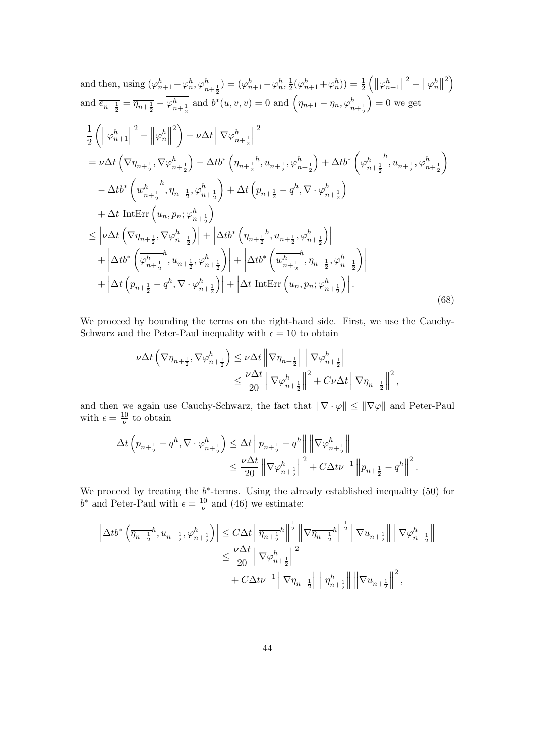and then, using 
$$
(\varphi_{n+1}^h - \varphi_n^h, \varphi_{n+\frac{1}{2}}^h) = (\varphi_{n+1}^h - \varphi_n^h, \frac{1}{2}(\varphi_{n+1}^h + \varphi_n^h)) = \frac{1}{2} (\|\varphi_{n+1}^h\|^2 - \|\varphi_n^h\|^2)
$$
  
\nand  $\overline{e_{n+\frac{1}{2}}} = \overline{\eta_{n+\frac{1}{2}}} - \overline{\varphi_{n+\frac{1}{2}}^h}$  and  $b^*(u, v, v) = 0$  and  $(\eta_{n+1} - \eta_n, \varphi_{n+\frac{1}{2}}^h) = 0$  we get  
\n
$$
\frac{1}{2} (\|\varphi_{n+1}^h\|^2 - \|\varphi_n^h\|^2) + \nu \Delta t \|\nabla \varphi_{n+\frac{1}{2}}^h\|^2
$$
\n
$$
= \nu \Delta t (\nabla \eta_{n+\frac{1}{2}}, \nabla \varphi_{n+\frac{1}{2}}^h) - \Delta t b^* (\overline{\eta_{n+\frac{1}{2}}}^h, u_{n+\frac{1}{2}}, \varphi_{n+\frac{1}{2}}^h) + \Delta t b^* (\overline{\varphi_{n+\frac{1}{2}}^h, u_{n+\frac{1}{2}}, \varphi_{n+\frac{1}{2}}^h)
$$
\n
$$
- \Delta t b^* (\overline{w_{n+\frac{1}{2}}^h, \eta_{n+\frac{1}{2}}}, \varphi_{n+\frac{1}{2}}^h) + \Delta t (\rho_{n+\frac{1}{2}} - q^h, \nabla \cdot \varphi_{n+\frac{1}{2}}^h)
$$
\n
$$
+ \Delta t \text{ Int} \text{Err} (\boldsymbol{u}_n, p_n; \varphi_{n+\frac{1}{2}}^h) + \Delta t b^* (\overline{\eta_{n+\frac{1}{2}}}^h, u_{n+\frac{1}{2}}, \varphi_{n+\frac{1}{2}}^h) + \left| \Delta t b^* (\overline{\varphi_{n+\frac{1}{2}}^h, \eta_{n+\frac{1}{2}}}, \varphi_{n+\frac{1}{2}}^h) \right|
$$
\n
$$
+ \left| \Delta t b^* (\overline{\varphi_{n+\frac{1}{2}}^h, u_{n+\frac{1}{2}}, \varphi_{n+\frac{1
$$

We proceed by bounding the terms on the right-hand side. First, we use the Cauchy-Schwarz and the Peter-Paul inequality with  $\epsilon = 10$  to obtain

$$
\begin{aligned} \nu \Delta t\left(\nabla \eta_{n+\frac{1}{2}}, \nabla \varphi_{n+\frac{1}{2}}^{h}\right) &\leq \nu \Delta t \left\|\nabla \eta_{n+\frac{1}{2}}\right\| \left\|\nabla \varphi_{n+\frac{1}{2}}^{h}\right\| \\ &\leq \frac{\nu \Delta t}{20} \left\|\nabla \varphi_{n+\frac{1}{2}}^{h}\right\|^{2} + C\nu \Delta t \left\|\nabla \eta_{n+\frac{1}{2}}\right\|^{2}, \end{aligned}
$$

and then we again use Cauchy-Schwarz, the fact that *∥∇ · φ∥ ≤ ∥∇φ∥* and Peter-Paul with  $\epsilon = \frac{10}{\mu}$ *ν* to obtain

$$
\Delta t \left( p_{n+\frac{1}{2}} - q^h, \nabla \cdot \varphi_{n+\frac{1}{2}}^h \right) \leq \Delta t \left\| p_{n+\frac{1}{2}} - q^h \right\| \left\| \nabla \varphi_{n+\frac{1}{2}}^h \right\|
$$
  

$$
\leq \frac{\nu \Delta t}{20} \left\| \nabla \varphi_{n+\frac{1}{2}}^h \right\|^2 + C \Delta t \nu^{-1} \left\| p_{n+\frac{1}{2}} - q^h \right\|^2.
$$

We proceed by treating the *b ∗* -terms. Using the already established inequality (50) for  $b^*$  and Peter-Paul with  $\epsilon = \frac{10}{\nu}$  $\frac{10}{\nu}$  and (46) we estimate:

|<br>|-

$$
\begin{aligned} \left|\Delta t b^*\left(\overline{\eta_{n+\frac{1}{2}}}h,u_{n+\frac{1}{2}},\varphi_{n+\frac{1}{2}}^h\right)\right| & \leq C\Delta t\left\|\overline{\eta_{n+\frac{1}{2}}}h\right\|^{\frac{1}{2}}\left\|\nabla \overline{\eta_{n+\frac{1}{2}}}h\right\|^{\frac{1}{2}}\left\|\nabla u_{n+\frac{1}{2}}\right\|\left\|\nabla \varphi_{n+\frac{1}{2}}^h\right\|\\ & \leq \frac{\nu \Delta t}{20}\left\|\nabla \varphi_{n+\frac{1}{2}}^h\right\|^2\\ &\qquad \qquad + C\Delta t \nu^{-1}\left\|\nabla \eta_{n+\frac{1}{2}}\right\|\left\|\eta_{n+\frac{1}{2}}^h\right\|\left\|\nabla u_{n+\frac{1}{2}}\right\|^2, \end{aligned}
$$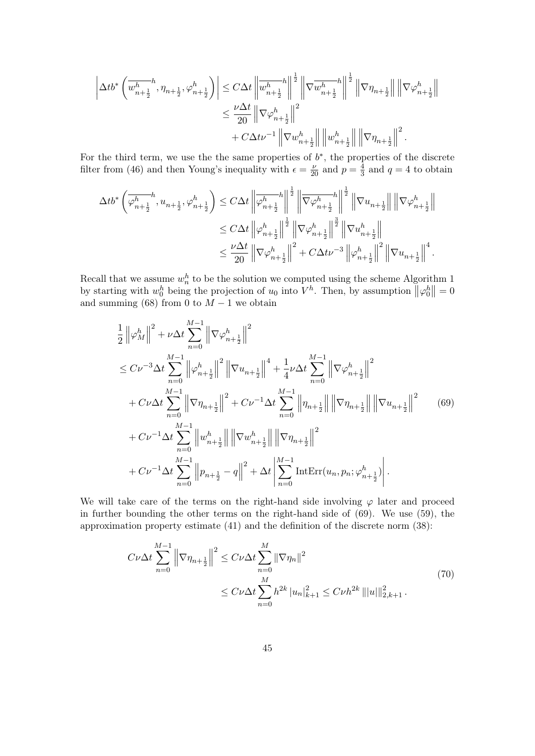$$
\label{eq:delta_t} \begin{split} \left|\Delta t b^*\left(\overline{w_{n+\frac{1}{2}}^{h}},\eta_{n+\frac{1}{2}},\varphi_{n+\frac{1}{2}}^{h}\right)\right| & \leq C\Delta t\left\|\overline{w_{n+\frac{1}{2}}^{h}}^{h}\right\|^{\frac{1}{2}}\left\|\nabla \overline{w_{n+\frac{1}{2}}^{h}}^{h}\right\|^{\frac{1}{2}}\left\|\nabla \eta_{n+\frac{1}{2}}\right\|\left\|\nabla \varphi_{n+\frac{1}{2}}^{h}\right\|^{2}\\ & \leq \frac{\nu \Delta t}{20}\left\|\nabla \varphi_{n+\frac{1}{2}}^{h}\right\|^{2}\\ & + C\Delta t \nu^{-1}\left\|\nabla w_{n+\frac{1}{2}}^{h}\right\|\left\|w_{n+\frac{1}{2}}^{h}\right\|\left\|\nabla \eta_{n+\frac{1}{2}}\right\|^{2}.\end{split}
$$

For the third term, we use the the same properties of  $b^*$ , the properties of the discrete filter from (46) and then Young's inequality with  $\epsilon = \frac{\nu}{20}$  and  $p = \frac{4}{3}$  $\frac{4}{3}$  and  $q = 4$  to obtain

$$
\label{eq:delta_b} \begin{split} \Delta t b^* \left( \overline{\varphi^h_{n+\frac{1}{2}}}, u_{n+\frac{1}{2}}, \varphi^h_{n+\frac{1}{2}} \right) & \leq C \Delta t \left\| \overline{\varphi^h_{n+\frac{1}{2}}}^h \right\|^{\frac{1}{2}} \left\| \overline{\nabla} \varphi^h_{n+\frac{1}{2}} \right\|^{\frac{1}{2}} \left\| \nabla u_{n+\frac{1}{2}} \right\| \left\| \nabla \varphi^h_{n+\frac{1}{2}} \right\| \\ & \leq C \Delta t \left\| \varphi^h_{n+\frac{1}{2}} \right\|^{\frac{1}{2}} \left\| \nabla \varphi^h_{n+\frac{1}{2}} \right\|^{\frac{3}{2}} \left\| \nabla u^h_{n+\frac{1}{2}} \right\| \\ & \leq \frac{\nu \Delta t}{20} \left\| \nabla \varphi^h_{n+\frac{1}{2}} \right\|^2 + C \Delta t \nu^{-3} \left\| \varphi^h_{n+\frac{1}{2}} \right\|^2 \left\| \nabla u_{n+\frac{1}{2}} \right\|^4. \end{split}
$$

Recall that we assume  $w_n^h$  to be the solution we computed using the scheme Algorithm 1 by starting with  $w_0^h$  being the projection of  $u_0$  into  $V^h$ . Then, by assumption  $\|\varphi_0^h\| = 0$ and summing (68) from 0 to  $M-1$  we obtain

$$
\frac{1}{2} ||\varphi_M^h||^2 + \nu \Delta t \sum_{n=0}^{M-1} ||\nabla \varphi_{n+\frac{1}{2}}^h||^2
$$
\n
$$
\leq C\nu^{-3} \Delta t \sum_{n=0}^{M-1} ||\varphi_{n+\frac{1}{2}}^h||^2 ||\nabla u_{n+\frac{1}{2}}||^4 + \frac{1}{4}\nu \Delta t \sum_{n=0}^{M-1} ||\nabla \varphi_{n+\frac{1}{2}}^h||^2
$$
\n
$$
+ C\nu \Delta t \sum_{n=0}^{M-1} ||\nabla \eta_{n+\frac{1}{2}}||^2 + C\nu^{-1} \Delta t \sum_{n=0}^{M-1} ||\eta_{n+\frac{1}{2}}|| ||\nabla \eta_{n+\frac{1}{2}}|| ||\nabla u_{n+\frac{1}{2}}||^2 \qquad (69)
$$
\n
$$
+ C\nu^{-1} \Delta t \sum_{n=0}^{M-1} ||u_{n+\frac{1}{2}}^h|| ||\nabla u_{n+\frac{1}{2}}^h|| ||\nabla \eta_{n+\frac{1}{2}}^h||^2
$$
\n
$$
+ C\nu^{-1} \Delta t \sum_{n=0}^{M-1} ||p_{n+\frac{1}{2}} - q||^2 + \Delta t \left| \sum_{n=0}^{M-1} \text{IntErr}(u_n, p_n; \varphi_{n+\frac{1}{2}}^h) \right|.
$$

We will take care of the terms on the right-hand side involving  $\varphi$  later and proceed in further bounding the other terms on the right-hand side of (69). We use (59), the approximation property estimate (41) and the definition of the discrete norm (38):

$$
C\nu\Delta t \sum_{n=0}^{M-1} \left\| \nabla \eta_{n+\frac{1}{2}} \right\|^2 \le C\nu\Delta t \sum_{n=0}^M \|\nabla \eta_n\|^2
$$
  
 
$$
\le C\nu\Delta t \sum_{n=0}^M h^{2k} |u_n|^2_{k+1} \le C\nu h^{2k} |||u||^2_{2,k+1}.
$$
 (70)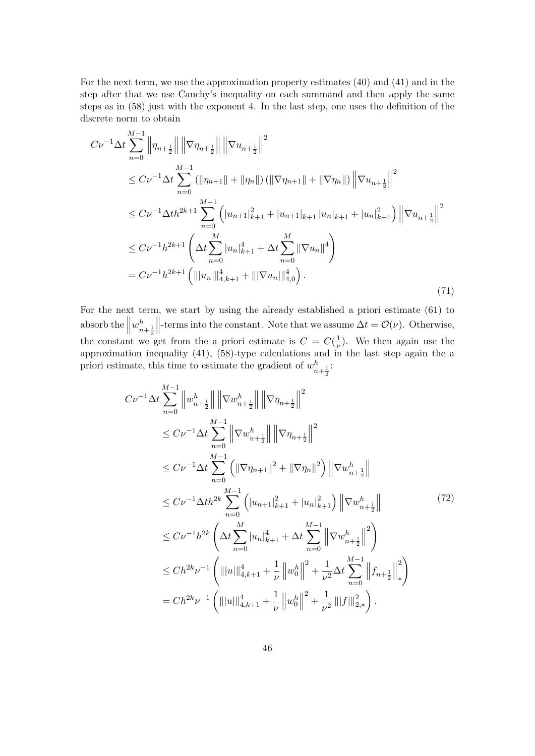For the next term, we use the approximation property estimates (40) and (41) and in the step after that we use Cauchy's inequality on each summand and then apply the same steps as in (58) just with the exponent 4. In the last step, one uses the definition of the discrete norm to obtain

$$
C\nu^{-1} \Delta t \sum_{n=0}^{M-1} \left\| \eta_{n+\frac{1}{2}} \right\| \left\| \nabla \eta_{n+\frac{1}{2}} \right\| \left\| \nabla u_{n+\frac{1}{2}} \right\|^2
$$
  
\n
$$
\leq C\nu^{-1} \Delta t \sum_{n=0}^{M-1} \left( \|\eta_{n+1}\| + \|\eta_n\| \right) \left( \|\nabla \eta_{n+1}\| + \|\nabla \eta_n\| \right) \left\| \nabla u_{n+\frac{1}{2}} \right\|^2
$$
  
\n
$$
\leq C\nu^{-1} \Delta t h^{2k+1} \sum_{n=0}^{M-1} \left( |u_{n+1}|_{k+1}^2 + |u_{n+1}|_{k+1} |u_n|_{k+1} + |u_n|_{k+1}^2 \right) \left\| \nabla u_{n+\frac{1}{2}} \right\|^2
$$
  
\n
$$
\leq C\nu^{-1} h^{2k+1} \left( \Delta t \sum_{n=0}^{M} |u_n|_{k+1}^4 + \Delta t \sum_{n=0}^{M} \|\nabla u_n\|^4 \right)
$$
  
\n
$$
= C\nu^{-1} h^{2k+1} \left( \|\|u_n\|\|_{4,k+1}^4 + \|\|\nabla u_n\|\|_{4,0}^4 \right).
$$
\n(71)

For the next term, we start by using the already established a priori estimate (61) to absorb the  $\parallel$  $w_{n+\frac{1}{2}}^h$  $\begin{array}{c} \hline \end{array}$ -terms into the constant. Note that we assume  $\Delta t = \mathcal{O}(\nu)$ . Otherwise, the constant we get from the a priori estimate is  $C = C(\frac{1}{n})$  $\frac{1}{\nu}$ ). We then again use the approximation inequality (41),  $(58)$ -type calculations and in the last step again the a priori estimate, this time to estimate the gradient of  $w_{n+\frac{1}{2}}^h$ :

$$
C\nu^{-1}\Delta t \sum_{n=0}^{M-1} \left\|w_{n+\frac{1}{2}}^{h}\right\| \left\|\nabla w_{n+\frac{1}{2}}^{h}\right\| \left\|\nabla \eta_{n+\frac{1}{2}}\right\|^{2}
$$
  
\n
$$
\leq C\nu^{-1}\Delta t \sum_{n=0}^{M-1} \left\|\nabla w_{n+\frac{1}{2}}^{h}\right\| \left\|\nabla \eta_{n+\frac{1}{2}}\right\|^{2}
$$
  
\n
$$
\leq C\nu^{-1}\Delta t \sum_{n=0}^{M-1} \left(\|\nabla \eta_{n+1}\|^{2} + \|\nabla \eta_{n}\|^{2}\right) \left\|\nabla w_{n+\frac{1}{2}}^{h}\right\|^{2}
$$
  
\n
$$
\leq C\nu^{-1}\Delta t h^{2k} \sum_{n=0}^{M-1} \left(\left|u_{n+1}\right|_{k+1}^{2} + \left|u_{n}\right|_{k+1}^{2}\right) \left\|\nabla w_{n+\frac{1}{2}}^{h}\right\|^{2}
$$
  
\n
$$
\leq C\nu^{-1}h^{2k} \left(\Delta t \sum_{n=0}^{M} |u_{n}|_{k+1}^{4} + \Delta t \sum_{n=0}^{M-1} \left\|\nabla w_{n+\frac{1}{2}}^{h}\right\|^{2}\right)
$$
  
\n
$$
\leq Ch^{2k}\nu^{-1} \left(\left\|\left|u\right|\right\|_{4,k+1}^{4} + \frac{1}{\nu}\left\|w_{0}^{h}\right\|^{2} + \frac{1}{\nu^{2}}\Delta t \sum_{n=0}^{M-1} \left\|f_{n+\frac{1}{2}}\right\|^{2}\right)
$$
  
\n
$$
= Ch^{2k}\nu^{-1} \left(\left\|\left|u\right|\right\|_{4,k+1}^{4} + \frac{1}{\nu}\left\|w_{0}^{h}\right\|^{2} + \frac{1}{\nu^{2}}\left\|\left\|f\right\|_{2,*}^{2}\right).
$$
 (11)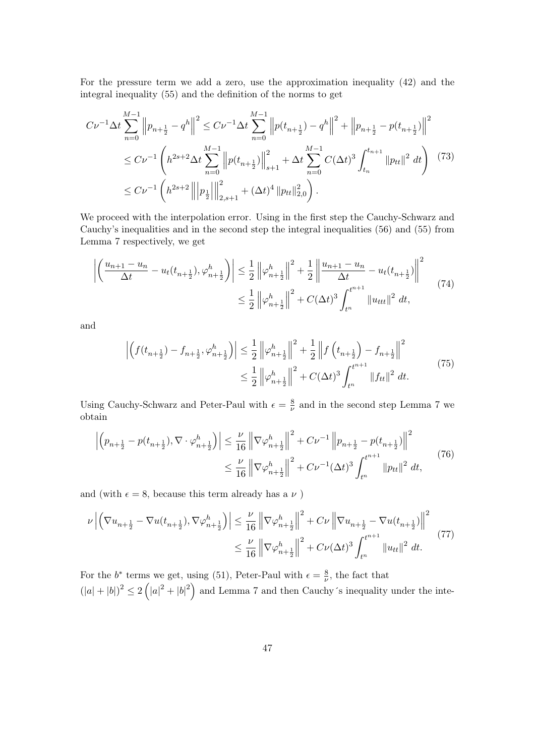For the pressure term we add a zero, use the approximation inequality (42) and the integral inequality (55) and the definition of the norms to get

$$
C\nu^{-1}\Delta t \sum_{n=0}^{M-1} \left\|p_{n+\frac{1}{2}} - q^h\right\|^2 \le C\nu^{-1}\Delta t \sum_{n=0}^{M-1} \left\|p(t_{n+\frac{1}{2}}) - q^h\right\|^2 + \left\|p_{n+\frac{1}{2}} - p(t_{n+\frac{1}{2}})\right\|^2
$$
  
\n
$$
\le C\nu^{-1}\left(h^{2s+2}\Delta t \sum_{n=0}^{M-1} \left\|p(t_{n+\frac{1}{2}})\right\|_{s+1}^2 + \Delta t \sum_{n=0}^{M-1} C(\Delta t)^3 \int_{t_n}^{t_{n+1}} \|p_{tt}\|^2 dt\right) (73)
$$
  
\n
$$
\le C\nu^{-1}\left(h^{2s+2}\left\|p_{\frac{1}{2}}\right\|_{2,s+1}^2 + (\Delta t)^4 \|p_{tt}\|_{2,0}^2\right).
$$

We proceed with the interpolation error. Using in the first step the Cauchy-Schwarz and Cauchy's inequalities and in the second step the integral inequalities (56) and (55) from Lemma 7 respectively, we get

$$
\left| \left( \frac{u_{n+1} - u_n}{\Delta t} - u_t(t_{n+\frac{1}{2}}), \varphi_{n+\frac{1}{2}}^h \right) \right| \leq \frac{1}{2} \left\| \varphi_{n+\frac{1}{2}}^h \right\|^2 + \frac{1}{2} \left\| \frac{u_{n+1} - u_n}{\Delta t} - u_t(t_{n+\frac{1}{2}}) \right\|^2
$$
\n
$$
\leq \frac{1}{2} \left\| \varphi_{n+\frac{1}{2}}^h \right\|^2 + C(\Delta t)^3 \int_{t^n}^{t^{n+1}} \|u_{ttt}\|^2 dt,
$$
\n(74)

and

$$
\left| \left( f(t_{n+\frac{1}{2}}) - f_{n+\frac{1}{2}}, \varphi_{n+\frac{1}{2}}^{h} \right) \right| \leq \frac{1}{2} \left\| \varphi_{n+\frac{1}{2}}^{h} \right\|^{2} + \frac{1}{2} \left\| f\left(t_{n+\frac{1}{2}}\right) - f_{n+\frac{1}{2}} \right\|^{2}
$$
\n
$$
\leq \frac{1}{2} \left\| \varphi_{n+\frac{1}{2}}^{h} \right\|^{2} + C(\Delta t)^{3} \int_{t^{n}}^{t^{n+1}} \| f_{tt} \|^{2} dt. \tag{75}
$$

Using Cauchy-Schwarz and Peter-Paul with  $\epsilon = \frac{8}{v}$  $\frac{8}{\nu}$  and in the second step Lemma 7 we obtain

$$
\left| \left( p_{n+\frac{1}{2}} - p(t_{n+\frac{1}{2}}), \nabla \cdot \varphi_{n+\frac{1}{2}}^{h} \right) \right| \leq \frac{\nu}{16} \left\| \nabla \varphi_{n+\frac{1}{2}}^{h} \right\|^{2} + C\nu^{-1} \left\| p_{n+\frac{1}{2}} - p(t_{n+\frac{1}{2}}) \right\|^{2}
$$
  

$$
\leq \frac{\nu}{16} \left\| \nabla \varphi_{n+\frac{1}{2}}^{h} \right\|^{2} + C\nu^{-1} (\Delta t)^{3} \int_{t^{n}}^{t^{n+1}} \| p_{tt} \|^{2} dt,
$$
 (76)

and (with  $\epsilon = 8$ , because this term already has a  $\nu$ )

$$
\nu \left| \left( \nabla u_{n + \frac{1}{2}} - \nabla u(t_{n + \frac{1}{2}}), \nabla \varphi_{n + \frac{1}{2}}^{h} \right) \right| \leq \frac{\nu}{16} \left\| \nabla \varphi_{n + \frac{1}{2}}^{h} \right\|^{2} + C\nu \left\| \nabla u_{n + \frac{1}{2}} - \nabla u(t_{n + \frac{1}{2}}) \right\|^{2} \leq \frac{\nu}{16} \left\| \nabla \varphi_{n + \frac{1}{2}}^{h} \right\|^{2} + C\nu (\Delta t)^{3} \int_{t^{n}}^{t^{n+1}} \|u_{tt}\|^{2} dt.
$$
\n(77)

For the *b*<sup>\*</sup> terms we get, using (51), Peter-Paul with  $\epsilon = \frac{8}{\mu}$  $\frac{8}{\nu}$ , the fact that  $(|a|+|b|)^2 \leq 2(|a|^2+|b|^2)$  and Lemma 7 and then Cauchy's inequality under the inte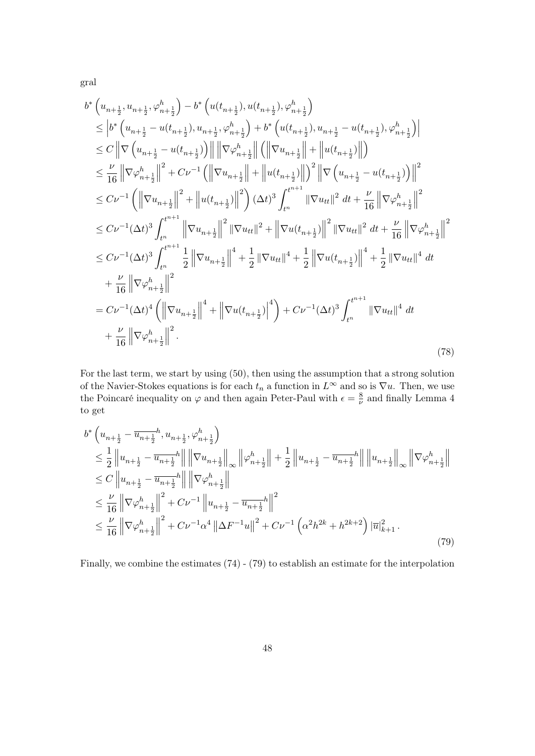gral

$$
b^* \left(u_{n+\frac{1}{2}}, u_{n+\frac{1}{2}}, \varphi_{n+\frac{1}{2}}^h\right) - b^* \left(u(t_{n+\frac{1}{2}}), u(t_{n+\frac{1}{2}}), \varphi_{n+\frac{1}{2}}^h\right)
$$
  
\n
$$
\leq \left| b^* \left(u_{n+\frac{1}{2}} - u(t_{n+\frac{1}{2}}), u_{n+\frac{1}{2}}, \varphi_{n+\frac{1}{2}}^h\right) + b^* \left(u(t_{n+\frac{1}{2}}), u_{n+\frac{1}{2}} - u(t_{n+\frac{1}{2}}), \varphi_{n+\frac{1}{2}}^h\right) \right|
$$
  
\n
$$
\leq C \left\|\nabla \left(u_{n+\frac{1}{2}} - u(t_{n+\frac{1}{2}})\right)\right\| \left\|\nabla \varphi_{n+\frac{1}{2}}^h\right\| + \left\|u(t_{n+\frac{1}{2}})\right\| \right)
$$
  
\n
$$
\leq \frac{\nu}{16} \left\|\nabla \varphi_{n+\frac{1}{2}}^h\right\|^2 + C\nu^{-1} \left(\left\|\nabla u_{n+\frac{1}{2}}\right\| + \left\|u(t_{n+\frac{1}{2}})\right\| \right)^2 \left\|\nabla \left(u_{n+\frac{1}{2}} - u(t_{n+\frac{1}{2}})\right)\right\|^2
$$
  
\n
$$
\leq C\nu^{-1} \left(\left\|\nabla u_{n+\frac{1}{2}}\right\|^2 + \left\|u(t_{n+\frac{1}{2}})\right\|^2\right) (\Delta t)^3 \int_{t^n}^{t^{n+1}} \left\|\nabla u_{tt}\right\|^2 dt + \frac{\nu}{16} \left\|\nabla \varphi_{n+\frac{1}{2}}^h\right\|^2
$$
  
\n
$$
\leq C\nu^{-1} (\Delta t)^3 \int_{t^n}^{t^{n+1}} \left\|\nabla u_{n+\frac{1}{2}}\right\|^2 \left\|\nabla u_{tt}\right\|^2 + \left\|\nabla u(t_{n+\frac{1}{2}})\right\|^2 \left\|\nabla u_{tt}\right\|^2 dt + \frac{\nu}{16} \left\|\nabla \varphi_{n+\frac{1}{2}}^h\right\|^2
$$
  
\n
$$
\
$$

For the last term, we start by using (50), then using the assumption that a strong solution of the Navier-Stokes equations is for each  $t_n$  a function in  $L^{\infty}$  and so is  $\nabla u$ . Then, we use the Poincaré inequality on  $\varphi$  and then again Peter-Paul with  $\epsilon = \frac{8}{\nu}$  $\frac{8}{\nu}$  and finally Lemma 4 to get

$$
b^* \left( u_{n+\frac{1}{2}} - \overline{u_{n+\frac{1}{2}}}^h, u_{n+\frac{1}{2}}, \varphi_{n+\frac{1}{2}}^h \right) \n\leq \frac{1}{2} \left\| u_{n+\frac{1}{2}} - \overline{u_{n+\frac{1}{2}}}^h \right\| \left\| \nabla u_{n+\frac{1}{2}} \right\|_{\infty} \left\| \varphi_{n+\frac{1}{2}}^h \right\| + \frac{1}{2} \left\| u_{n+\frac{1}{2}} - \overline{u_{n+\frac{1}{2}}}^h \right\| \left\| u_{n+\frac{1}{2}} \right\|_{\infty} \left\| \nabla \varphi_{n+\frac{1}{2}}^h \right\| \n\leq C \left\| u_{n+\frac{1}{2}} - \overline{u_{n+\frac{1}{2}}}^h \right\| \left\| \nabla \varphi_{n+\frac{1}{2}}^h \right\| \n\leq \frac{\nu}{16} \left\| \nabla \varphi_{n+\frac{1}{2}}^h \right\|^2 + C\nu^{-1} \left\| u_{n+\frac{1}{2}} - \overline{u_{n+\frac{1}{2}}}^h \right\|^2 \n\leq \frac{\nu}{16} \left\| \nabla \varphi_{n+\frac{1}{2}}^h \right\|^2 + C\nu^{-1} \alpha^4 \left\| \Delta F^{-1} u \right\|^2 + C\nu^{-1} \left( \alpha^2 h^{2k} + h^{2k+2} \right) \left| \overline{u} \right\|_{k+1}^2. \tag{79}
$$

Finally, we combine the estimates (74) - (79) to establish an estimate for the interpolation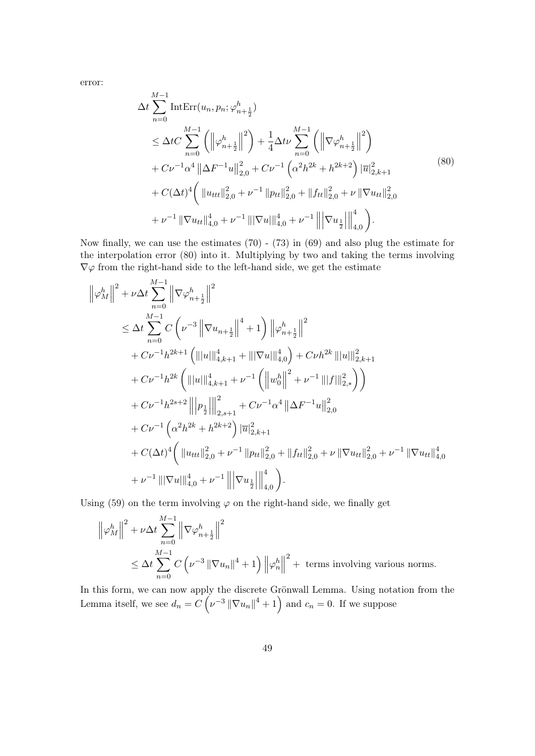error:

$$
\Delta t \sum_{n=0}^{M-1} \text{IntErr}(u_n, p_n; \varphi_{n+\frac{1}{2}}^h)
$$
\n
$$
\leq \Delta t C \sum_{n=0}^{M-1} \left( \left\| \varphi_{n+\frac{1}{2}}^h \right\|^2 \right) + \frac{1}{4} \Delta t \nu \sum_{n=0}^{M-1} \left( \left\| \nabla \varphi_{n+\frac{1}{2}}^h \right\|^2 \right)
$$
\n
$$
+ C \nu^{-1} \alpha^4 \left\| \Delta F^{-1} u \right\|_{2,0}^2 + C \nu^{-1} \left( \alpha^2 h^{2k} + h^{2k+2} \right) \left| \overline{u} \right|_{2,k+1}^2
$$
\n
$$
+ C (\Delta t)^4 \left( \left\| u_{ttt} \right\|_{2,0}^2 + \nu^{-1} \left\| p_{tt} \right\|_{2,0}^2 + \left\| f_{ttt} \right\|_{2,0}^2 + \nu \left\| \nabla u_{tt} \right\|_{2,0}^2 \right)
$$
\n
$$
+ \nu^{-1} \left\| \nabla u_{tt} \right\|_{4,0}^4 + \nu^{-1} \left\| \left| \nabla u \right\|_{4,0}^4 + \nu^{-1} \left\| \left| \nabla u_{\frac{1}{2}}^h \right\|_{4,0}^4 \right).
$$
\n
$$
(80)
$$

Now finally, we can use the estimates (70) - (73) in (69) and also plug the estimate for the interpolation error (80) into it. Multiplying by two and taking the terms involving *∇φ* from the right-hand side to the left-hand side, we get the estimate

$$
\|\varphi_M^h\|^2 + \nu \Delta t \sum_{n=0}^{M-1} \|\nabla \varphi_{n+\frac{1}{2}}^h\|^2
$$
  
\n
$$
\leq \Delta t \sum_{n=0}^{M-1} C \left(\nu^{-3} \|\nabla u_{n+\frac{1}{2}}\|^4 + 1\right) \|\varphi_{n+\frac{1}{2}}^h\|^2
$$
  
\n
$$
+ C\nu^{-1}h^{2k+1} \left(\| |u| \|_{4,k+1}^4 + \|\nabla u\|_{4,0}^4\right) + C\nu h^{2k} \|\|u\|_{2,k+1}^2
$$
  
\n
$$
+ C\nu^{-1}h^{2k} \left(\| |u| \|_{4,k+1}^4 + \nu^{-1} \left(\left\| w_0^h \right\|^2 + \nu^{-1} \| |f| \|_{2,*}^2\right)\right)
$$
  
\n
$$
+ C\nu^{-1}h^{2s+2} \left\| |p_{\frac{1}{2}}| \right\|_{2,s+1}^2 + C\nu^{-1} \alpha^4 \|\Delta F^{-1}u\|_{2,0}^2
$$
  
\n
$$
+ C\nu^{-1} \left(\alpha^2 h^{2k} + h^{2k+2}\right) \|\overline{u}\|_{2,k+1}^2
$$
  
\n
$$
+ C(\Delta t)^4 \left(\| u_{ttt}\|_{2,0}^2 + \nu^{-1} \|p_{tt}\|_{2,0}^2 + \|f_{tt}\|_{2,0}^2 + \nu \|\nabla u_{tt}\|_{2,0}^2 + \nu^{-1} \|\nabla u_{tt}\|_{4,0}^4
$$
  
\n
$$
+ \nu^{-1} \|\|\nabla u\|_{4,0}^4 + \nu^{-1} \left\| |\nabla u_{\frac{1}{2}}\right\|_{4,0}^4 \right).
$$

Using  $(59)$  on the term involving  $\varphi$  on the right-hand side, we finally get

$$
\left\|\varphi_M^h\right\|^2 + \nu \Delta t \sum_{n=0}^{M-1} \left\|\nabla \varphi_{n+\frac{1}{2}}^h\right\|^2
$$
  
\n
$$
\leq \Delta t \sum_{n=0}^{M-1} C\left(\nu^{-3} \left\|\nabla u_n\right\|^4 + 1\right) \left\|\varphi_n^h\right\|^2 + \text{ terms involving various norms.}
$$

In this form, we can now apply the discrete Grönwall Lemma. Using notation from the Lemma itself, we see  $d_n = C\left(\nu^{-3} \|\nabla u_n\|^4 + 1\right)$  and  $c_n = 0$ . If we suppose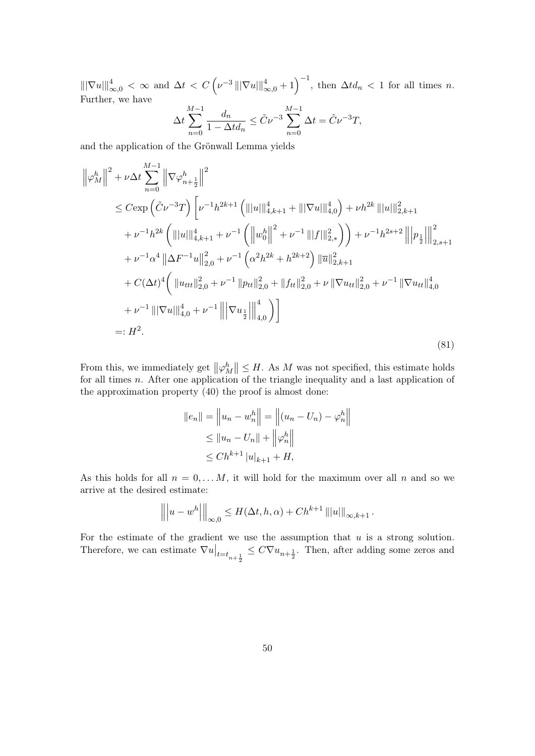$\|\nabla u\|_{\infty,0}^4 < \infty$  and  $\Delta t < C\left(\nu^{-3}\|\nabla u\|_{\infty,0}^4 + 1\right)^{-1}$ , then  $\Delta t d_n < 1$  for all times n. Further, we have

$$
\Delta t \sum_{n=0}^{M-1} \frac{d_n}{1 - \Delta t d_n} \le \tilde{C} \nu^{-3} \sum_{n=0}^{M-1} \Delta t = \tilde{C} \nu^{-3} T,
$$

and the application of the Grönwall Lemma yields

$$
\left\|\varphi_{M}^{h}\right\|^{2} + \nu \Delta t \sum_{n=0}^{M-1} \left\|\nabla \varphi_{n+\frac{1}{2}}^{h}\right\|^{2}
$$
  
\n
$$
\leq C \exp\left(\tilde{C}\nu^{-3}T\right) \left[\nu^{-1}h^{2k+1}\left(\| |u| \|_{4,k+1}^{4} + \| |\nabla u| \|_{4,0}^{4}\right) + \nu h^{2k} \| |u| \|_{2,k+1}^{2}
$$
  
\n
$$
+ \nu^{-1}h^{2k}\left(\| |u| \|_{4,k+1}^{4} + \nu^{-1}\left(\left\| w_{0}^{h} \right\|^{2} + \nu^{-1} \| |f| \|_{2,*}^{2}\right)\right) + \nu^{-1}h^{2s+2} \left\| p_{\frac{1}{2}} \right\|_{2,s+1}^{2}
$$
  
\n
$$
+ \nu^{-1}\alpha^{4} \left\|\Delta F^{-1}u\right\|_{2,0}^{2} + \nu^{-1}\left(\alpha^{2}h^{2k} + h^{2k+2}\right) \|\overline{u}\|_{2,k+1}^{2}
$$
  
\n
$$
+ C(\Delta t)^{4}\left(\left\| u_{ttt} \right\|_{2,0}^{2} + \nu^{-1} \| p_{tt} \right\|_{2,0}^{2} + \left\| f_{tt} \right\|_{2,0}^{2} + \nu \left\| \nabla u_{tt} \right\|_{2,0}^{2} + \nu^{-1} \left\| \nabla u_{tt} \right\|_{4,0}^{4}
$$
  
\n
$$
+ \nu^{-1} \left\| |\nabla u| \right\|_{4,0}^{4} + \nu^{-1} \left\| \left| \nabla u_{\frac{1}{2}} \right\|_{4,0}^{4}\right) \right]
$$
  
\n
$$
=: H^{2}.
$$
 (81)

From this, we immediately get  $\|\varphi_M^h\| \leq H$ . As *M* was not specified, this estimate holds for all times *n*. After one application of the triangle inequality and a last application of the approximation property (40) the proof is almost done:

$$
||e_n|| = ||u_n - w_n^h|| = ||(u_n - U_n) - \varphi_n^h||
$$
  
\n
$$
\le ||u_n - U_n|| + ||\varphi_n^h||
$$
  
\n
$$
\le C h^{k+1} |u|_{k+1} + H,
$$

As this holds for all  $n = 0, \ldots M$ , it will hold for the maximum over all n and so we arrive at the desired estimate:

$$
\left\| \left\| u - w^h \right\| \right\|_{\infty,0} \le H(\Delta t, h, \alpha) + Ch^{k+1} \left\| |u| \right\|_{\infty,k+1}.
$$

For the estimate of the gradient we use the assumption that *u* is a strong solution. Therefore, we can estimate  $\nabla u|_{t=t_{n+\frac{1}{2}}} \leq C \nabla u_{n+\frac{1}{2}}$ . Then, after adding some zeros and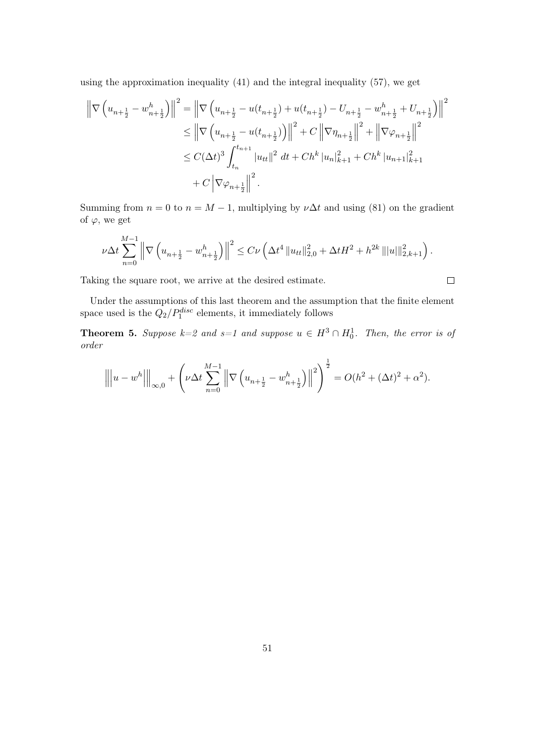using the approximation inequality (41) and the integral inequality (57), we get

$$
\left\| \nabla \left( u_{n+\frac{1}{2}} - w_{n+\frac{1}{2}}^h \right) \right\|^2 = \left\| \nabla \left( u_{n+\frac{1}{2}} - u(t_{n+\frac{1}{2}}) + u(t_{n+\frac{1}{2}}) - U_{n+\frac{1}{2}} - w_{n+\frac{1}{2}}^h + U_{n+\frac{1}{2}} \right) \right\|^2
$$
  
\n
$$
\leq \left\| \nabla \left( u_{n+\frac{1}{2}} - u(t_{n+\frac{1}{2}}) \right) \right\|^2 + C \left\| \nabla \eta_{n+\frac{1}{2}} \right\|^2 + \left\| \nabla \varphi_{n+\frac{1}{2}} \right\|^2
$$
  
\n
$$
\leq C(\Delta t)^3 \int_{t_n}^{t_{n+1}} |u_{tt}|^2 dt + Ch^k |u_n|_{k+1}^2 + Ch^k |u_{n+1}|_{k+1}^2
$$
  
\n
$$
+ C \left| \nabla \varphi_{n+\frac{1}{2}} \right\|^2.
$$

Summing from  $n = 0$  to  $n = M - 1$ , multiplying by  $\nu \Delta t$  and using (81) on the gradient of  $\varphi$ , we get

$$
\nu \Delta t \sum_{n=0}^{M-1} \left\| \nabla \left( u_{n+\frac{1}{2}} - w_{n+\frac{1}{2}}^h \right) \right\|^2 \leq C \nu \left( \Delta t^4 \left\| u_{tt} \right\|_{2,0}^2 + \Delta t H^2 + h^{2k} \left\| |u| \right\|_{2,k+1}^2 \right).
$$

Taking the square root, we arrive at the desired estimate.

Under the assumptions of this last theorem and the assumption that the finite element space used is the  $Q_2/P_1^{disc}$  elements, it immediately follows

**Theorem 5.** Suppose  $k=2$  and  $s=1$  and suppose  $u \in H^3 \cap H_0^1$ . Then, the error is of *order*

$$
\left\| \left\| u - w^h \right\| \right\|_{\infty,0} + \left( \nu \Delta t \sum_{n=0}^{M-1} \left\| \nabla \left( u_{n+\frac{1}{2}} - w_{n+\frac{1}{2}}^h \right) \right\|^2 \right)^{\frac{1}{2}} = O(h^2 + (\Delta t)^2 + \alpha^2).
$$

$$
\qquad \qquad \Box
$$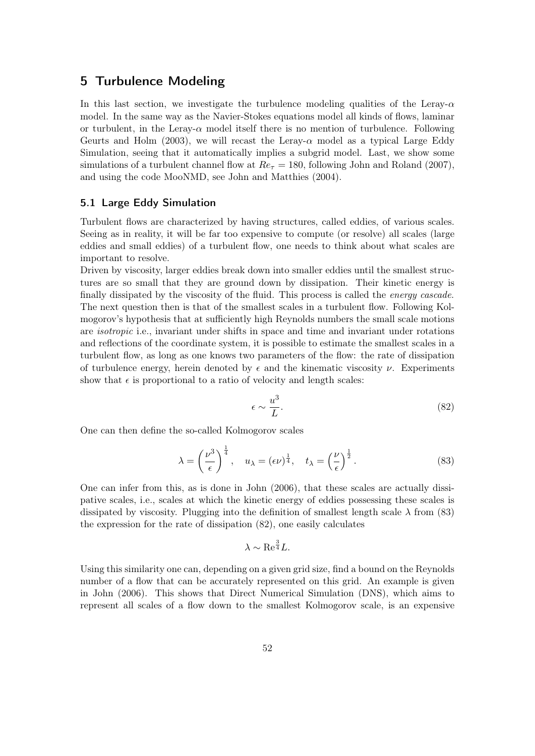# 5 Turbulence Modeling

In this last section, we investigate the turbulence modeling qualities of the Leray-*α* model. In the same way as the Navier-Stokes equations model all kinds of flows, laminar or turbulent, in the Leray- $\alpha$  model itself there is no mention of turbulence. Following Geurts and Holm (2003), we will recast the Leray- $\alpha$  model as a typical Large Eddy Simulation, seeing that it automatically implies a subgrid model. Last, we show some simulations of a turbulent channel flow at  $Re<sub>\tau</sub> = 180$ , following John and Roland (2007), and using the code MooNMD, see John and Matthies (2004).

## 5.1 Large Eddy Simulation

Turbulent flows are characterized by having structures, called eddies, of various scales. Seeing as in reality, it will be far too expensive to compute (or resolve) all scales (large eddies and small eddies) of a turbulent flow, one needs to think about what scales are important to resolve.

Driven by viscosity, larger eddies break down into smaller eddies until the smallest structures are so small that they are ground down by dissipation. Their kinetic energy is finally dissipated by the viscosity of the fluid. This process is called the *energy cascade*. The next question then is that of the smallest scales in a turbulent flow. Following Kolmogorov's hypothesis that at sufficiently high Reynolds numbers the small scale motions are *isotropic* i.e., invariant under shifts in space and time and invariant under rotations and reflections of the coordinate system, it is possible to estimate the smallest scales in a turbulent flow, as long as one knows two parameters of the flow: the rate of dissipation of turbulence energy, herein denoted by  $\epsilon$  and the kinematic viscosity  $\nu$ . Experiments show that  $\epsilon$  is proportional to a ratio of velocity and length scales:

$$
\epsilon \sim \frac{u^3}{L}.\tag{82}
$$

One can then define the so-called Kolmogorov scales

$$
\lambda = \left(\frac{\nu^3}{\epsilon}\right)^{\frac{1}{4}}, \quad u_{\lambda} = (\epsilon \nu)^{\frac{1}{4}}, \quad t_{\lambda} = \left(\frac{\nu}{\epsilon}\right)^{\frac{1}{2}}.
$$
\n(83)

One can infer from this, as is done in John (2006), that these scales are actually dissipative scales, i.e., scales at which the kinetic energy of eddies possessing these scales is dissipated by viscosity. Plugging into the definition of smallest length scale  $\lambda$  from (83) the expression for the rate of dissipation (82), one easily calculates

$$
\lambda \sim \text{Re}^{\frac{3}{4}}L.
$$

Using this similarity one can, depending on a given grid size, find a bound on the Reynolds number of a flow that can be accurately represented on this grid. An example is given in John (2006). This shows that Direct Numerical Simulation (DNS), which aims to represent all scales of a flow down to the smallest Kolmogorov scale, is an expensive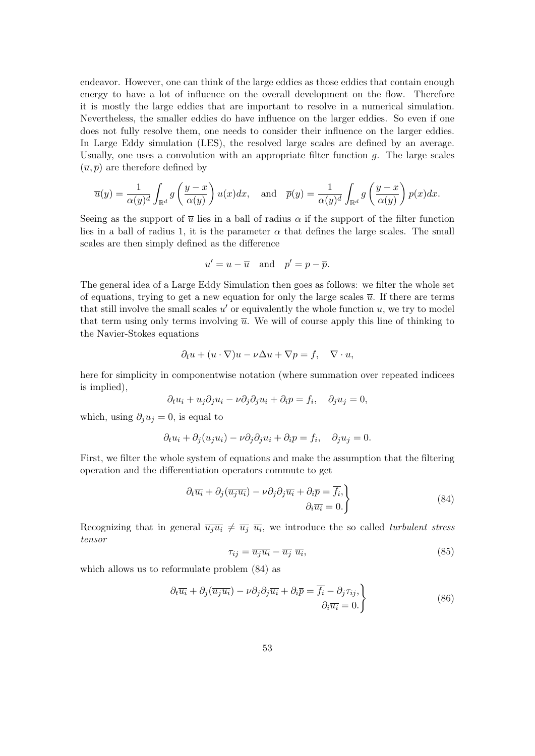endeavor. However, one can think of the large eddies as those eddies that contain enough energy to have a lot of influence on the overall development on the flow. Therefore it is mostly the large eddies that are important to resolve in a numerical simulation. Nevertheless, the smaller eddies do have influence on the larger eddies. So even if one does not fully resolve them, one needs to consider their influence on the larger eddies. In Large Eddy simulation (LES), the resolved large scales are defined by an average. Usually, one uses a convolution with an appropriate filter function *g*. The large scales  $(\overline{u}, \overline{p})$  are therefore defined by

$$
\overline{u}(y) = \frac{1}{\alpha(y)^d} \int_{\mathbb{R}^d} g\left(\frac{y-x}{\alpha(y)}\right) u(x) dx, \text{ and } \overline{p}(y) = \frac{1}{\alpha(y)^d} \int_{\mathbb{R}^d} g\left(\frac{y-x}{\alpha(y)}\right) p(x) dx.
$$

Seeing as the support of  $\bar{u}$  lies in a ball of radius  $\alpha$  if the support of the filter function lies in a ball of radius 1, it is the parameter  $\alpha$  that defines the large scales. The small scales are then simply defined as the difference

$$
u' = u - \overline{u} \quad \text{and} \quad p' = p - \overline{p}.
$$

The general idea of a Large Eddy Simulation then goes as follows: we filter the whole set of equations, trying to get a new equation for only the large scales  $\bar{u}$ . If there are terms that still involve the small scales  $u'$  or equivalently the whole function  $u$ , we try to model that term using only terms involving  $\bar{u}$ . We will of course apply this line of thinking to the Navier-Stokes equations

$$
\partial_t u + (u \cdot \nabla)u - \nu \Delta u + \nabla p = f, \quad \nabla \cdot u,
$$

here for simplicity in componentwise notation (where summation over repeated indicees is implied),

$$
\partial_t u_i + u_j \partial_j u_i - \nu \partial_j \partial_j u_i + \partial_i p = f_i, \quad \partial_j u_j = 0,
$$

which, using  $\partial_i u_j = 0$ , is equal to

$$
\partial_t u_i + \partial_j (u_j u_i) - \nu \partial_j \partial_j u_i + \partial_i p = f_i, \quad \partial_j u_j = 0.
$$

First, we filter the whole system of equations and make the assumption that the filtering operation and the differentiation operators commute to get

$$
\frac{\partial_t \overline{u_i} + \partial_j(\overline{u_j u_i}) - \nu \partial_j \partial_j \overline{u_i} + \partial_i \overline{p} = \overline{f_i},\}
$$
\n
$$
\frac{\partial_t \overline{u_i} = 0.}{\partial_i \overline{u_i}} \tag{84}
$$

Recognizing that in general  $\overline{u_ju_i} \neq \overline{u_j} \ \overline{u_i}$ , we introduce the so called *turbulent stress tensor*

$$
\tau_{ij} = \overline{u_j u_i} - \overline{u_j} \ \overline{u_i},\tag{85}
$$

which allows us to reformulate problem (84) as

$$
\left\{\partial_t \overline{u_i} + \partial_j(\overline{u_j u_i}) - \nu \partial_j \partial_j \overline{u_i} + \partial_i \overline{p} = \overline{f_i} - \partial_j \tau_{ij},\right\}
$$
\n
$$
\left\{\n\begin{array}{l}\n\partial_i \overline{u_i} = 0.\n\end{array}\n\right\}
$$
\n(86)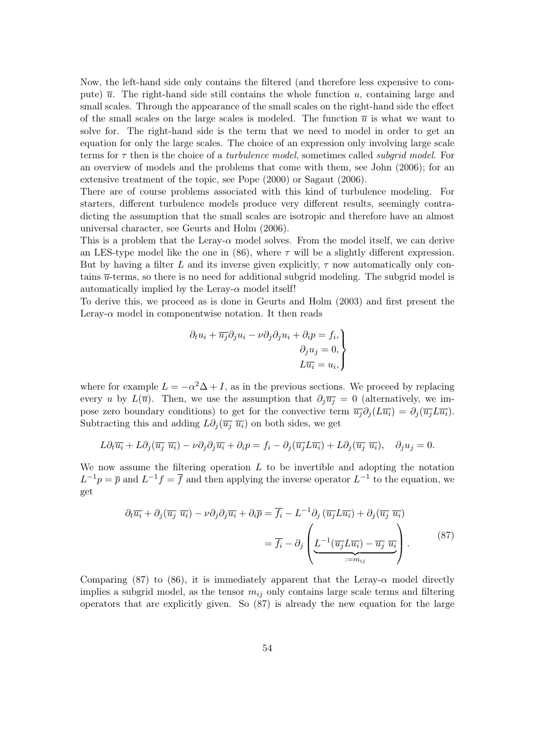Now, the left-hand side only contains the filtered (and therefore less expensive to compute)  $\overline{u}$ . The right-hand side still contains the whole function *u*, containing large and small scales. Through the appearance of the small scales on the right-hand side the effect of the small scales on the large scales is modeled. The function  $\bar{u}$  is what we want to solve for. The right-hand side is the term that we need to model in order to get an equation for only the large scales. The choice of an expression only involving large scale terms for *τ* then is the choice of a *turbulence model*, sometimes called *subgrid model*. For an overview of models and the problems that come with them, see John (2006); for an extensive treatment of the topic, see Pope (2000) or Sagaut (2006).

There are of course problems associated with this kind of turbulence modeling. For starters, different turbulence models produce very different results, seemingly contradicting the assumption that the small scales are isotropic and therefore have an almost universal character, see Geurts and Holm (2006).

This is a problem that the Leray- $\alpha$  model solves. From the model itself, we can derive an LES-type model like the one in  $(86)$ , where  $\tau$  will be a slightly different expression. But by having a filter L and its inverse given explicitly,  $\tau$  now automatically only contains  $\bar{u}$ -terms, so there is no need for additional subgrid modeling. The subgrid model is automatically implied by the Leray- $\alpha$  model itself!

To derive this, we proceed as is done in Geurts and Holm (2003) and first present the Leray- $\alpha$  model in componentwise notation. It then reads

$$
\partial_t u_i + \overline{u_j} \partial_j u_i - \nu \partial_j \partial_j u_i + \partial_i p = f_i, \n\partial_j u_j = 0, \nL \overline{u_i} = u_i,
$$

where for example  $L = -\alpha^2 \Delta + I$ , as in the previous sections. We proceed by replacing every *u* by  $L(\overline{u})$ . Then, we use the assumption that  $\partial_i \overline{u_i} = 0$  (alternatively, we impose zero boundary conditions) to get for the convective term  $\overline{u_i} \partial_i (L \overline{u_i}) = \partial_i (\overline{u_i} L \overline{u_i}).$ Subtracting this and adding  $L\partial_i(\overline{u_i} \ \overline{u_i})$  on both sides, we get

$$
L\partial_t \overline{u_i} + L\partial_j(\overline{u_j}\ \overline{u_i}) - \nu \partial_j \partial_j \overline{u_i} + \partial_i p = f_i - \partial_j(\overline{u_j}L\overline{u_i}) + L\partial_j(\overline{u_j}\ \overline{u_i}), \quad \partial_j u_j = 0.
$$

We now assume the filtering operation *L* to be invertible and adopting the notation  $L^{-1}p = \overline{p}$  and  $L^{-1}f = \overline{f}$  and then applying the inverse operator  $L^{-1}$  to the equation, we get

$$
\partial_t \overline{u_i} + \partial_j (\overline{u_j} \ \overline{u_i}) - \nu \partial_j \partial_j \overline{u_i} + \partial_i \overline{p} = \overline{f_i} - L^{-1} \partial_j (\overline{u_j} L \overline{u_i}) + \partial_j (\overline{u_j} \ \overline{u_i})
$$

$$
= \overline{f_i} - \partial_j \left( \underbrace{L^{-1} (\overline{u_j} L \overline{u_i}) - \overline{u_j} \ \overline{u_i}}_{:=m_{ij}} \right). \tag{87}
$$

Comparing (87) to (86), it is immediately apparent that the Leray- $\alpha$  model directly implies a subgrid model, as the tensor  $m_{ij}$  only contains large scale terms and filtering operators that are explicitly given. So (87) is already the new equation for the large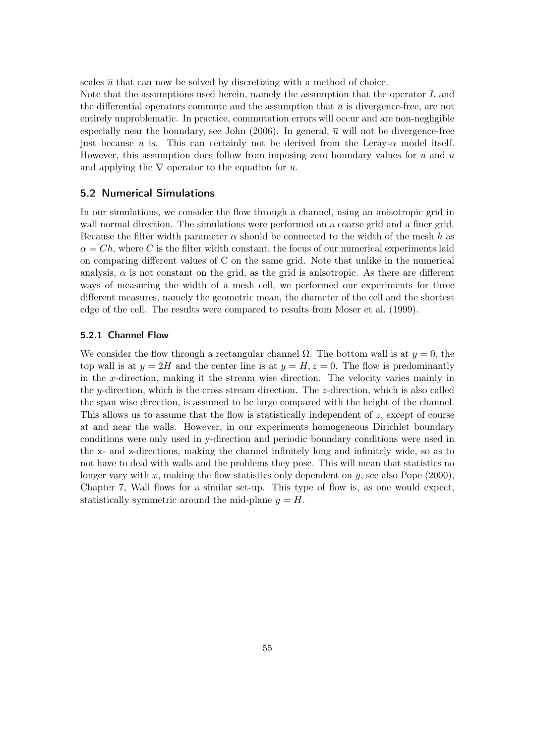scales  $\bar{u}$  that can now be solved by discretizing with a method of choice.

Note that the assumptions used herein, namely the assumption that the operator *L* and the differential operators commute and the assumption that  $\bar{u}$  is divergence-free, are not entirely unproblematic. In practice, commutation errors will occur and are non-negligible especially near the boundary, see John  $(2006)$ . In general,  $\bar{u}$  will not be divergence-free just because *u* is. This can certainly not be derived from the Leray- $\alpha$  model itself. However, this assumption does follow from imposing zero boundary values for  $u$  and  $\overline{u}$ and applying the  $\nabla$  operator to the equation for  $\overline{u}$ .

# 5.2 Numerical Simulations

In our simulations, we consider the flow through a channel, using an anisotropic grid in wall normal direction. The simulations were performed on a coarse grid and a finer grid. Because the filter width parameter *α* should be connected to the width of the mesh *h* as  $\alpha = Ch$ , where *C* is the filter width constant, the focus of our numerical experiments laid on comparing different values of C on the same grid. Note that unlike in the numerical analysis,  $\alpha$  is not constant on the grid, as the grid is anisotropic. As there are different ways of measuring the width of a mesh cell, we performed our experiments for three different measures, namely the geometric mean, the diameter of the cell and the shortest edge of the cell. The results were compared to results from Moser et al. (1999).

### 5.2.1 Channel Flow

We consider the flow through a rectangular channel  $\Omega$ . The bottom wall is at  $y = 0$ , the top wall is at  $y = 2H$  and the center line is at  $y = H$ ,  $z = 0$ . The flow is predominantly in the *x*-direction, making it the stream wise direction. The velocity varies mainly in the *y*-direction, which is the cross stream direction. The *z*-direction, which is also called the span wise direction, is assumed to be large compared with the height of the channel. This allows us to assume that the flow is statistically independent of *z*, except of course at and near the walls. However, in our experiments homogeneous Dirichlet boundary conditions were only used in y-direction and periodic boundary conditions were used in the x- and z-directions, making the channel infinitely long and infinitely wide, so as to not have to deal with walls and the problems they pose. This will mean that statistics no longer vary with *x*, making the flow statistics only dependent on *y*, see also Pope (2000), Chapter 7, Wall flows for a similar set-up. This type of flow is, as one would expect, statistically symmetric around the mid-plane  $y = H$ .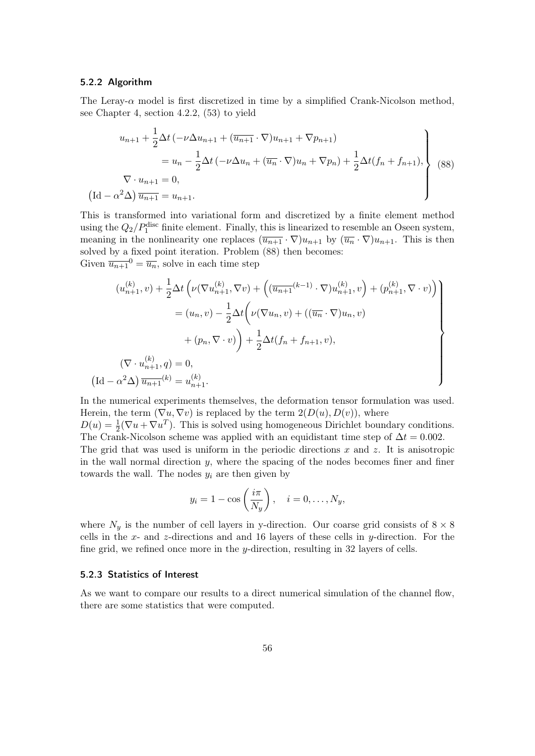### 5.2.2 Algorithm

The Leray-*α* model is first discretized in time by a simplified Crank-Nicolson method, see Chapter 4, section 4.2.2, (53) to yield

$$
u_{n+1} + \frac{1}{2}\Delta t \left( -\nu \Delta u_{n+1} + (\overline{u}_{n+1} \cdot \nabla) u_{n+1} + \nabla p_{n+1} \right)
$$
  
=  $u_n - \frac{1}{2}\Delta t \left( -\nu \Delta u_n + (\overline{u}_n \cdot \nabla) u_n + \nabla p_n \right) + \frac{1}{2}\Delta t (f_n + f_{n+1}),$   
 $\nabla \cdot u_{n+1} = 0,$   
 $(\text{Id} - \alpha^2 \Delta) \overline{u_{n+1}} = u_{n+1}.$  (88)

This is transformed into variational form and discretized by a finite element method using the  $Q_2/P_1^{\text{disc}}$  finite element. Finally, this is linearized to resemble an Oseen system, meaning in the nonlinearity one replaces  $(\overline{u_{n+1}} \cdot \nabla) u_{n+1}$  by  $(\overline{u_n} \cdot \nabla) u_{n+1}$ . This is then solved by a fixed point iteration. Problem (88) then becomes: Given  $\overline{u_{n+1}}^0 = \overline{u_n}$ , solve in each time step

$$
(u_{n+1}^{(k)}, v) + \frac{1}{2} \Delta t \left( \nu (\nabla u_{n+1}^{(k)}, \nabla v) + \left( (\overline{u_{n+1}}^{(k-1)} \cdot \nabla) u_{n+1}^{(k)}, v \right) + (p_{n+1}^{(k)}, \nabla \cdot v) \right)
$$
  

$$
= (u_n, v) - \frac{1}{2} \Delta t \left( \nu (\nabla u_n, v) + ((\overline{u_n} \cdot \nabla) u_n, v) + (p_n, \nabla \cdot v) \right)
$$
  

$$
+ (p_n, \nabla \cdot v) + \frac{1}{2} \Delta t (f_n + f_{n+1}, v),
$$
  

$$
(\nabla \cdot u_{n+1}^{(k)}, q) = 0,
$$
  

$$
(\text{Id} - \alpha^2 \Delta) \overline{u_{n+1}}^{(k)} = u_{n+1}^{(k)}.
$$

In the numerical experiments themselves, the deformation tensor formulation was used. Herein, the term  $(\nabla u, \nabla v)$  is replaced by the term  $2(D(u), D(v))$ , where  $D(u) = \frac{1}{2}(\nabla u + \nabla u^T)$ . This is solved using homogeneous Dirichlet boundary conditions. The Crank-Nicolson scheme was applied with an equidistant time step of  $\Delta t = 0.002$ . The grid that was used is uniform in the periodic directions *x* and *z*. It is anisotropic in the wall normal direction *y*, where the spacing of the nodes becomes finer and finer towards the wall. The nodes  $y_i$  are then given by

$$
y_i = 1 - \cos\left(\frac{i\pi}{N_y}\right), \quad i = 0, \dots, N_y,
$$

where  $N_y$  is the number of cell layers in y-direction. Our coarse grid consists of  $8 \times 8$ cells in the *x*- and *z*-directions and and 16 layers of these cells in *y*-direction. For the fine grid, we refined once more in the *y*-direction, resulting in 32 layers of cells.

### 5.2.3 Statistics of Interest

As we want to compare our results to a direct numerical simulation of the channel flow, there are some statistics that were computed.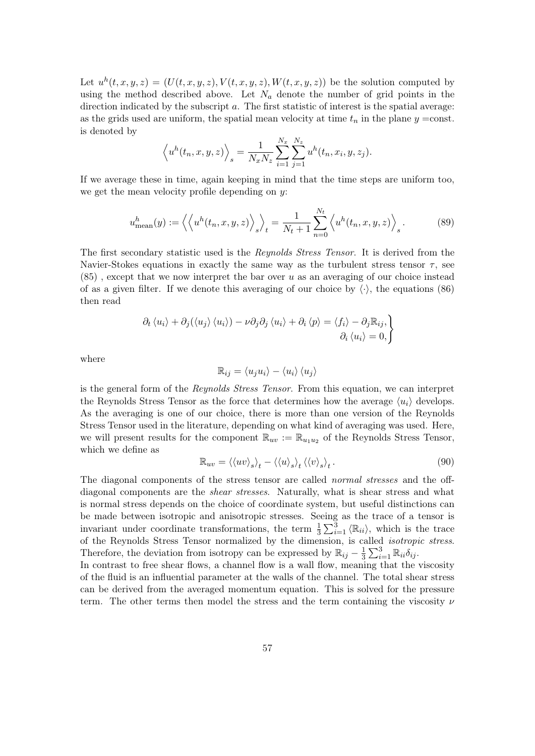Let  $u^h(t, x, y, z) = (U(t, x, y, z), V(t, x, y, z), W(t, x, y, z))$  be the solution computed by using the method described above. Let  $N_a$  denote the number of grid points in the direction indicated by the subscript *a*. The first statistic of interest is the spatial average: as the grids used are uniform, the spatial mean velocity at time  $t_n$  in the plane  $y = \text{const.}$ is denoted by

$$
\langle u^h(t_n, x, y, z) \rangle_s = \frac{1}{N_x N_z} \sum_{i=1}^{N_x} \sum_{j=1}^{N_z} u^h(t_n, x_i, y, z_j).
$$

If we average these in time, again keeping in mind that the time steps are uniform too, we get the mean velocity profile depending on *y*:

$$
u_{\text{mean}}^h(y) := \left\langle \left\langle u^h(t_n, x, y, z) \right\rangle_s \right\rangle_t = \frac{1}{N_t + 1} \sum_{n=0}^{N_t} \left\langle u^h(t_n, x, y, z) \right\rangle_s. \tag{89}
$$

The first secondary statistic used is the *Reynolds Stress Tensor*. It is derived from the Navier-Stokes equations in exactly the same way as the turbulent stress tensor  $\tau$ , see (85) , except that we now interpret the bar over *u* as an averaging of our choice instead of as a given filter. If we denote this averaging of our choice by  $\langle \cdot \rangle$ , the equations (86) then read

$$
\partial_t \langle u_i \rangle + \partial_j (\langle u_j \rangle \langle u_i \rangle) - \nu \partial_j \partial_j \langle u_i \rangle + \partial_i \langle p \rangle = \langle f_i \rangle - \partial_j \mathbb{R}_{ij}, \partial_i \langle u_i \rangle = 0,
$$

where

$$
\mathbb{R}_{ij} = \langle u_j u_i \rangle - \langle u_i \rangle \langle u_j \rangle
$$

is the general form of the *Reynolds Stress Tensor*. From this equation, we can interpret the Reynolds Stress Tensor as the force that determines how the average  $\langle u_i \rangle$  develops. As the averaging is one of our choice, there is more than one version of the Reynolds Stress Tensor used in the literature, depending on what kind of averaging was used. Here, we will present results for the component  $\mathbb{R}_{uv} := \mathbb{R}_{u_1u_2}$  of the Reynolds Stress Tensor, which we define as

$$
\mathbb{R}_{uv} = \langle \langle uv \rangle_s \rangle_t - \langle \langle u \rangle_s \rangle_t \langle \langle v \rangle_s \rangle_t. \tag{90}
$$

The diagonal components of the stress tensor are called *normal stresses* and the offdiagonal components are the *shear stresses*. Naturally, what is shear stress and what is normal stress depends on the choice of coordinate system, but useful distinctions can be made between isotropic and anisotropic stresses. Seeing as the trace of a tensor is invariant under coordinate transformations, the term  $\frac{1}{3}\sum_{i=1}^{3} \langle \mathbb{R}_{ii} \rangle$ , which is the trace of the Reynolds Stress Tensor normalized by the dimension, is called *isotropic stress*. Therefore, the deviation from isotropy can be expressed by  $\mathbb{R}_{ij} - \frac{1}{3}$  $\frac{1}{3}\sum_{i=1}^{3} \mathbb{R}_{ii} \delta_{ij}$ .

In contrast to free shear flows, a channel flow is a wall flow, meaning that the viscosity of the fluid is an influential parameter at the walls of the channel. The total shear stress can be derived from the averaged momentum equation. This is solved for the pressure term. The other terms then model the stress and the term containing the viscosity *ν*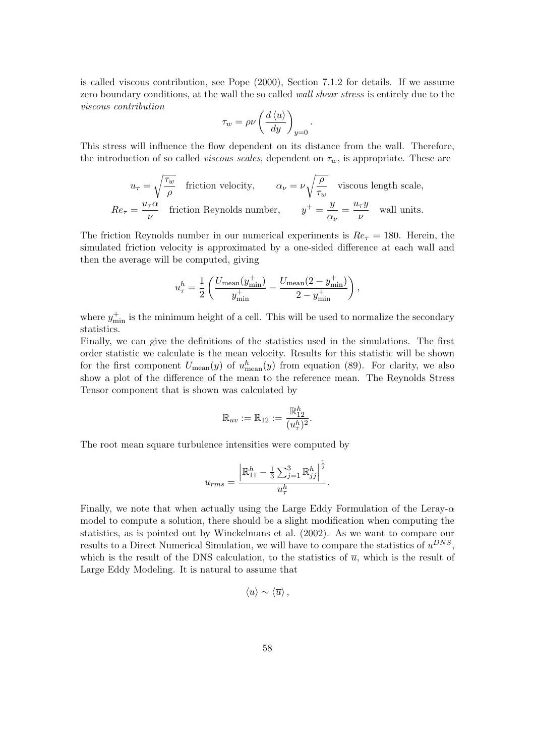is called viscous contribution, see Pope (2000), Section 7.1.2 for details. If we assume zero boundary conditions, at the wall the so called *wall shear stress* is entirely due to the *viscous contribution*

$$
\tau_w = \rho \nu \left(\frac{d \left\langle u \right\rangle}{dy}\right)_{y=0}
$$

*.*

This stress will influence the flow dependent on its distance from the wall. Therefore, the introduction of so called *viscous scales*, dependent on  $\tau_w$ , is appropriate. These are

$$
u_{\tau} = \sqrt{\frac{\tau_w}{\rho}}
$$
 friction velocity,  $\alpha_{\nu} = \nu \sqrt{\frac{\rho}{\tau_w}}$  viscous length scale,  

$$
Re_{\tau} = \frac{u_{\tau} \alpha}{\nu}
$$
 friction Reynolds number,  $y^{+} = \frac{y}{\alpha_{\nu}} = \frac{u_{\tau} y}{\nu}$  wall units.

The friction Reynolds number in our numerical experiments is  $Re<sub>\tau</sub> = 180$ . Herein, the simulated friction velocity is approximated by a one-sided difference at each wall and then the average will be computed, giving

$$
u_\tau^h = \frac{1}{2}\left(\frac{U_\text{mean}(y_\text{min}^+)}{y_\text{min}^+} - \frac{U_\text{mean}(2-y_\text{min}^+)}{2-y_\text{min}^+}\right),
$$

where  $y_{\min}^+$  is the minimum height of a cell. This will be used to normalize the secondary statistics.

Finally, we can give the definitions of the statistics used in the simulations. The first order statistic we calculate is the mean velocity. Results for this statistic will be shown for the first component  $U_{\text{mean}}(y)$  of  $u_{\text{mean}}^h(y)$  from equation (89). For clarity, we also show a plot of the difference of the mean to the reference mean. The Reynolds Stress Tensor component that is shown was calculated by

$$
\mathbb{R}_{uv} := \mathbb{R}_{12} := \frac{\mathbb{R}_{12}^h}{(u_\tau^h)^2}.
$$

The root mean square turbulence intensities were computed by

$$
u_{rms} = \frac{\left|\mathbb{R}_{11}^h - \frac{1}{3}\sum_{j=1}^3 \mathbb{R}_{jj}^h\right|^{\frac{1}{2}}}{u_\tau^h}.
$$

Finally, we note that when actually using the Large Eddy Formulation of the Leray-*α* model to compute a solution, there should be a slight modification when computing the statistics, as is pointed out by Winckelmans et al. (2002). As we want to compare our results to a Direct Numerical Simulation, we will have to compare the statistics of *u DNS* , which is the result of the DNS calculation, to the statistics of  $\overline{u}$ , which is the result of Large Eddy Modeling. It is natural to assume that

$$
\langle u \rangle \sim \langle \overline{u} \rangle \, ,
$$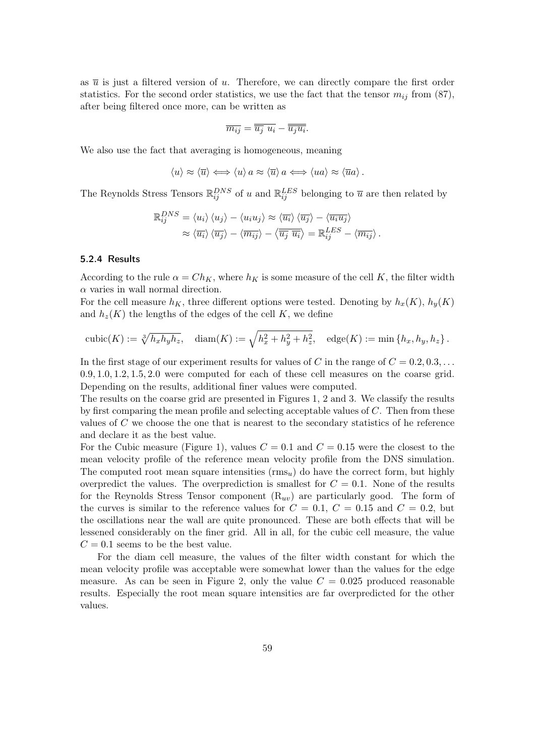as  $\bar{u}$  is just a filtered version of  $u$ . Therefore, we can directly compare the first order statistics. For the second order statistics, we use the fact that the tensor  $m_{ij}$  from (87), after being filtered once more, can be written as

$$
\overline{m_{ij}} = \overline{\overline{u_j} \ u_i} - \overline{\overline{u_j u_i}}.
$$

We also use the fact that averaging is homogeneous, meaning

$$
\langle u \rangle \approx \langle \overline{u} \rangle \Longleftrightarrow \langle u \rangle \, a \approx \langle \overline{u} \rangle \, a \Longleftrightarrow \langle u a \rangle \approx \langle \overline{u} a \rangle \, .
$$

The Reynolds Stress Tensors  $\mathbb{R}_{ij}^{DNS}$  of *u* and  $\mathbb{R}_{ij}^{LES}$  belonging to  $\bar{u}$  are then related by

$$
\mathbb{R}_{ij}^{DNS} = \langle u_i \rangle \langle u_j \rangle - \langle u_i u_j \rangle \approx \langle \overline{u_i} \rangle \langle \overline{u_j} \rangle - \langle \overline{u_i u_j} \rangle
$$

$$
\approx \langle \overline{u_i} \rangle \langle \overline{u_j} \rangle - \langle \overline{m_{ij}} \rangle - \langle \overline{\overline{u_j} \ \overline{u_i}} \rangle = \mathbb{R}_{ij}^{LES} - \langle \overline{m_{ij}} \rangle.
$$

#### 5.2.4 Results

According to the rule  $\alpha = Ch_K$ , where  $h_K$  is some measure of the cell K, the filter width *α* varies in wall normal direction.

For the cell measure  $h_K$ , three different options were tested. Denoting by  $h_x(K)$ ,  $h_y(K)$ and  $h_z(K)$  the lengths of the edges of the cell  $K$ , we define

cubic(K) := 
$$
\sqrt[3]{h_x h_y h_z}
$$
, diam(K) :=  $\sqrt{h_x^2 + h_y^2 + h_z^2}$ , edge(K) := min $\{h_x, h_y, h_z\}$ .

In the first stage of our experiment results for values of  $C$  in the range of  $C = 0.2, 0.3, \ldots$ 0*.*9*,* 1*.*0*,* 1*.*2*,* 1*.*5*,* 2*.*0 were computed for each of these cell measures on the coarse grid. Depending on the results, additional finer values were computed.

The results on the coarse grid are presented in Figures 1, 2 and 3. We classify the results by first comparing the mean profile and selecting acceptable values of *C*. Then from these values of *C* we choose the one that is nearest to the secondary statistics of he reference and declare it as the best value.

For the Cubic measure (Figure 1), values  $C = 0.1$  and  $C = 0.15$  were the closest to the mean velocity profile of the reference mean velocity profile from the DNS simulation. The computed root mean square intensities (rms*u*) do have the correct form, but highly overpredict the values. The overprediction is smallest for  $C = 0.1$ . None of the results for the Reynolds Stress Tensor component  $(R_{uv})$  are particularly good. The form of the curves is similar to the reference values for  $C = 0.1$ ,  $C = 0.15$  and  $C = 0.2$ , but the oscillations near the wall are quite pronounced. These are both effects that will be lessened considerably on the finer grid. All in all, for the cubic cell measure, the value  $C = 0.1$  seems to be the best value.

For the diam cell measure, the values of the filter width constant for which the mean velocity profile was acceptable were somewhat lower than the values for the edge measure. As can be seen in Figure 2, only the value  $C = 0.025$  produced reasonable results. Especially the root mean square intensities are far overpredicted for the other values.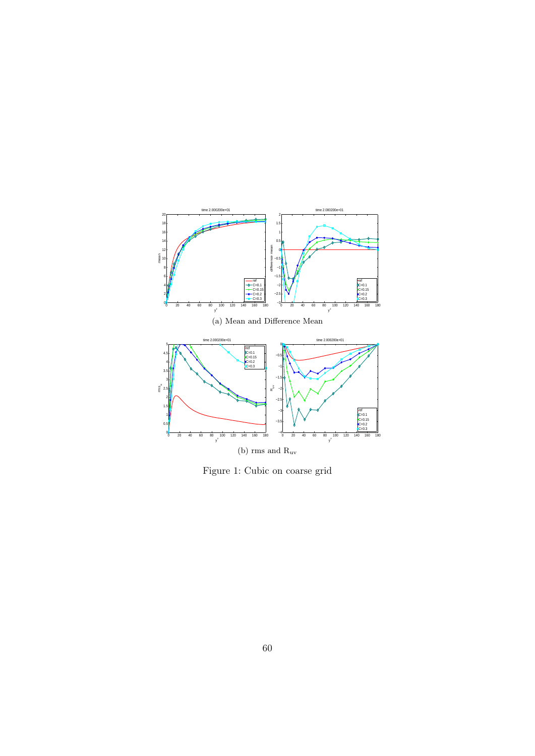

Figure 1: Cubic on coarse grid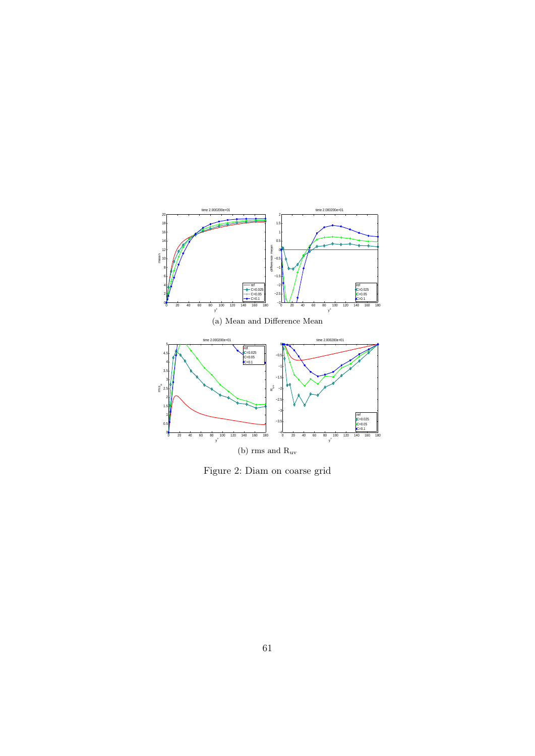

Figure 2: Diam on coarse grid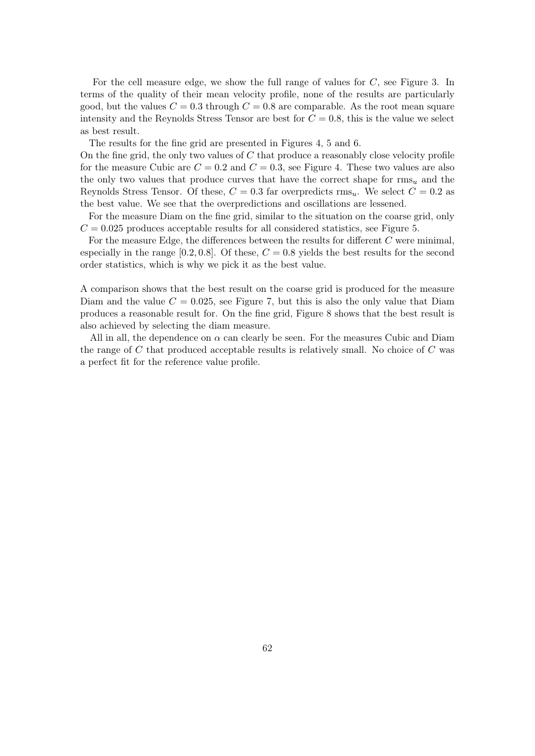For the cell measure edge, we show the full range of values for *C*, see Figure 3. In terms of the quality of their mean velocity profile, none of the results are particularly good, but the values  $C = 0.3$  through  $C = 0.8$  are comparable. As the root mean square intensity and the Reynolds Stress Tensor are best for  $C = 0.8$ , this is the value we select as best result.

The results for the fine grid are presented in Figures 4, 5 and 6.

On the fine grid, the only two values of *C* that produce a reasonably close velocity profile for the measure Cubic are  $C = 0.2$  and  $C = 0.3$ , see Figure 4. These two values are also the only two values that produce curves that have the correct shape for rms*<sup>u</sup>* and the Reynolds Stress Tensor. Of these,  $C = 0.3$  far overpredicts rms<sub>u</sub>. We select  $C = 0.2$  as the best value. We see that the overpredictions and oscillations are lessened.

For the measure Diam on the fine grid, similar to the situation on the coarse grid, only  $C = 0.025$  produces acceptable results for all considered statistics, see Figure 5.

For the measure Edge, the differences between the results for different *C* were minimal, especially in the range  $[0.2, 0.8]$ . Of these,  $C = 0.8$  yields the best results for the second order statistics, which is why we pick it as the best value.

A comparison shows that the best result on the coarse grid is produced for the measure Diam and the value  $C = 0.025$ , see Figure 7, but this is also the only value that Diam produces a reasonable result for. On the fine grid, Figure 8 shows that the best result is also achieved by selecting the diam measure.

All in all, the dependence on  $\alpha$  can clearly be seen. For the measures Cubic and Diam the range of *C* that produced acceptable results is relatively small. No choice of *C* was a perfect fit for the reference value profile.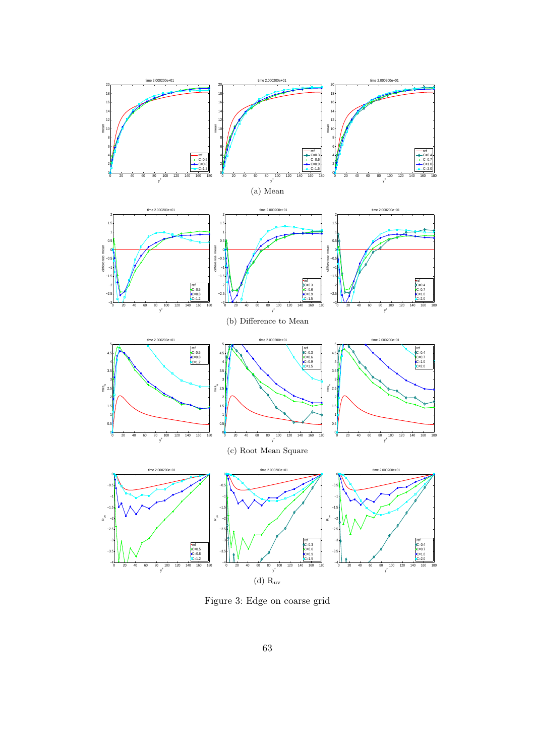

Figure 3: Edge on coarse grid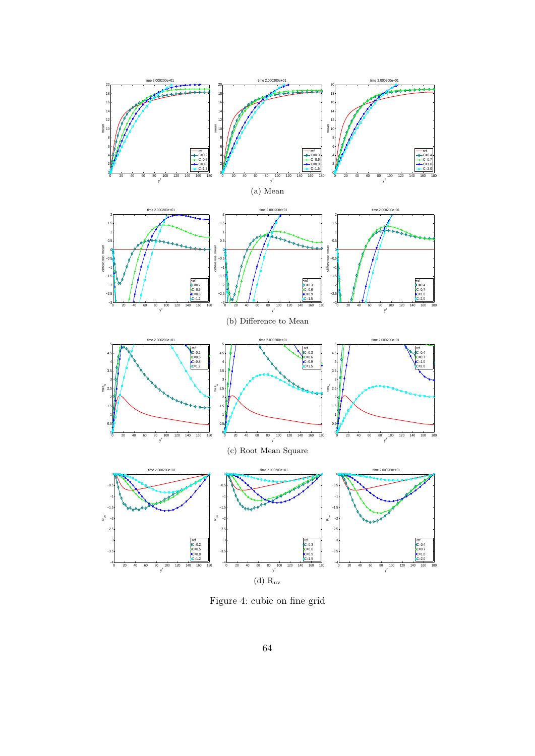

Figure 4: cubic on fine grid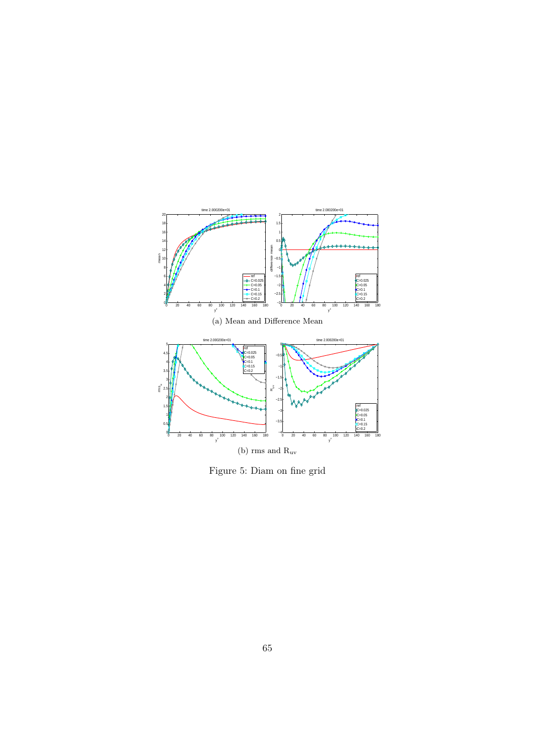

Figure 5: Diam on fine grid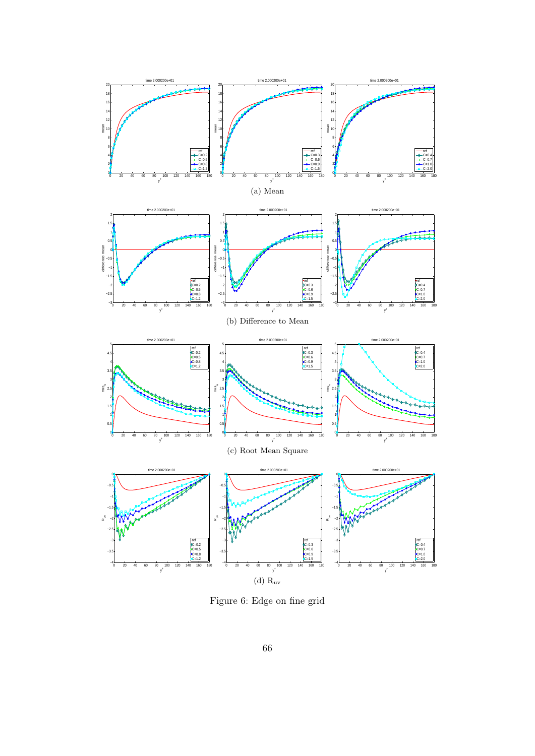

Figure 6: Edge on fine grid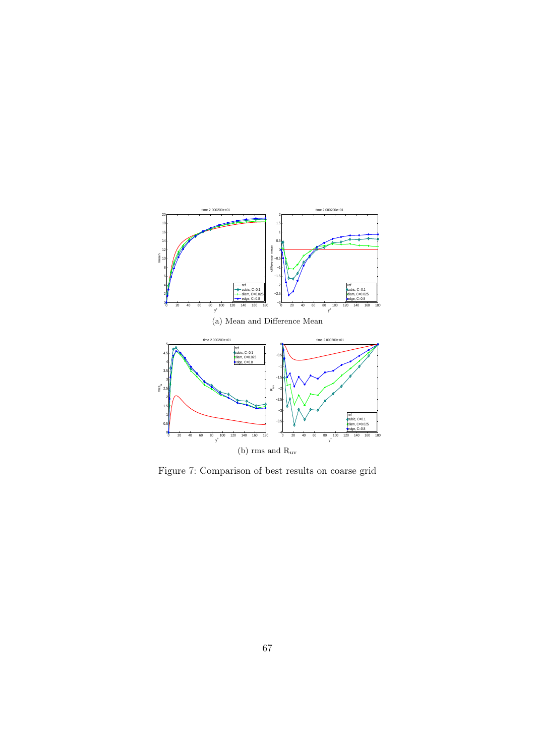

Figure 7: Comparison of best results on coarse grid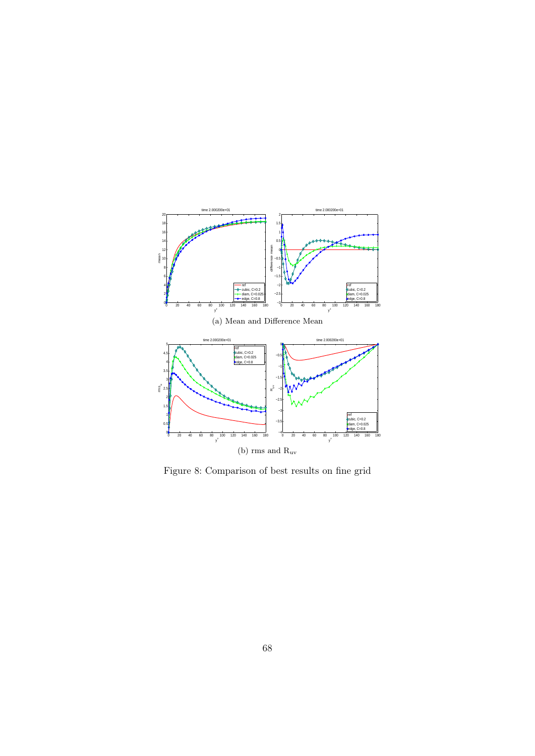

Figure 8: Comparison of best results on fine grid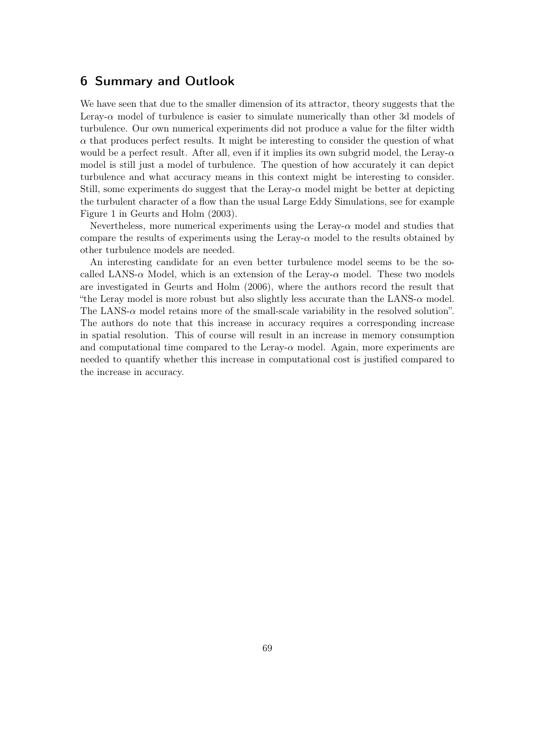## 6 Summary and Outlook

We have seen that due to the smaller dimension of its attractor, theory suggests that the Leray- $\alpha$  model of turbulence is easier to simulate numerically than other 3d models of turbulence. Our own numerical experiments did not produce a value for the filter width  $\alpha$  that produces perfect results. It might be interesting to consider the question of what would be a perfect result. After all, even if it implies its own subgrid model, the Leray-*α* model is still just a model of turbulence. The question of how accurately it can depict turbulence and what accuracy means in this context might be interesting to consider. Still, some experiments do suggest that the Leray- $\alpha$  model might be better at depicting the turbulent character of a flow than the usual Large Eddy Simulations, see for example Figure 1 in Geurts and Holm (2003).

Nevertheless, more numerical experiments using the Leray-*α* model and studies that compare the results of experiments using the Leray- $\alpha$  model to the results obtained by other turbulence models are needed.

An interesting candidate for an even better turbulence model seems to be the socalled LANS- $\alpha$  Model, which is an extension of the Leray- $\alpha$  model. These two models are investigated in Geurts and Holm (2006), where the authors record the result that "the Leray model is more robust but also slightly less accurate than the LANS- $\alpha$  model. The LANS-*α* model retains more of the small-scale variability in the resolved solution". The authors do note that this increase in accuracy requires a corresponding increase in spatial resolution. This of course will result in an increase in memory consumption and computational time compared to the Leray-*α* model. Again, more experiments are needed to quantify whether this increase in computational cost is justified compared to the increase in accuracy.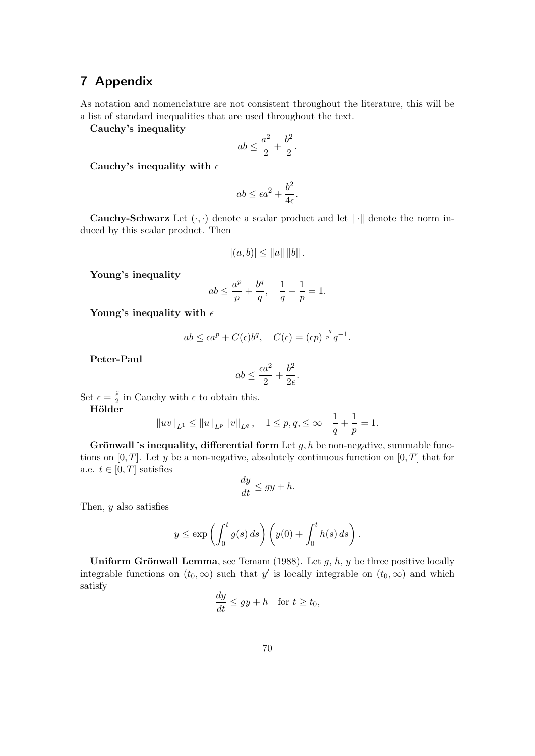## 7 Appendix

As notation and nomenclature are not consistent throughout the literature, this will be a list of standard inequalities that are used throughout the text.

Cauchy's inequality

$$
ab\leq \frac{a^2}{2}+\frac{b^2}{2}.
$$

Cauchy's inequality with *ϵ*

$$
ab \le \epsilon a^2 + \frac{b^2}{4\epsilon}.
$$

Cauchy-Schwarz Let (*·, ·*) denote a scalar product and let *∥·∥* denote the norm induced by this scalar product. Then

$$
|(a, b)| \leq ||a|| ||b||.
$$

Young's inequality

$$
ab \le \frac{a^p}{p} + \frac{b^q}{q}, \quad \frac{1}{q} + \frac{1}{p} = 1.
$$

Young's inequality with *ϵ*

$$
ab \leq \epsilon a^p + C(\epsilon) b^q, \quad C(\epsilon) = (\epsilon p)^{\frac{-q}{p}} q^{-1}.
$$

Peter-Paul

$$
ab \le \frac{\epsilon a^2}{2} + \frac{b^2}{2\epsilon}.
$$

Set  $\epsilon = \frac{\tilde{\epsilon}}{2}$  $\frac{\epsilon}{2}$  in Cauchy with  $\epsilon$  to obtain this.

Hölder

$$
\|uv\|_{L^1}\leq \|u\|_{L^p}\left\|v\right\|_{L^q},\quad 1\leq p,q,\leq\infty\quad \frac{1}{q}+\frac{1}{p}=1.
$$

Grönwall´s inequality, differential form Let *g, h* be non-negative, summable functions on  $[0, T]$ . Let *y* be a non-negative, absolutely continuous function on  $[0, T]$  that for a.e.  $t \in [0, T]$  satisfies

$$
\frac{dy}{dt} \le gy + h.
$$

Then, *y* also satisfies

$$
y \le \exp\left(\int_0^t g(s) ds\right) \left(y(0) + \int_0^t h(s) ds\right).
$$

Uniform Grönwall Lemma, see Temam (1988). Let *g*, *h*, *y* be three positive locally integrable functions on  $(t_0, \infty)$  such that *y'* is locally integrable on  $(t_0, \infty)$  and which satisfy

$$
\frac{dy}{dt} \le gy + h \quad \text{for } t \ge t_0,
$$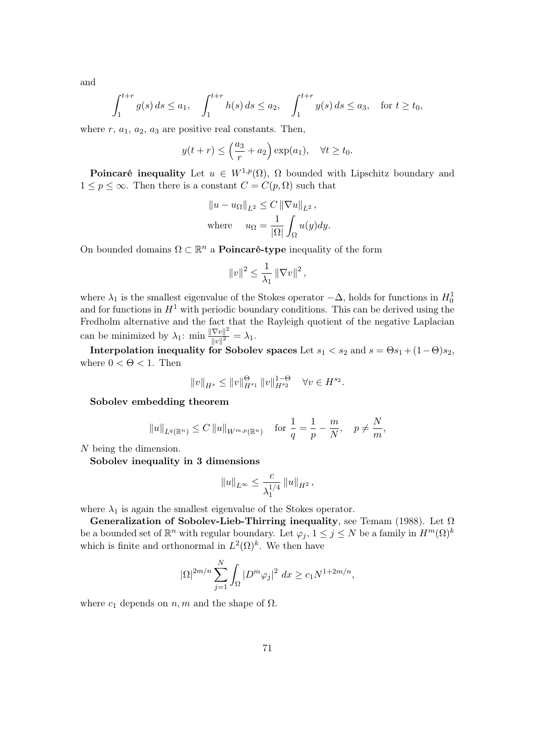and

$$
\int_{1}^{t+r} g(s) ds \le a_1, \quad \int_{1}^{t+r} h(s) ds \le a_2, \quad \int_{1}^{t+r} y(s) ds \le a_3, \quad \text{for } t \ge t_0,
$$

where  $r$ ,  $a_1$ ,  $a_2$ ,  $a_3$  are positive real constants. Then,

$$
y(t+r) \leq \left(\frac{a_3}{r} + a_2\right) \exp(a_1), \quad \forall t \geq t_0.
$$

**Poincaré inequality** Let  $u \in W^{1,p}(\Omega)$ ,  $\Omega$  bounded with Lipschitz boundary and  $1 \leq p \leq \infty$ . Then there is a constant  $C = C(p, \Omega)$  such that

$$
||u - u_{\Omega}||_{L^{2}} \leq C ||\nabla u||_{L^{2}},
$$
  
where 
$$
u_{\Omega} = \frac{1}{|\Omega|} \int_{\Omega} u(y) dy.
$$

On bounded domains  $\Omega \subset \mathbb{R}^n$  a **Poincaré-type** inequality of the form

$$
||v||^2 \leq \frac{1}{\lambda_1} ||\nabla v||^2
$$
,

where  $\lambda_1$  is the smallest eigenvalue of the Stokes operator  $-\Delta$ , holds for functions in  $H_0^1$ and for functions in  $H^1$  with periodic boundary conditions. This can be derived using the Fredholm alternative and the fact that the Rayleigh quotient of the negative Laplacian can be minimized by  $\lambda_1$ : min  $\frac{\|\nabla v\|^2}{\|u\|^2}$  $\frac{|\nabla v||}{|\nabla v|^2} = \lambda_1.$ 

Interpolation inequality for Sobolev spaces Let  $s_1 < s_2$  and  $s = \Theta s_1 + (1-\Theta)s_2$ , where  $0 < \Theta < 1$ . Then

$$
||v||_{H^{s}} \le ||v||_{H^{s_1}}^{\Theta} ||v||_{H^{s_2}}^{1-\Theta} \quad \forall v \in H^{s_2}.
$$

Sobolev embedding theorem

$$
||u||_{L^{q}(\mathbb{R}^n)} \leq C ||u||_{W^{m,p}(\mathbb{R}^n)}
$$
 for  $\frac{1}{q} = \frac{1}{p} - \frac{m}{N}$ ,  $p \neq \frac{N}{m}$ ,

*N* being the dimension.

Sobolev inequality in 3 dimensions

$$
||u||_{L^{\infty}} \leq \frac{c}{\lambda_1^{1/4}} ||u||_{H^2},
$$

where  $\lambda_1$  is again the smallest eigenvalue of the Stokes operator.

Generalization of Sobolev-Lieb-Thirring inequality, see Temam (1988). Let  $\Omega$ be a bounded set of  $\mathbb{R}^n$  with regular boundary. Let  $\varphi_j$ ,  $1 \leq j \leq N$  be a family in  $H^m(\Omega)^k$ which is finite and orthonormal in  $L^2(\Omega)^k$ . We then have

$$
|\Omega|^{2m/n} \sum_{j=1}^N \int_{\Omega} |D^m \varphi_j|^2 \ dx \ge c_1 N^{1+2m/n},
$$

where  $c_1$  depends on  $n, m$  and the shape of  $\Omega$ .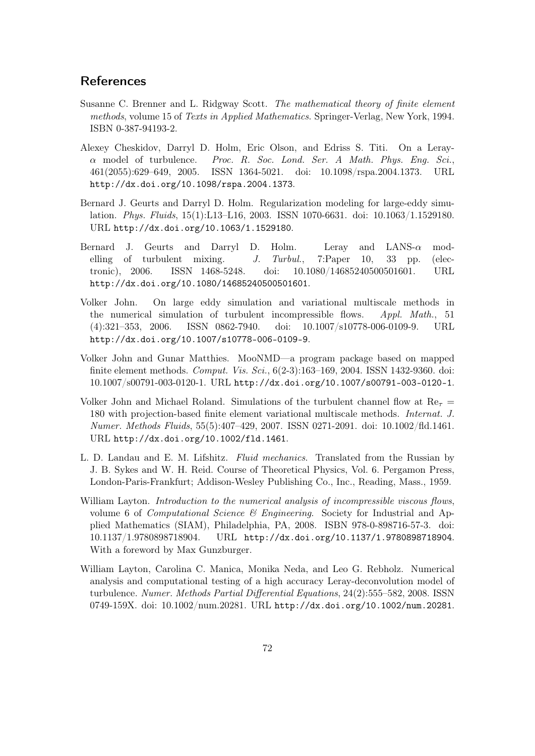## **References**

- Susanne C. Brenner and L. Ridgway Scott. *The mathematical theory of finite element methods*, volume 15 of *Texts in Applied Mathematics*. Springer-Verlag, New York, 1994. ISBN 0-387-94193-2.
- Alexey Cheskidov, Darryl D. Holm, Eric Olson, and Edriss S. Titi. On a Leray*α* model of turbulence. *Proc. R. Soc. Lond. Ser. A Math. Phys. Eng. Sci.*, 461(2055):629–649, 2005. ISSN 1364-5021. doi: 10.1098/rspa.2004.1373. URL http://dx.doi.org/10.1098/rspa.2004.1373.
- Bernard J. Geurts and Darryl D. Holm. Regularization modeling for large-eddy simulation. *Phys. Fluids*, 15(1):L13–L16, 2003. ISSN 1070-6631. doi: 10.1063/1.1529180. URL http://dx.doi.org/10.1063/1.1529180.
- Bernard J. Geurts and Darryl D. Holm. Leray and LANS-*α* modelling of turbulent mixing. *J. Turbul.*, 7:Paper 10, 33 pp. (electronic), 2006. ISSN 1468-5248. doi: 10.1080/14685240500501601. URL http://dx.doi.org/10.1080/14685240500501601.
- Volker John. On large eddy simulation and variational multiscale methods in the numerical simulation of turbulent incompressible flows. *Appl. Math.*, 51 (4):321–353, 2006. ISSN 0862-7940. doi: 10.1007/s10778-006-0109-9. URL http://dx.doi.org/10.1007/s10778-006-0109-9.
- Volker John and Gunar Matthies. MooNMD—a program package based on mapped finite element methods. *Comput. Vis. Sci.*, 6(2-3):163–169, 2004. ISSN 1432-9360. doi: 10.1007/s00791-003-0120-1. URL http://dx.doi.org/10.1007/s00791-003-0120-1.
- Volker John and Michael Roland. Simulations of the turbulent channel flow at  $\text{Re}_{\tau}$  = 180 with projection-based finite element variational multiscale methods. *Internat. J. Numer. Methods Fluids*, 55(5):407–429, 2007. ISSN 0271-2091. doi: 10.1002/fld.1461. URL http://dx.doi.org/10.1002/fld.1461.
- L. D. Landau and E. M. Lifshitz. *Fluid mechanics*. Translated from the Russian by J. B. Sykes and W. H. Reid. Course of Theoretical Physics, Vol. 6. Pergamon Press, London-Paris-Frankfurt; Addison-Wesley Publishing Co., Inc., Reading, Mass., 1959.
- William Layton. *Introduction to the numerical analysis of incompressible viscous flows*, volume 6 of *Computational Science & Engineering*. Society for Industrial and Applied Mathematics (SIAM), Philadelphia, PA, 2008. ISBN 978-0-898716-57-3. doi: 10.1137/1.9780898718904. URL http://dx.doi.org/10.1137/1.9780898718904. With a foreword by Max Gunzburger.
- William Layton, Carolina C. Manica, Monika Neda, and Leo G. Rebholz. Numerical analysis and computational testing of a high accuracy Leray-deconvolution model of turbulence. *Numer. Methods Partial Differential Equations*, 24(2):555–582, 2008. ISSN 0749-159X. doi: 10.1002/num.20281. URL http://dx.doi.org/10.1002/num.20281.